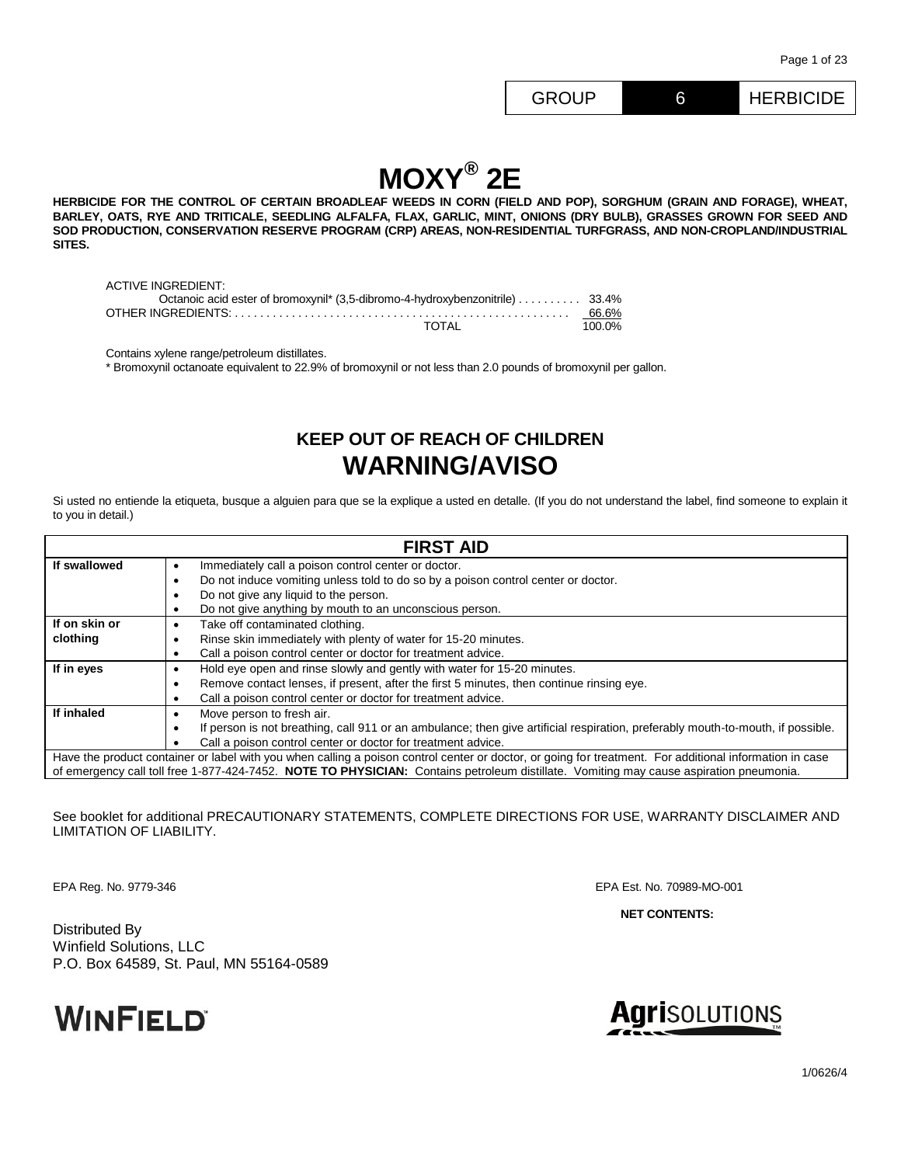# **MOXY® 2E**

**HERBICIDE FOR THE CONTROL OF CERTAIN BROADLEAF WEEDS IN CORN (FIELD AND POP), SORGHUM (GRAIN AND FORAGE), WHEAT, BARLEY, OATS, RYE AND TRITICALE, SEEDLING ALFALFA, FLAX, GARLIC, MINT, ONIONS (DRY BULB), GRASSES GROWN FOR SEED AND SOD PRODUCTION, CONSERVATION RESERVE PROGRAM (CRP) AREAS, NON-RESIDENTIAL TURFGRASS, AND NON-CROPLAND/INDUSTRIAL SITES.**

| ACTIVE INGREDIENT:                                                           |        |
|------------------------------------------------------------------------------|--------|
| Octanoic acid ester of bromoxynil* (3,5-dibromo-4-hydroxybenzonitrile) 33.4% |        |
|                                                                              | 66.6%  |
| TOTAI                                                                        | 100.0% |

Contains xylene range/petroleum distillates.

\* Bromoxynil octanoate equivalent to 22.9% of bromoxynil or not less than 2.0 pounds of bromoxynil per gallon.

## **KEEP OUT OF REACH OF CHILDREN WARNING/AVISO**

Si usted no entiende la etiqueta, busque a alguien para que se la explique a usted en detalle. (If you do not understand the label, find someone to explain it to you in detail.)

| <b>FIRST AID</b>                                             |                                                                                                                                                         |  |  |  |  |
|--------------------------------------------------------------|---------------------------------------------------------------------------------------------------------------------------------------------------------|--|--|--|--|
| If swallowed                                                 | Immediately call a poison control center or doctor.<br>٠                                                                                                |  |  |  |  |
|                                                              | Do not induce vomiting unless told to do so by a poison control center or doctor.                                                                       |  |  |  |  |
|                                                              | Do not give any liquid to the person.<br>$\bullet$                                                                                                      |  |  |  |  |
|                                                              | Do not give anything by mouth to an unconscious person.                                                                                                 |  |  |  |  |
| If on skin or                                                | Take off contaminated clothing.<br>٠                                                                                                                    |  |  |  |  |
| clothing                                                     | Rinse skin immediately with plenty of water for 15-20 minutes.                                                                                          |  |  |  |  |
|                                                              | Call a poison control center or doctor for treatment advice.<br>٠                                                                                       |  |  |  |  |
| If in eyes                                                   | Hold eye open and rinse slowly and gently with water for 15-20 minutes.                                                                                 |  |  |  |  |
|                                                              | Remove contact lenses, if present, after the first 5 minutes, then continue rinsing eye.<br>٠                                                           |  |  |  |  |
|                                                              | Call a poison control center or doctor for treatment advice.                                                                                            |  |  |  |  |
| If inhaled                                                   | Move person to fresh air.                                                                                                                               |  |  |  |  |
|                                                              | If person is not breathing, call 911 or an ambulance; then give artificial respiration, preferably mouth-to-mouth, if possible.<br>٠                    |  |  |  |  |
| Call a poison control center or doctor for treatment advice. |                                                                                                                                                         |  |  |  |  |
|                                                              | Have the product container or label with you when calling a poison control center or doctor, or going for treatment. For additional information in case |  |  |  |  |
|                                                              | of emergency call toll free 1-877-424-7452. NOTE TO PHYSICIAN: Contains petroleum distillate. Vomiting may cause aspiration pneumonia.                  |  |  |  |  |

See booklet for additional PRECAUTIONARY STATEMENTS, COMPLETE DIRECTIONS FOR USE, WARRANTY DISCLAIMER AND LIMITATION OF LIABILITY.

EPA Reg. No. 9779-346 EPA Est. No. 70989-MO-001

**NET CONTENTS:**

Distributed By Winfield Solutions, LLC P.O. Box 64589, St. Paul, MN 55164-0589



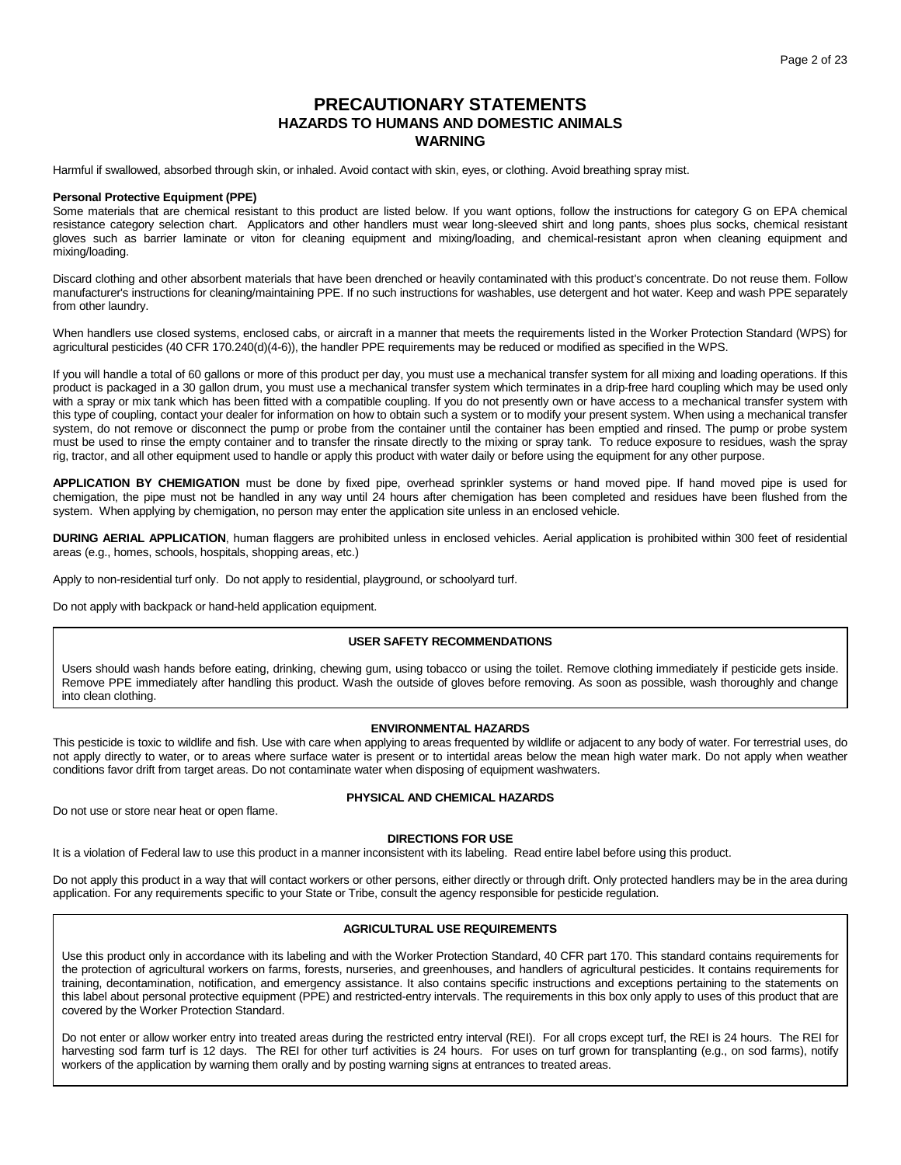## **PRECAUTIONARY STATEMENTS HAZARDS TO HUMANS AND DOMESTIC ANIMALS WARNING**

Harmful if swallowed, absorbed through skin, or inhaled. Avoid contact with skin, eyes, or clothing. Avoid breathing spray mist.

#### **Personal Protective Equipment (PPE)**

Some materials that are chemical resistant to this product are listed below. If you want options, follow the instructions for category G on EPA chemical resistance category selection chart. Applicators and other handlers must wear long-sleeved shirt and long pants, shoes plus socks, chemical resistant gloves such as barrier laminate or viton for cleaning equipment and mixing/loading, and chemical-resistant apron when cleaning equipment and mixing/loading.

Discard clothing and other absorbent materials that have been drenched or heavily contaminated with this product's concentrate. Do not reuse them. Follow manufacturer's instructions for cleaning/maintaining PPE. If no such instructions for washables, use detergent and hot water. Keep and wash PPE separately from other laundry.

When handlers use closed systems, enclosed cabs, or aircraft in a manner that meets the requirements listed in the Worker Protection Standard (WPS) for agricultural pesticides (40 CFR 170.240(d)(4-6)), the handler PPE requirements may be reduced or modified as specified in the WPS.

If you will handle a total of 60 gallons or more of this product per day, you must use a mechanical transfer system for all mixing and loading operations. If this product is packaged in a 30 gallon drum, you must use a mechanical transfer system which terminates in a drip-free hard coupling which may be used only with a spray or mix tank which has been fitted with a compatible coupling. If you do not presently own or have access to a mechanical transfer system with this type of coupling, contact your dealer for information on how to obtain such a system or to modify your present system. When using a mechanical transfer system, do not remove or disconnect the pump or probe from the container until the container has been emptied and rinsed. The pump or probe system must be used to rinse the empty container and to transfer the rinsate directly to the mixing or spray tank. To reduce exposure to residues, wash the spray rig, tractor, and all other equipment used to handle or apply this product with water daily or before using the equipment for any other purpose.

**APPLICATION BY CHEMIGATION** must be done by fixed pipe, overhead sprinkler systems or hand moved pipe. If hand moved pipe is used for chemigation, the pipe must not be handled in any way until 24 hours after chemigation has been completed and residues have been flushed from the system. When applying by chemigation, no person may enter the application site unless in an enclosed vehicle.

**DURING AERIAL APPLICATION**, human flaggers are prohibited unless in enclosed vehicles. Aerial application is prohibited within 300 feet of residential areas (e.g., homes, schools, hospitals, shopping areas, etc.)

Apply to non-residential turf only. Do not apply to residential, playground, or schoolyard turf.

Do not apply with backpack or hand-held application equipment.

## **USER SAFETY RECOMMENDATIONS**

Users should wash hands before eating, drinking, chewing gum, using tobacco or using the toilet. Remove clothing immediately if pesticide gets inside. Remove PPE immediately after handling this product. Wash the outside of gloves before removing. As soon as possible, wash thoroughly and change into clean clothing.

## **ENVIRONMENTAL HAZARDS**

This pesticide is toxic to wildlife and fish. Use with care when applying to areas frequented by wildlife or adjacent to any body of water. For terrestrial uses, do not apply directly to water, or to areas where surface water is present or to intertidal areas below the mean high water mark. Do not apply when weather conditions favor drift from target areas. Do not contaminate water when disposing of equipment washwaters.

Do not use or store near heat or open flame.

## **PHYSICAL AND CHEMICAL HAZARDS**

## **DIRECTIONS FOR USE**

It is a violation of Federal law to use this product in a manner inconsistent with its labeling. Read entire label before using this product.

Do not apply this product in a way that will contact workers or other persons, either directly or through drift. Only protected handlers may be in the area during application. For any requirements specific to your State or Tribe, consult the agency responsible for pesticide regulation.

## **AGRICULTURAL USE REQUIREMENTS**

Use this product only in accordance with its labeling and with the Worker Protection Standard, 40 CFR part 170. This standard contains requirements for the protection of agricultural workers on farms, forests, nurseries, and greenhouses, and handlers of agricultural pesticides. It contains requirements for training, decontamination, notification, and emergency assistance. It also contains specific instructions and exceptions pertaining to the statements on this label about personal protective equipment (PPE) and restricted-entry intervals. The requirements in this box only apply to uses of this product that are covered by the Worker Protection Standard.

Do not enter or allow worker entry into treated areas during the restricted entry interval (REI). For all crops except turf, the REI is 24 hours. The REI for harvesting sod farm turf is 12 days. The REI for other turf activities is 24 hours. For uses on turf grown for transplanting (e.g., on sod farms), notify workers of the application by warning them orally and by posting warning signs at entrances to treated areas.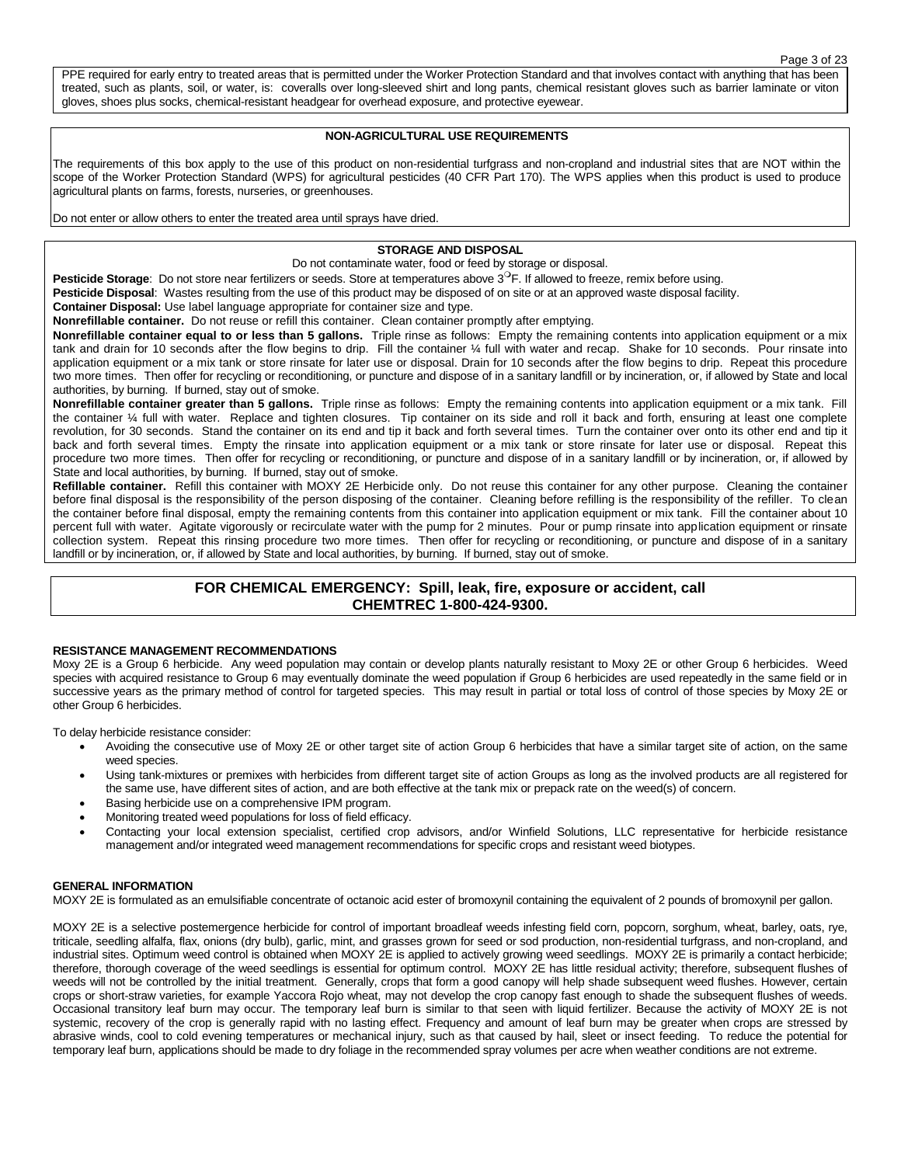#### Page 3 of 23

PPE required for early entry to treated areas that is permitted under the Worker Protection Standard and that involves contact with anything that has been treated, such as plants, soil, or water, is: coveralls over long-sleeved shirt and long pants, chemical resistant gloves such as barrier laminate or viton gloves, shoes plus socks, chemical-resistant headgear for overhead exposure, and protective eyewear.

## **NON-AGRICULTURAL USE REQUIREMENTS**

The requirements of this box apply to the use of this product on non-residential turfgrass and non-cropland and industrial sites that are NOT within the scope of the Worker Protection Standard (WPS) for agricultural pesticides (40 CFR Part 170). The WPS applies when this product is used to produce agricultural plants on farms, forests, nurseries, or greenhouses.

Do not enter or allow others to enter the treated area until sprays have dried.

## **STORAGE AND DISPOSAL**

Do not contaminate water, food or feed by storage or disposal.

**Pesticide Storage**: Do not store near fertilizers or seeds. Store at temperatures above 3<sup>o</sup>F. If allowed to freeze, remix before using.

**Pesticide Disposal**: Wastes resulting from the use of this product may be disposed of on site or at an approved waste disposal facility.

**Container Disposal:** Use label language appropriate for container size and type.

**Nonrefillable container.** Do not reuse or refill this container. Clean container promptly after emptying.

**Nonrefillable container equal to or less than 5 gallons.** Triple rinse as follows: Empty the remaining contents into application equipment or a mix tank and drain for 10 seconds after the flow begins to drip. Fill the container ¼ full with water and recap. Shake for 10 seconds. Pour rinsate into application equipment or a mix tank or store rinsate for later use or disposal. Drain for 10 seconds after the flow begins to drip. Repeat this procedure two more times. Then offer for recycling or reconditioning, or puncture and dispose of in a sanitary landfill or by incineration, or, if allowed by State and local authorities, by burning. If burned, stay out of smoke.

**Nonrefillable container greater than 5 gallons.** Triple rinse as follows: Empty the remaining contents into application equipment or a mix tank. Fill the container ¼ full with water. Replace and tighten closures. Tip container on its side and roll it back and forth, ensuring at least one complete revolution, for 30 seconds. Stand the container on its end and tip it back and forth several times. Turn the container over onto its other end and tip it back and forth several times. Empty the rinsate into application equipment or a mix tank or store rinsate for later use or disposal. Repeat this procedure two more times. Then offer for recycling or reconditioning, or puncture and dispose of in a sanitary landfill or by incineration, or, if allowed by State and local authorities, by burning. If burned, stay out of smoke.

**Refillable container.** Refill this container with MOXY 2E Herbicide only. Do not reuse this container for any other purpose. Cleaning the container before final disposal is the responsibility of the person disposing of the container. Cleaning before refilling is the responsibility of the refiller. To clean the container before final disposal, empty the remaining contents from this container into application equipment or mix tank. Fill the container about 10 percent full with water. Agitate vigorously or recirculate water with the pump for 2 minutes. Pour or pump rinsate into application equipment or rinsate collection system. Repeat this rinsing procedure two more times. Then offer for recycling or reconditioning, or puncture and dispose of in a sanitary landfill or by incineration, or, if allowed by State and local authorities, by burning. If burned, stay out of smoke.

## **FOR CHEMICAL EMERGENCY: Spill, leak, fire, exposure or accident, call CHEMTREC 1-800-424-9300.**

## **RESISTANCE MANAGEMENT RECOMMENDATIONS**

Moxy 2E is a Group 6 herbicide. Any weed population may contain or develop plants naturally resistant to Moxy 2E or other Group 6 herbicides. Weed species with acquired resistance to Group 6 may eventually dominate the weed population if Group 6 herbicides are used repeatedly in the same field or in successive years as the primary method of control for targeted species. This may result in partial or total loss of control of those species by Moxy 2E or other Group 6 herbicides.

To delay herbicide resistance consider:

- Avoiding the consecutive use of Moxy 2E or other target site of action Group 6 herbicides that have a similar target site of action, on the same weed species.
- Using tank-mixtures or premixes with herbicides from different target site of action Groups as long as the involved products are all registered for the same use, have different sites of action, and are both effective at the tank mix or prepack rate on the weed(s) of concern.
- Basing herbicide use on a comprehensive IPM program.
- Monitoring treated weed populations for loss of field efficacy.
- Contacting your local extension specialist, certified crop advisors, and/or Winfield Solutions, LLC representative for herbicide resistance management and/or integrated weed management recommendations for specific crops and resistant weed biotypes.

## **GENERAL INFORMATION**

MOXY 2E is formulated as an emulsifiable concentrate of octanoic acid ester of bromoxynil containing the equivalent of 2 pounds of bromoxynil per gallon.

MOXY 2E is a selective postemergence herbicide for control of important broadleaf weeds infesting field corn, popcorn, sorghum, wheat, barley, oats, rye, triticale, seedling alfalfa, flax, onions (dry bulb), garlic, mint, and grasses grown for seed or sod production, non-residential turfgrass, and non-cropland, and industrial sites. Optimum weed control is obtained when MOXY 2E is applied to actively growing weed seedlings. MOXY 2E is primarily a contact herbicide; therefore, thorough coverage of the weed seedlings is essential for optimum control. MOXY 2E has little residual activity; therefore, subsequent flushes of weeds will not be controlled by the initial treatment. Generally, crops that form a good canopy will help shade subsequent weed flushes. However, certain crops or short-straw varieties, for example Yaccora Rojo wheat, may not develop the crop canopy fast enough to shade the subsequent flushes of weeds. Occasional transitory leaf burn may occur. The temporary leaf burn is similar to that seen with liquid fertilizer. Because the activity of MOXY 2E is not systemic, recovery of the crop is generally rapid with no lasting effect. Frequency and amount of leaf burn may be greater when crops are stressed by abrasive winds, cool to cold evening temperatures or mechanical injury, such as that caused by hail, sleet or insect feeding. To reduce the potential for temporary leaf burn, applications should be made to dry foliage in the recommended spray volumes per acre when weather conditions are not extreme.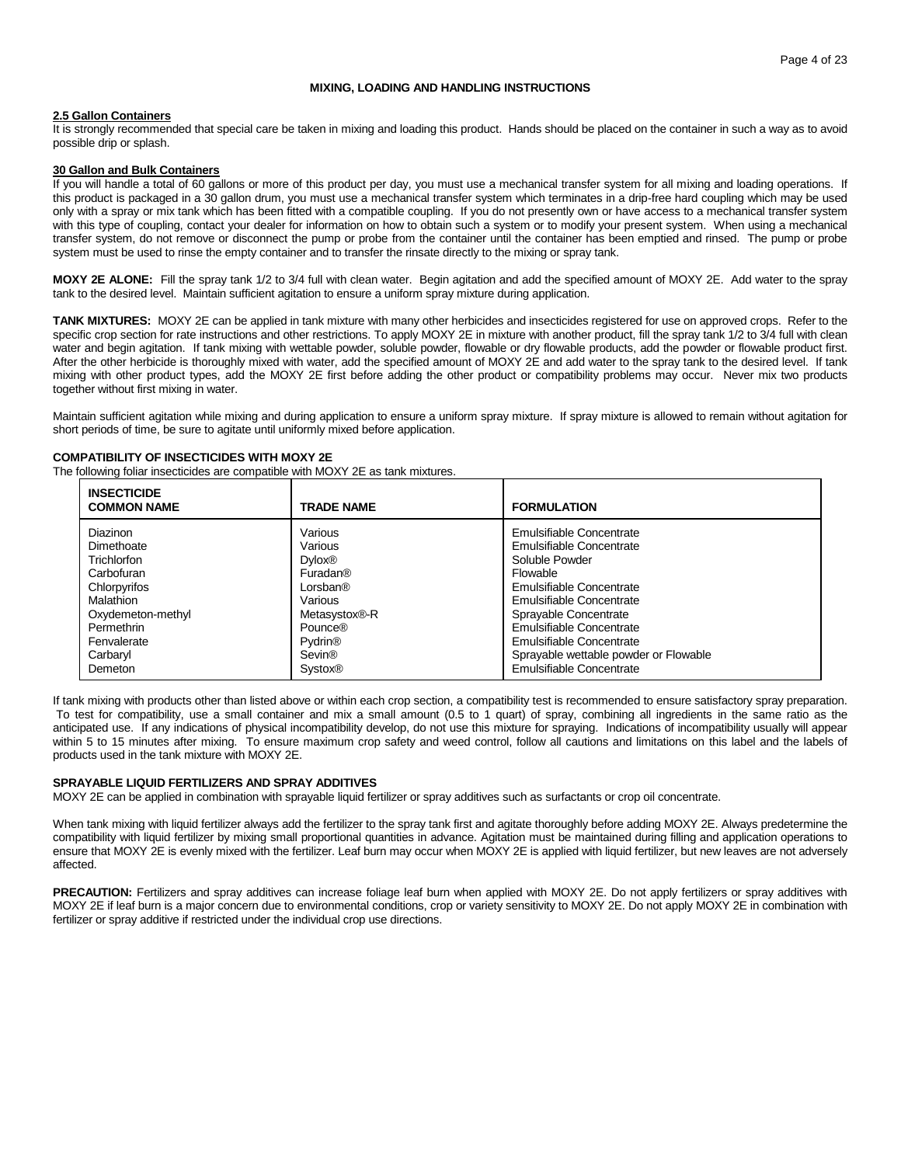## **MIXING, LOADING AND HANDLING INSTRUCTIONS**

## **2.5 Gallon Containers**

It is strongly recommended that special care be taken in mixing and loading this product. Hands should be placed on the container in such a way as to avoid possible drip or splash.

## **30 Gallon and Bulk Containers**

If you will handle a total of 60 gallons or more of this product per day, you must use a mechanical transfer system for all mixing and loading operations. If this product is packaged in a 30 gallon drum, you must use a mechanical transfer system which terminates in a drip-free hard coupling which may be used only with a spray or mix tank which has been fitted with a compatible coupling. If you do not presently own or have access to a mechanical transfer system with this type of coupling, contact your dealer for information on how to obtain such a system or to modify your present system. When using a mechanical transfer system, do not remove or disconnect the pump or probe from the container until the container has been emptied and rinsed. The pump or probe system must be used to rinse the empty container and to transfer the rinsate directly to the mixing or spray tank.

**MOXY 2E ALONE:** Fill the spray tank 1/2 to 3/4 full with clean water. Begin agitation and add the specified amount of MOXY 2E. Add water to the spray tank to the desired level. Maintain sufficient agitation to ensure a uniform spray mixture during application.

**TANK MIXTURES:** MOXY 2E can be applied in tank mixture with many other herbicides and insecticides registered for use on approved crops. Refer to the specific crop section for rate instructions and other restrictions. To apply MOXY 2E in mixture with another product, fill the spray tank 1/2 to 3/4 full with clean water and begin agitation. If tank mixing with wettable powder, soluble powder, flowable or dry flowable products, add the powder or flowable product first. After the other herbicide is thoroughly mixed with water, add the specified amount of MOXY 2E and add water to the spray tank to the desired level. If tank mixing with other product types, add the MOXY 2E first before adding the other product or compatibility problems may occur. Never mix two products together without first mixing in water.

Maintain sufficient agitation while mixing and during application to ensure a uniform spray mixture. If spray mixture is allowed to remain without agitation for short periods of time, be sure to agitate until uniformly mixed before application.

## **COMPATIBILITY OF INSECTICIDES WITH MOXY 2E**

The following foliar insecticides are compatible with MOXY 2E as tank mixtures.

| <b>INSECTICIDE</b><br><b>COMMON NAME</b> | <b>TRADE NAME</b>         | <b>FORMULATION</b>                    |
|------------------------------------------|---------------------------|---------------------------------------|
| <b>Diazinon</b>                          | Various                   | Emulsifiable Concentrate              |
| Dimethoate                               | Various                   | Emulsifiable Concentrate              |
| Trichlorfon                              | <b>Dvlox®</b>             | Soluble Powder                        |
| Carbofuran                               | Furadan®                  | Flowable                              |
| Chlorpyrifos                             | Lorsban®                  | Emulsifiable Concentrate              |
| Malathion                                | Various                   | Emulsifiable Concentrate              |
| Oxydemeton-methyl                        | Metasystox®-R             | Sprayable Concentrate                 |
| Permethrin                               | Pounce®                   | Emulsifiable Concentrate              |
| Fenvalerate                              | <b>Pydrin<sup>®</sup></b> | Emulsifiable Concentrate              |
| Carbaryl                                 | Sevin®                    | Sprayable wettable powder or Flowable |
| Demeton                                  | <b>Systox®</b>            | Emulsifiable Concentrate              |

If tank mixing with products other than listed above or within each crop section, a compatibility test is recommended to ensure satisfactory spray preparation. To test for compatibility, use a small container and mix a small amount (0.5 to 1 quart) of spray, combining all ingredients in the same ratio as the anticipated use. If any indications of physical incompatibility develop, do not use this mixture for spraying. Indications of incompatibility usually will appear within 5 to 15 minutes after mixing. To ensure maximum crop safety and weed control, follow all cautions and limitations on this label and the labels of products used in the tank mixture with MOXY 2E.

## **SPRAYABLE LIQUID FERTILIZERS AND SPRAY ADDITIVES**

MOXY 2E can be applied in combination with sprayable liquid fertilizer or spray additives such as surfactants or crop oil concentrate.

When tank mixing with liquid fertilizer always add the fertilizer to the spray tank first and agitate thoroughly before adding MOXY 2E. Always predetermine the compatibility with liquid fertilizer by mixing small proportional quantities in advance. Agitation must be maintained during filling and application operations to ensure that MOXY 2E is evenly mixed with the fertilizer. Leaf burn may occur when MOXY 2E is applied with liquid fertilizer, but new leaves are not adversely affected.

**PRECAUTION:** Fertilizers and spray additives can increase foliage leaf burn when applied with MOXY 2E. Do not apply fertilizers or spray additives with MOXY 2E if leaf burn is a major concern due to environmental conditions, crop or variety sensitivity to MOXY 2E. Do not apply MOXY 2E in combination with fertilizer or spray additive if restricted under the individual crop use directions.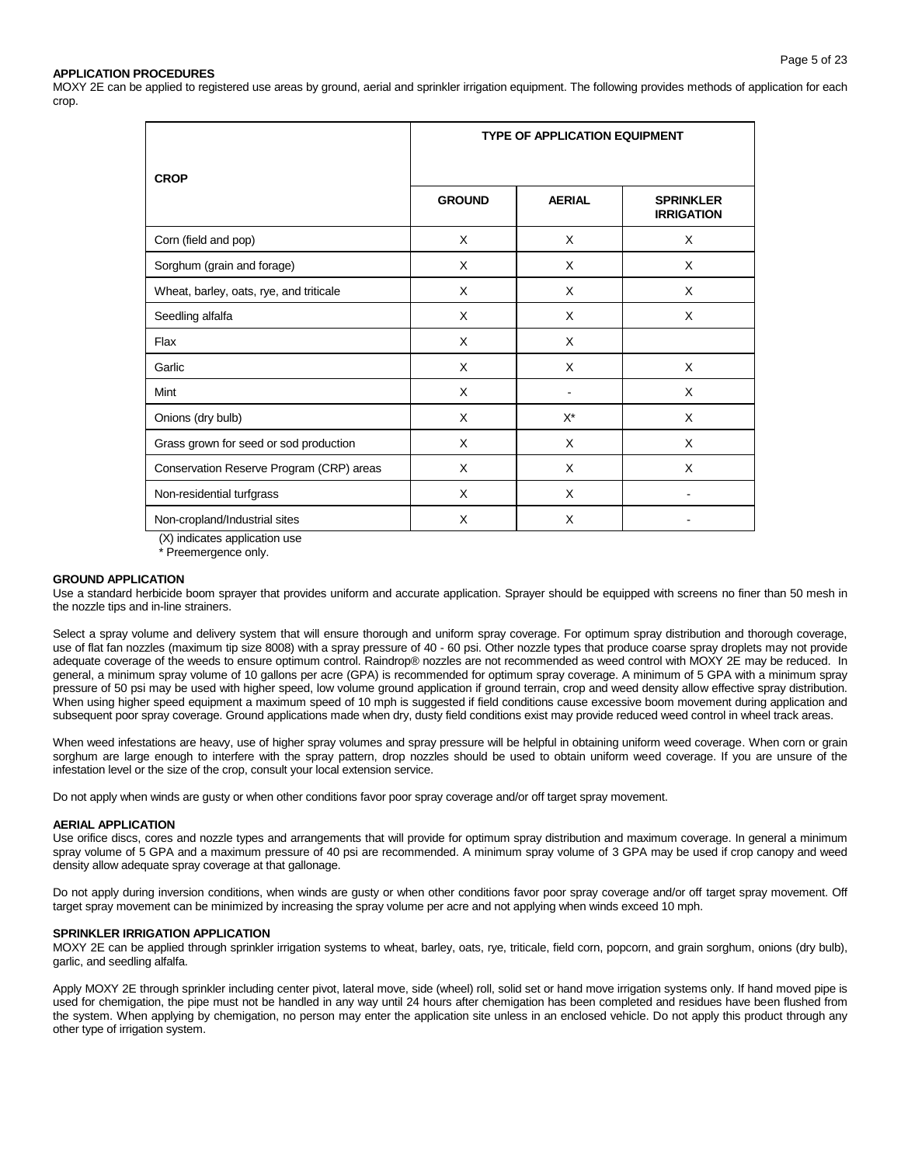## Page 5 of 23

## **APPLICATION PROCEDURES**

MOXY 2E can be applied to registered use areas by ground, aerial and sprinkler irrigation equipment. The following provides methods of application for each crop.

|                                                                                                        | <b>TYPE OF APPLICATION EQUIPMENT</b> |               |                                       |  |  |  |
|--------------------------------------------------------------------------------------------------------|--------------------------------------|---------------|---------------------------------------|--|--|--|
| <b>CROP</b>                                                                                            | <b>GROUND</b>                        | <b>AERIAL</b> | <b>SPRINKLER</b><br><b>IRRIGATION</b> |  |  |  |
| Corn (field and pop)                                                                                   | X                                    | X             | X                                     |  |  |  |
| Sorghum (grain and forage)                                                                             | X                                    | X             | X                                     |  |  |  |
| Wheat, barley, oats, rye, and triticale                                                                | X                                    | X             | X                                     |  |  |  |
| Seedling alfalfa                                                                                       | X                                    | X             | X                                     |  |  |  |
| Flax                                                                                                   | X                                    | X             |                                       |  |  |  |
| Garlic                                                                                                 | X                                    | X             | X                                     |  |  |  |
| Mint                                                                                                   | X                                    |               | X                                     |  |  |  |
| Onions (dry bulb)                                                                                      | X                                    | $X^*$         | X                                     |  |  |  |
| Grass grown for seed or sod production                                                                 | X                                    | X             | X                                     |  |  |  |
| Conservation Reserve Program (CRP) areas                                                               | X                                    | X             | X                                     |  |  |  |
| Non-residential turfgrass                                                                              | X                                    | X             |                                       |  |  |  |
| Non-cropland/Industrial sites<br>$\mathbf{a}$ $\mathbf{b}$ $\mathbf{c}$ $\mathbf{d}$ $\mathbf{c}$<br>. | X                                    | X             |                                       |  |  |  |

(X) indicates application use \* Preemergence only.

#### **GROUND APPLICATION**

Use a standard herbicide boom sprayer that provides uniform and accurate application. Sprayer should be equipped with screens no finer than 50 mesh in the nozzle tips and in-line strainers.

Select a spray volume and delivery system that will ensure thorough and uniform spray coverage. For optimum spray distribution and thorough coverage, use of flat fan nozzles (maximum tip size 8008) with a spray pressure of 40 - 60 psi. Other nozzle types that produce coarse spray droplets may not provide adequate coverage of the weeds to ensure optimum control. Raindrop® nozzles are not recommended as weed control with MOXY 2E may be reduced. In general, a minimum spray volume of 10 gallons per acre (GPA) is recommended for optimum spray coverage. A minimum of 5 GPA with a minimum spray pressure of 50 psi may be used with higher speed, low volume ground application if ground terrain, crop and weed density allow effective spray distribution. When using higher speed equipment a maximum speed of 10 mph is suggested if field conditions cause excessive boom movement during application and subsequent poor spray coverage. Ground applications made when dry, dusty field conditions exist may provide reduced weed control in wheel track areas.

When weed infestations are heavy, use of higher spray volumes and spray pressure will be helpful in obtaining uniform weed coverage. When corn or grain sorghum are large enough to interfere with the spray pattern, drop nozzles should be used to obtain uniform weed coverage. If you are unsure of the infestation level or the size of the crop, consult your local extension service.

Do not apply when winds are gusty or when other conditions favor poor spray coverage and/or off target spray movement.

## **AERIAL APPLICATION**

Use orifice discs, cores and nozzle types and arrangements that will provide for optimum spray distribution and maximum coverage. In general a minimum spray volume of 5 GPA and a maximum pressure of 40 psi are recommended. A minimum spray volume of 3 GPA may be used if crop canopy and weed density allow adequate spray coverage at that gallonage.

Do not apply during inversion conditions, when winds are gusty or when other conditions favor poor spray coverage and/or off target spray movement. Off target spray movement can be minimized by increasing the spray volume per acre and not applying when winds exceed 10 mph.

## **SPRINKLER IRRIGATION APPLICATION**

MOXY 2E can be applied through sprinkler irrigation systems to wheat, barley, oats, rye, triticale, field corn, popcorn, and grain sorghum, onions (dry bulb), garlic, and seedling alfalfa.

Apply MOXY 2E through sprinkler including center pivot, lateral move, side (wheel) roll, solid set or hand move irrigation systems only. If hand moved pipe is used for chemigation, the pipe must not be handled in any way until 24 hours after chemigation has been completed and residues have been flushed from the system. When applying by chemigation, no person may enter the application site unless in an enclosed vehicle. Do not apply this product through any other type of irrigation system.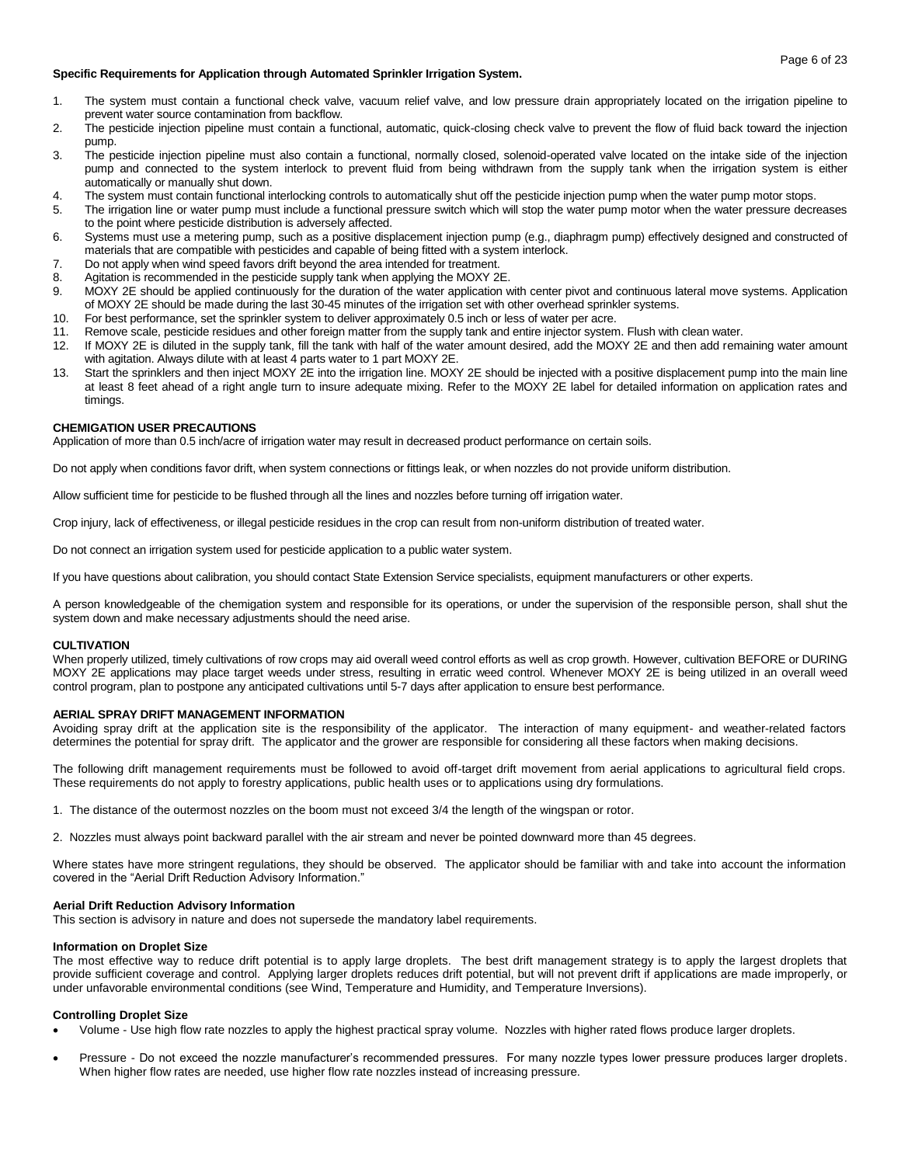## **Specific Requirements for Application through Automated Sprinkler Irrigation System.**

- 1. The system must contain a functional check valve, vacuum relief valve, and low pressure drain appropriately located on the irrigation pipeline to prevent water source contamination from backflow.
- 2. The pesticide injection pipeline must contain a functional, automatic, quick-closing check valve to prevent the flow of fluid back toward the injection pump.
- 3. The pesticide injection pipeline must also contain a functional, normally closed, solenoid-operated valve located on the intake side of the injection pump and connected to the system interlock to prevent fluid from being withdrawn from the supply tank when the irrigation system is either automatically or manually shut down.
- 4. The system must contain functional interlocking controls to automatically shut off the pesticide injection pump when the water pump motor stops.
- 5. The irrigation line or water pump must include a functional pressure switch which will stop the water pump motor when the water pressure decreases to the point where pesticide distribution is adversely affected.
- 6. Systems must use a metering pump, such as a positive displacement injection pump (e.g., diaphragm pump) effectively designed and constructed of materials that are compatible with pesticides and capable of being fitted with a system interlock.
- 7. Do not apply when wind speed favors drift beyond the area intended for treatment.
- 8. Agitation is recommended in the pesticide supply tank when applying the MOXY 2E.
- 9. MOXY 2E should be applied continuously for the duration of the water application with center pivot and continuous lateral move systems. Application of MOXY 2E should be made during the last 30-45 minutes of the irrigation set with other overhead sprinkler systems.
- 10. For best performance, set the sprinkler system to deliver approximately 0.5 inch or less of water per acre.
- 11. Remove scale, pesticide residues and other foreign matter from the supply tank and entire injector system. Flush with clean water.
- 12. If MOXY 2E is diluted in the supply tank, fill the tank with half of the water amount desired, add the MOXY 2E and then add remaining water amount with agitation. Always dilute with at least 4 parts water to 1 part MOXY 2E.
- 13. Start the sprinklers and then inject MOXY 2E into the irrigation line. MOXY 2E should be injected with a positive displacement pump into the main line at least 8 feet ahead of a right angle turn to insure adequate mixing. Refer to the MOXY 2E label for detailed information on application rates and timings.

## **CHEMIGATION USER PRECAUTIONS**

Application of more than 0.5 inch/acre of irrigation water may result in decreased product performance on certain soils.

Do not apply when conditions favor drift, when system connections or fittings leak, or when nozzles do not provide uniform distribution.

Allow sufficient time for pesticide to be flushed through all the lines and nozzles before turning off irrigation water.

Crop injury, lack of effectiveness, or illegal pesticide residues in the crop can result from non-uniform distribution of treated water.

Do not connect an irrigation system used for pesticide application to a public water system.

If you have questions about calibration, you should contact State Extension Service specialists, equipment manufacturers or other experts.

A person knowledgeable of the chemigation system and responsible for its operations, or under the supervision of the responsible person, shall shut the system down and make necessary adjustments should the need arise.

## **CULTIVATION**

When properly utilized, timely cultivations of row crops may aid overall weed control efforts as well as crop growth. However, cultivation BEFORE or DURING MOXY 2E applications may place target weeds under stress, resulting in erratic weed control. Whenever MOXY 2E is being utilized in an overall weed control program, plan to postpone any anticipated cultivations until 5-7 days after application to ensure best performance.

## **AERIAL SPRAY DRIFT MANAGEMENT INFORMATION**

Avoiding spray drift at the application site is the responsibility of the applicator. The interaction of many equipment- and weather-related factors determines the potential for spray drift. The applicator and the grower are responsible for considering all these factors when making decisions.

The following drift management requirements must be followed to avoid off-target drift movement from aerial applications to agricultural field crops. These requirements do not apply to forestry applications, public health uses or to applications using dry formulations.

1. The distance of the outermost nozzles on the boom must not exceed 3/4 the length of the wingspan or rotor.

2. Nozzles must always point backward parallel with the air stream and never be pointed downward more than 45 degrees.

Where states have more stringent regulations, they should be observed. The applicator should be familiar with and take into account the information covered in the "Aerial Drift Reduction Advisory Information."

## **Aerial Drift Reduction Advisory Information**

This section is advisory in nature and does not supersede the mandatory label requirements.

## **Information on Droplet Size**

The most effective way to reduce drift potential is to apply large droplets. The best drift management strategy is to apply the largest droplets that provide sufficient coverage and control. Applying larger droplets reduces drift potential, but will not prevent drift if applications are made improperly, or under unfavorable environmental conditions (see Wind, Temperature and Humidity, and Temperature Inversions).

## **Controlling Droplet Size**

- Volume Use high flow rate nozzles to apply the highest practical spray volume. Nozzles with higher rated flows produce larger droplets.
- Pressure Do not exceed the nozzle manufacturer's recommended pressures. For many nozzle types lower pressure produces larger droplets. When higher flow rates are needed, use higher flow rate nozzles instead of increasing pressure.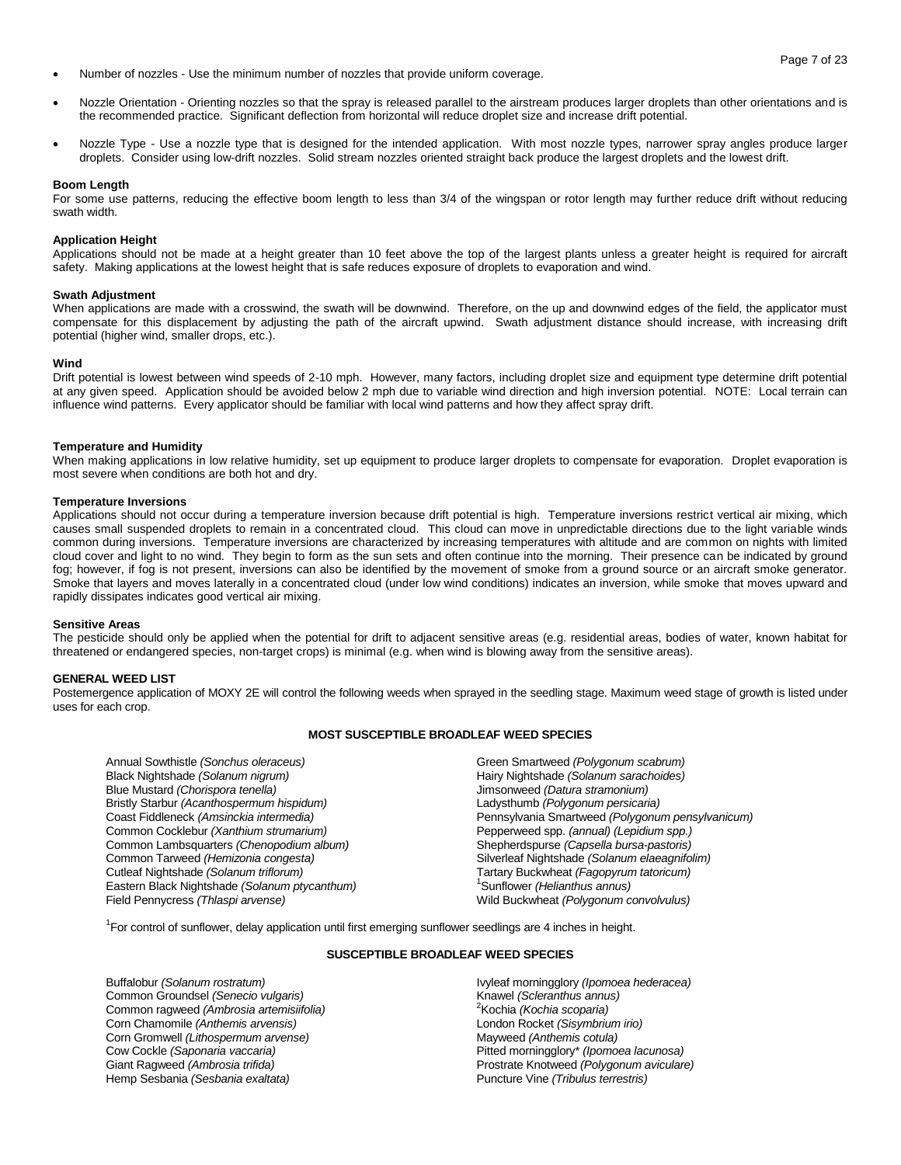- Number of nozzles Use the minimum number of nozzles that provide uniform coverage.
- Nozzle Orientation Orienting nozzles so that the spray is released parallel to the airstream produces larger droplets than other orientations and is the recommended practice. Significant deflection from horizontal will reduce droplet size and increase drift potential.
- Nozzle Type Use a nozzle type that is designed for the intended application. With most nozzle types, narrower spray angles produce larger droplets. Consider using low-drift nozzles. Solid stream nozzles oriented straight back produce the largest droplets and the lowest drift.

## **Boom Length**

For some use patterns, reducing the effective boom length to less than 3/4 of the wingspan or rotor length may further reduce drift without reducing swath width.

#### **Application Height**

Applications should not be made at a height greater than 10 feet above the top of the largest plants unless a greater height is required for aircraft safety. Making applications at the lowest height that is safe reduces exposure of droplets to evaporation and wind.

#### **Swath Adjustment**

When applications are made with a crosswind, the swath will be downwind. Therefore, on the up and downwind edges of the field, the applicator must compensate for this displacement by adjusting the path of the aircraft upwind. Swath adjustment distance should increase, with increasing drift potential (higher wind, smaller drops, etc.).

#### **Wind**

Drift potential is lowest between wind speeds of 2-10 mph. However, many factors, including droplet size and equipment type determine drift potential at any given speed. Application should be avoided below 2 mph due to variable wind direction and high inversion potential. NOTE: Local terrain can influence wind patterns. Every applicator should be familiar with local wind patterns and how they affect spray drift.

#### **Temperature and Humidity**

When making applications in low relative humidity, set up equipment to produce larger droplets to compensate for evaporation. Droplet evaporation is most severe when conditions are both hot and dry.

#### **Temperature Inversions**

Applications should not occur during a temperature inversion because drift potential is high. Temperature inversions restrict vertical air mixing, which causes small suspended droplets to remain in a concentrated cloud. This cloud can move in unpredictable directions due to the light variable winds common during inversions. Temperature inversions are characterized by increasing temperatures with altitude and are common on nights with limited cloud cover and light to no wind. They begin to form as the sun sets and often continue into the morning. Their presence can be indicated by ground fog; however, if fog is not present, inversions can also be identified by the movement of smoke from a ground source or an aircraft smoke generator. Smoke that layers and moves laterally in a concentrated cloud (under low wind conditions) indicates an inversion, while smoke that moves upward and rapidly dissipates indicates good vertical air mixing.

#### **Sensitive Areas**

The pesticide should only be applied when the potential for drift to adjacent sensitive areas (e.g. residential areas, bodies of water, known habitat for threatened or endangered species, non-target crops) is minimal (e.g. when wind is blowing away from the sensitive areas).

#### **GENERAL WEED LIST**

Postemergence application of MOXY 2E will control the following weeds when sprayed in the seedling stage. Maximum weed stage of growth is listed under uses for each crop.

## **MOST SUSCEPTIBLE BROADLEAF WEED SPECIES**

Annual Sowthistle *(Sonchus oleraceus)* Black Nightshade *(Solanum nigrum)* Blue Mustard *(Chorispora tenella)* Bristly Starbur *(Acanthospermum hispidum)* Coast Fiddleneck *(Amsinckia intermedia)* Common Cocklebur *(Xanthium strumarium)* Common Lambsquarters *(Chenopodium album)* Common Tarweed *(Hemizonia congesta)* Cutleaf Nightshade *(Solanum triflorum)* Eastern Black Nightshade *(Solanum ptycanthum)* Field Pennycress *(Thlaspi arvense)*

Green Smartweed *(Polygonum scabrum)* Hairy Nightshade *(Solanum sarachoides)* Jimsonweed *(Datura stramonium)* Ladysthumb *(Polygonum persicaria)* Pennsylvania Smartweed *(Polygonum pensylvanicum)* Pepperweed spp. *(annual) (Lepidium spp.)* Shepherdspurse *(Capsella bursa-pastoris)* Silverleaf Nightshade *(Solanum elaeagnifolim)* Tartary Buckwheat *(Fagopyrum tatoricum)* <sup>1</sup>Sunflower *(Helianthus annus)* Wild Buckwheat *(Polygonum convolvulus)*

<sup>1</sup>For control of sunflower, delay application until first emerging sunflower seedlings are 4 inches in height.

## **SUSCEPTIBLE BROADLEAF WEED SPECIES**

Buffalobur *(Solanum rostratum)* Common Groundsel *(Senecio vulgaris)* Common ragweed *(Ambrosia artemisiifolia)* Corn Chamomile *(Anthemis arvensis)* Corn Gromwell *(Lithospermum arvense)* Cow Cockle *(Saponaria vaccaria)* Giant Ragweed *(Ambrosia trifida)* Hemp Sesbania *(Sesbania exaltata)*

Ivyleaf morningglory *(Ipomoea hederacea)* Knawel *(Scleranthus annus)* <sup>2</sup>Kochia *(Kochia scoparia)* London Rocket *(Sisymbrium irio)* Mayweed *(Anthemis cotula)* Pitted morningglory\* *(Ipomoea lacunosa)*  Prostrate Knotweed *(Polygonum aviculare)* Puncture Vine *(Tribulus terrestris)*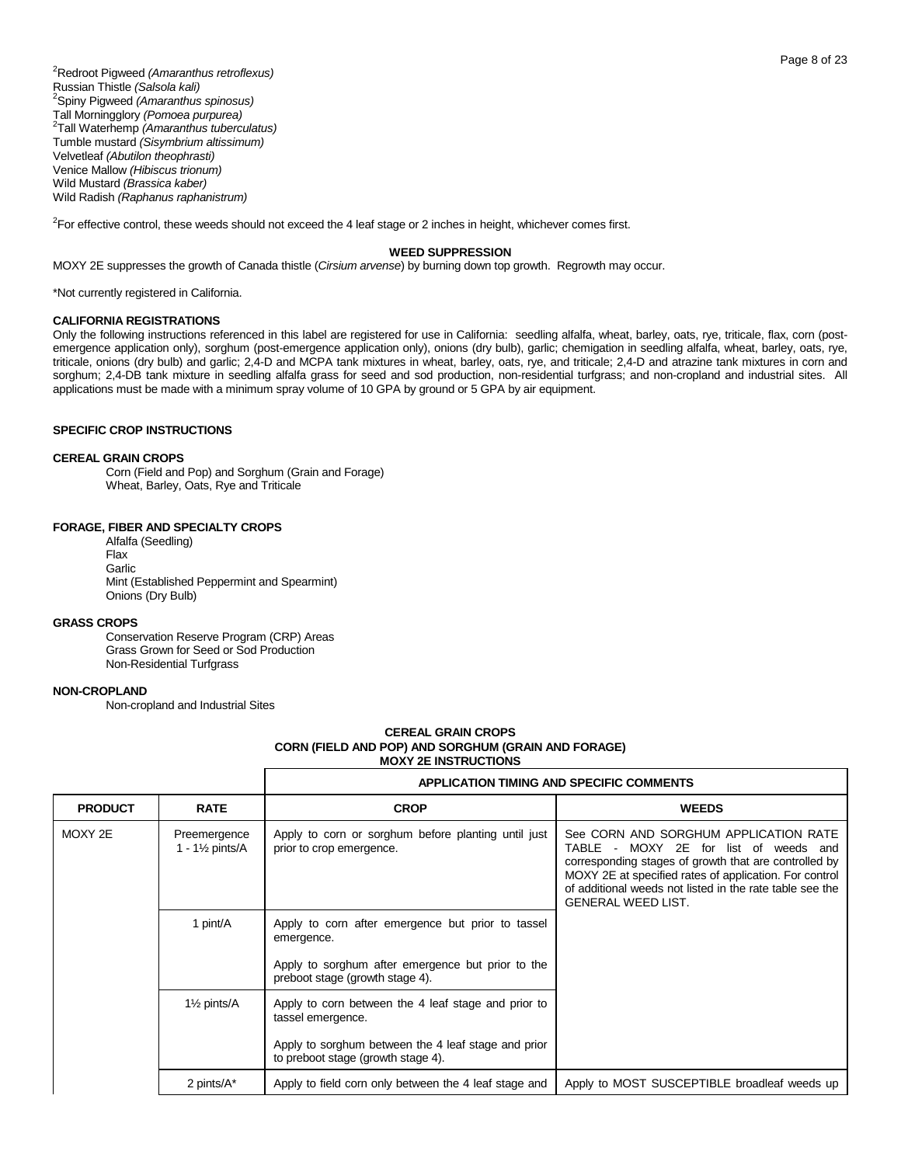<sup>2</sup>Redroot Pigweed *(Amaranthus retroflexus)* Russian Thistle *(Salsola kali)* <sup>2</sup>Spiny Pigweed *(Amaranthus spinosus)* Tall Morningglory *(Pomoea purpurea)* 2 Tall Waterhemp *(Amaranthus tuberculatus)* Tumble mustard *(Sisymbrium altissimum)* Velvetleaf *(Abutilon theophrasti)* Venice Mallow *(Hibiscus trionum)* Wild Mustard *(Brassica kaber)* Wild Radish *(Raphanus raphanistrum)*

<sup>2</sup>For effective control, these weeds should not exceed the 4 leaf stage or 2 inches in height, whichever comes first.

#### **WEED SUPPRESSION**

MOXY 2E suppresses the growth of Canada thistle (*Cirsium arvense*) by burning down top growth. Regrowth may occur.

\*Not currently registered in California.

## **CALIFORNIA REGISTRATIONS**

Only the following instructions referenced in this label are registered for use in California: seedling alfalfa, wheat, barley, oats, rye, triticale, flax, corn (postemergence application only), sorghum (post-emergence application only), onions (dry bulb), garlic; chemigation in seedling alfalfa, wheat, barley, oats, rye, triticale, onions (dry bulb) and garlic; 2,4-D and MCPA tank mixtures in wheat, barley, oats, rye, and triticale; 2,4-D and atrazine tank mixtures in corn and sorghum; 2,4-DB tank mixture in seedling alfalfa grass for seed and sod production, non-residential turfgrass; and non-cropland and industrial sites. All applications must be made with a minimum spray volume of 10 GPA by ground or 5 GPA by air equipment.

## **SPECIFIC CROP INSTRUCTIONS**

#### **CEREAL GRAIN CROPS**

Corn (Field and Pop) and Sorghum (Grain and Forage) Wheat, Barley, Oats, Rye and Triticale

## **FORAGE, FIBER AND SPECIALTY CROPS**

Alfalfa (Seedling) Flax **Garlic** Mint (Established Peppermint and Spearmint) Onions (Dry Bulb)

## **GRASS CROPS**

Conservation Reserve Program (CRP) Areas Grass Grown for Seed or Sod Production Non-Residential Turfgrass

## **NON-CROPLAND**

Non-cropland and Industrial Sites

## **CEREAL GRAIN CROPS CORN (FIELD AND POP) AND SORGHUM (GRAIN AND FORAGE) MOXY 2E INSTRUCTIONS**

|                        |                                            |                                                                                           | <b>APPLICATION TIMING AND SPECIFIC COMMENTS</b>                                                                                                                                                                                                                                            |
|------------------------|--------------------------------------------|-------------------------------------------------------------------------------------------|--------------------------------------------------------------------------------------------------------------------------------------------------------------------------------------------------------------------------------------------------------------------------------------------|
| <b>PRODUCT</b>         | <b>RATE</b>                                | <b>CROP</b>                                                                               | <b>WEEDS</b>                                                                                                                                                                                                                                                                               |
| MOXY 2E                | Preemergence<br>1 - $1\frac{1}{2}$ pints/A | Apply to corn or sorghum before planting until just<br>prior to crop emergence.           | See CORN AND SORGHUM APPLICATION RATE<br>TABLE - MOXY 2E for list of weeds and<br>corresponding stages of growth that are controlled by<br>MOXY 2E at specified rates of application. For control<br>of additional weeds not listed in the rate table see the<br><b>GENERAL WEED LIST.</b> |
| 1 pint/A<br>emergence. |                                            | Apply to corn after emergence but prior to tassel                                         |                                                                                                                                                                                                                                                                                            |
|                        |                                            | Apply to sorghum after emergence but prior to the<br>preboot stage (growth stage 4).      |                                                                                                                                                                                                                                                                                            |
|                        | 1 <sup>1</sup> / <sub>2</sub> pints/A      | Apply to corn between the 4 leaf stage and prior to<br>tassel emergence.                  |                                                                                                                                                                                                                                                                                            |
|                        |                                            | Apply to sorghum between the 4 leaf stage and prior<br>to preboot stage (growth stage 4). |                                                                                                                                                                                                                                                                                            |
|                        | 2 pints/A*                                 | Apply to field corn only between the 4 leaf stage and                                     | Apply to MOST SUSCEPTIBLE broadleaf weeds up                                                                                                                                                                                                                                               |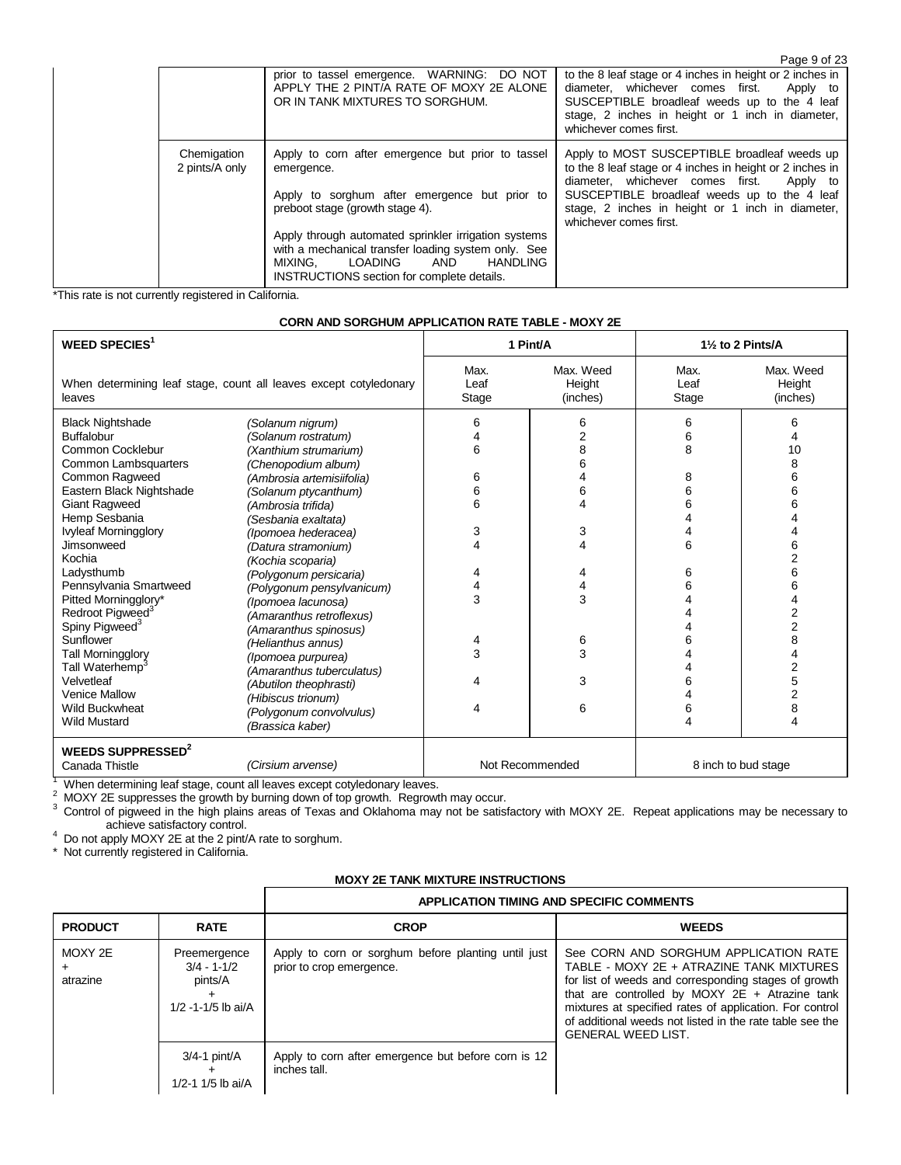|                               |                                                                                                                                                                                                                                                                                                                                                           | Page 9 of 23                                                                                                                                                                                                                                                                           |
|-------------------------------|-----------------------------------------------------------------------------------------------------------------------------------------------------------------------------------------------------------------------------------------------------------------------------------------------------------------------------------------------------------|----------------------------------------------------------------------------------------------------------------------------------------------------------------------------------------------------------------------------------------------------------------------------------------|
|                               | prior to tassel emergence. WARNING: DO NOT<br>APPLY THE 2 PINT/A RATE OF MOXY 2E ALONE<br>OR IN TANK MIXTURES TO SORGHUM.                                                                                                                                                                                                                                 | to the 8 leaf stage or 4 inches in height or 2 inches in<br>diameter, whichever comes first.<br>Apply to<br>SUSCEPTIBLE broadleaf weeds up to the 4 leaf<br>stage, 2 inches in height or 1 inch in diameter,<br>whichever comes first.                                                 |
| Chemigation<br>2 pints/A only | Apply to corn after emergence but prior to tassel<br>emergence.<br>Apply to sorghum after emergence but prior to<br>preboot stage (growth stage 4).<br>Apply through automated sprinkler irrigation systems<br>with a mechanical transfer loading system only. See<br>LOADING<br>AND<br>HANDLING<br>MIXING.<br>INSTRUCTIONS section for complete details. | Apply to MOST SUSCEPTIBLE broadleaf weeds up<br>to the 8 leaf stage or 4 inches in height or 2 inches in<br>diameter. whichever comes first.<br>Apply to<br>SUSCEPTIBLE broadleaf weeds up to the 4 leaf<br>stage, 2 inches in height or 1 inch in diameter,<br>whichever comes first. |

\*This rate is not currently registered in California.

## **CORN AND SORGHUM APPLICATION RATE TABLE - MOXY 2E**

| <b>WEED SPECIES<sup>1</sup></b>                                                                                                                                                                                                                                                                                                                                                   |                                                                                                                                                                                                                                                                                                                                                                                                                      | 1 Pint/A                             |                                                        | 11/2 to 2 Pints/A                         |                                                                                                       |
|-----------------------------------------------------------------------------------------------------------------------------------------------------------------------------------------------------------------------------------------------------------------------------------------------------------------------------------------------------------------------------------|----------------------------------------------------------------------------------------------------------------------------------------------------------------------------------------------------------------------------------------------------------------------------------------------------------------------------------------------------------------------------------------------------------------------|--------------------------------------|--------------------------------------------------------|-------------------------------------------|-------------------------------------------------------------------------------------------------------|
| leaves                                                                                                                                                                                                                                                                                                                                                                            | When determining leaf stage, count all leaves except cotyledonary                                                                                                                                                                                                                                                                                                                                                    | Max.<br>Leaf<br>Stage                | Max. Weed<br>Height<br>(inches)                        | Max.<br>Leaf<br>Stage                     | Max. Weed<br>Height<br>(inches)                                                                       |
| <b>Black Nightshade</b><br><b>Buffalobur</b><br>Common Cocklebur<br>Common Lambsquarters<br>Common Ragweed<br>Eastern Black Nightshade<br><b>Giant Ragweed</b><br>Hemp Sesbania<br><b>Ivyleaf Morningglory</b><br>Jimsonweed<br>Kochia<br>Ladysthumb<br>Pennsylvania Smartweed<br>Pitted Morningglory*<br>Redroot Pigweed <sup>3</sup><br>Spiny Pigweed <sup>3</sup><br>Sunflower | (Solanum nigrum)<br>(Solanum rostratum)<br>(Xanthium strumarium)<br>(Chenopodium album)<br>(Ambrosia artemisiifolia)<br>(Solanum ptycanthum)<br>(Ambrosia trifida)<br>(Sesbania exaltata)<br>(Ipomoea hederacea)<br>(Datura stramonium)<br>(Kochia scoparia)<br>(Polygonum persicaria)<br>(Polygonum pensylvanicum)<br>(Ipomoea lacunosa)<br>(Amaranthus retroflexus)<br>(Amaranthus spinosus)<br>(Helianthus annus) | 6<br>6<br>6<br>6<br>6<br>3<br>4<br>3 | 6<br>$\overline{2}$<br>8<br>6<br>6<br>3<br>4<br>3<br>6 | 6<br>6<br>8<br>8<br>6<br>6<br>6<br>6<br>6 | 6<br>10<br>8<br>6<br>6<br>6<br>6<br>$\overline{2}$<br>6<br>6<br>$\overline{2}$<br>$\overline{2}$<br>8 |
| Tall Morningglory<br>Tall Waterhemp <sup>3</sup><br>Velvetleaf<br><b>Venice Mallow</b><br><b>Wild Buckwheat</b><br><b>Wild Mustard</b>                                                                                                                                                                                                                                            | (Ipomoea purpurea)<br>(Amaranthus tuberculatus)<br>(Abutilon theophrasti)<br>(Hibiscus trionum)<br>(Polygonum convolvulus)<br>(Brassica kaber)                                                                                                                                                                                                                                                                       | 3<br>Δ                               | 3<br>3<br>6                                            | 6                                         | 2<br>5<br>$\overline{2}$<br>8<br>4                                                                    |
| <b>WEEDS SUPPRESSED<sup>2</sup></b><br>Canada Thistle                                                                                                                                                                                                                                                                                                                             | (Cirsium arvense)                                                                                                                                                                                                                                                                                                                                                                                                    | Not Recommended                      |                                                        | 8 inch to bud stage                       |                                                                                                       |

 $1$  When determining leaf stage, count all leaves except cotyledonary leaves.

 $2$  MOXY 2E suppresses the growth by burning down of top growth. Regrowth may occur.

 $3$  Control of pigweed in the high plains areas of Texas and Oklahoma may not be satisfactory with MOXY 2E. Repeat applications may be necessary to

achieve satisfactory control.<br><sup>4</sup> Do not apply MOXY 2E at the 2 pint/A rate to sorghum.

\* Not currently registered in California.

## **MOXY 2E TANK MIXTURE INSTRUCTIONS**

|                     |                                                                       | <b>APPLICATION TIMING AND SPECIFIC COMMENTS</b>                                 |                                                                                                                                                                                                                                                                                                                                                   |  |  |  |  |
|---------------------|-----------------------------------------------------------------------|---------------------------------------------------------------------------------|---------------------------------------------------------------------------------------------------------------------------------------------------------------------------------------------------------------------------------------------------------------------------------------------------------------------------------------------------|--|--|--|--|
| <b>PRODUCT</b>      | <b>RATE</b>                                                           | <b>CROP</b>                                                                     | <b>WEEDS</b>                                                                                                                                                                                                                                                                                                                                      |  |  |  |  |
| MOXY 2E<br>atrazine | Preemergence<br>$3/4 - 1 - 1/2$<br>pints/A<br>$1/2 - 1 - 1/5$ lb ai/A | Apply to corn or sorghum before planting until just<br>prior to crop emergence. | See CORN AND SORGHUM APPLICATION RATE<br>TABLE - MOXY 2E + ATRAZINE TANK MIXTURES<br>for list of weeds and corresponding stages of growth<br>that are controlled by MOXY $2E +$ Atrazine tank<br>mixtures at specified rates of application. For control<br>of additional weeds not listed in the rate table see the<br><b>GENERAL WEED LIST.</b> |  |  |  |  |
|                     | $3/4 - 1$ pint/A<br>1/2-1 1/5 lb ai/A                                 | Apply to corn after emergence but before corn is 12<br>inches tall.             |                                                                                                                                                                                                                                                                                                                                                   |  |  |  |  |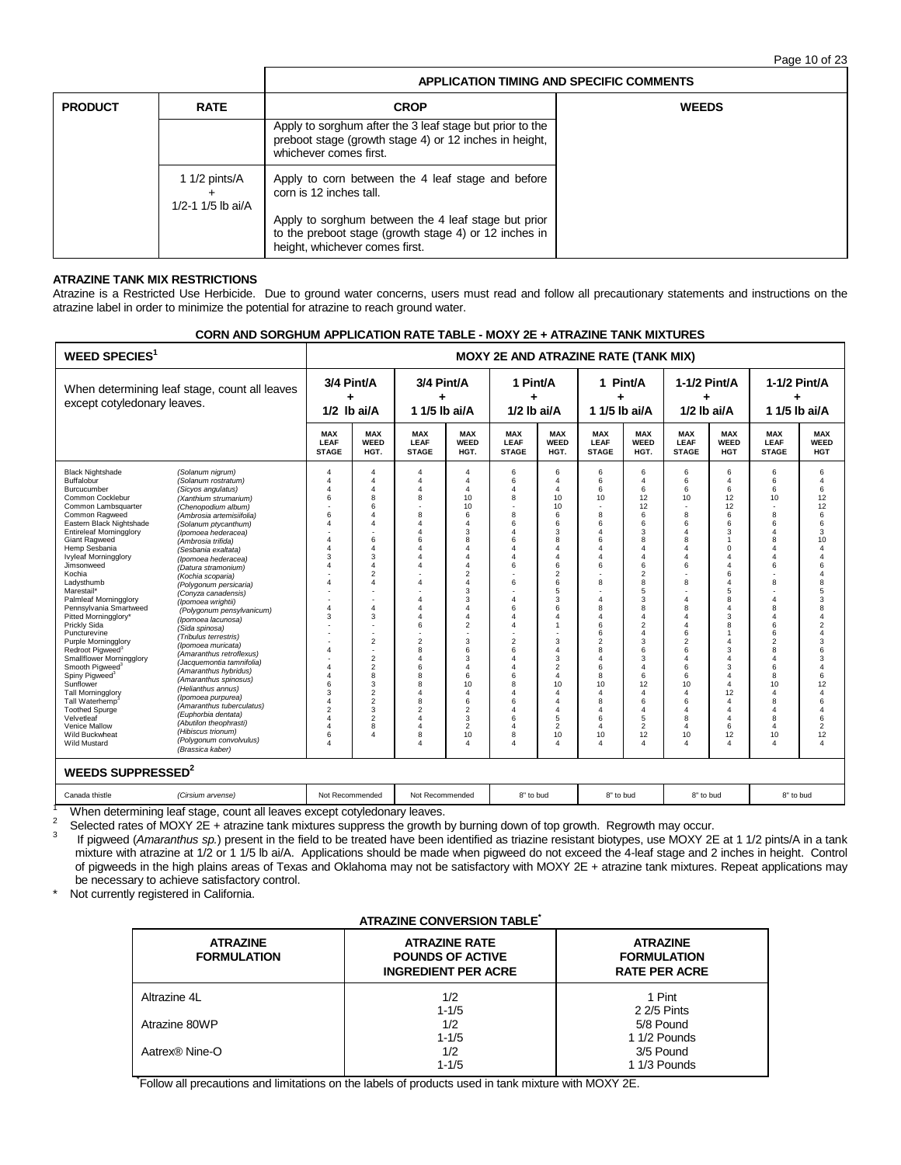Page 10 of 23

|                |                                         | APPLICATION TIMING AND SPECIFIC COMMENTS                                                                                                                                                     |              |  |  |  |  |  |
|----------------|-----------------------------------------|----------------------------------------------------------------------------------------------------------------------------------------------------------------------------------------------|--------------|--|--|--|--|--|
| <b>PRODUCT</b> | <b>RATE</b>                             | <b>CROP</b>                                                                                                                                                                                  | <b>WEEDS</b> |  |  |  |  |  |
|                |                                         | Apply to sorghum after the 3 leaf stage but prior to the<br>preboot stage (growth stage 4) or 12 inches in height,<br>whichever comes first.                                                 |              |  |  |  |  |  |
|                | 1 $1/2$ pints/ $A$<br>1/2-1 1/5 lb ai/A | Apply to corn between the 4 leaf stage and before<br>corn is 12 inches tall.<br>Apply to sorghum between the 4 leaf stage but prior<br>to the preboot stage (growth stage 4) or 12 inches in |              |  |  |  |  |  |
|                |                                         | height, whichever comes first.                                                                                                                                                               |              |  |  |  |  |  |

## **ATRAZINE TANK MIX RESTRICTIONS**

Atrazine is a Restricted Use Herbicide. Due to ground water concerns, users must read and follow all precautionary statements and instructions on the atrazine label in order to minimize the potential for atrazine to reach ground water.

## **CORN AND SORGHUM APPLICATION RATE TABLE - MOXY 2E + ATRAZINE TANK MIXTURES**

| <b>WEED SPECIES</b>                                                                                                                                                                                                                                                                                                                                                                                                                                                                                                                                                                                                                                                                                                                                                                                                                                                                                                                                                                                                                                                                                                                                                                                                                                                                                                                                                                                                                                                                                                                                                                          | <b>MOXY 2E AND ATRAZINE RATE (TANK MIX)</b>                                                                                                                                      |                                                                                                                                                                                                                                                            |                                                                                                                                                                                                                                             |                                                                                                                                                                                                                                                                                     |                                                                                                          |                                                                                                                                                                                                                             |                                                                                                                                                                                               |                                                                                                                                                                                                                                                                                                           |                                                                                                                                                                                                                                                                                                                                        |                                                                                                                                                                                                                                                                                                                                              |                                                                                                                                                                                                                                                              |                                                                                                                                                                                                                                                                                                                  |
|----------------------------------------------------------------------------------------------------------------------------------------------------------------------------------------------------------------------------------------------------------------------------------------------------------------------------------------------------------------------------------------------------------------------------------------------------------------------------------------------------------------------------------------------------------------------------------------------------------------------------------------------------------------------------------------------------------------------------------------------------------------------------------------------------------------------------------------------------------------------------------------------------------------------------------------------------------------------------------------------------------------------------------------------------------------------------------------------------------------------------------------------------------------------------------------------------------------------------------------------------------------------------------------------------------------------------------------------------------------------------------------------------------------------------------------------------------------------------------------------------------------------------------------------------------------------------------------------|----------------------------------------------------------------------------------------------------------------------------------------------------------------------------------|------------------------------------------------------------------------------------------------------------------------------------------------------------------------------------------------------------------------------------------------------------|---------------------------------------------------------------------------------------------------------------------------------------------------------------------------------------------------------------------------------------------|-------------------------------------------------------------------------------------------------------------------------------------------------------------------------------------------------------------------------------------------------------------------------------------|----------------------------------------------------------------------------------------------------------|-----------------------------------------------------------------------------------------------------------------------------------------------------------------------------------------------------------------------------|-----------------------------------------------------------------------------------------------------------------------------------------------------------------------------------------------|-----------------------------------------------------------------------------------------------------------------------------------------------------------------------------------------------------------------------------------------------------------------------------------------------------------|----------------------------------------------------------------------------------------------------------------------------------------------------------------------------------------------------------------------------------------------------------------------------------------------------------------------------------------|----------------------------------------------------------------------------------------------------------------------------------------------------------------------------------------------------------------------------------------------------------------------------------------------------------------------------------------------|--------------------------------------------------------------------------------------------------------------------------------------------------------------------------------------------------------------------------------------------------------------|------------------------------------------------------------------------------------------------------------------------------------------------------------------------------------------------------------------------------------------------------------------------------------------------------------------|
| When determining leaf stage, count all leaves<br>except cotyledonary leaves.                                                                                                                                                                                                                                                                                                                                                                                                                                                                                                                                                                                                                                                                                                                                                                                                                                                                                                                                                                                                                                                                                                                                                                                                                                                                                                                                                                                                                                                                                                                 | 3/4 Pint/A<br>$1/2$ lb ai/A                                                                                                                                                      |                                                                                                                                                                                                                                                            | 3/4 Pint/A<br>٠<br>1 1/5 lb ai/A                                                                                                                                                                                                            |                                                                                                                                                                                                                                                                                     | 1 Pint/A<br>$1/2$ lb ai/A                                                                                |                                                                                                                                                                                                                             | 1 Pint/A<br>1 1/5 lb ai/A                                                                                                                                                                     |                                                                                                                                                                                                                                                                                                           | 1-1/2 Pint/A<br>٠<br>$1/2$ lb ai/A                                                                                                                                                                                                                                                                                                     |                                                                                                                                                                                                                                                                                                                                              | 1-1/2 Pint/A<br>٠<br>1 1/5 lb ai/A                                                                                                                                                                                                                           |                                                                                                                                                                                                                                                                                                                  |
|                                                                                                                                                                                                                                                                                                                                                                                                                                                                                                                                                                                                                                                                                                                                                                                                                                                                                                                                                                                                                                                                                                                                                                                                                                                                                                                                                                                                                                                                                                                                                                                              | <b>MAX</b><br>LEAF<br><b>STAGE</b>                                                                                                                                               | <b>MAX</b><br><b>WEED</b><br>HGT.                                                                                                                                                                                                                          | <b>MAX</b><br><b>LEAF</b><br><b>STAGE</b>                                                                                                                                                                                                   | <b>MAX</b><br>WEED<br>HGT.                                                                                                                                                                                                                                                          | <b>MAX</b><br>LEAF<br><b>STAGE</b>                                                                       | <b>MAX</b><br><b>WEED</b><br>HGT.                                                                                                                                                                                           | <b>MAX</b><br><b>LEAF</b><br><b>STAGE</b>                                                                                                                                                     | <b>MAX</b><br>WEED<br>HGT.                                                                                                                                                                                                                                                                                | <b>MAX</b><br>LEAF<br><b>STAGE</b>                                                                                                                                                                                                                                                                                                     | <b>MAX</b><br><b>WEED</b><br><b>HGT</b>                                                                                                                                                                                                                                                                                                      | <b>MAX</b><br>LEAF<br><b>STAGE</b>                                                                                                                                                                                                                           | <b>MAX</b><br><b>WEED</b><br><b>HGT</b>                                                                                                                                                                                                                                                                          |
| <b>Black Nightshade</b><br>(Solanum nigrum)<br>Buffalobur<br>(Solanum rostratum)<br>Burcucumber<br>(Sicyos angulatus)<br>Common Cocklebur<br>(Xanthium strumarium)<br>Common Lambsquarter<br>(Chenopodium album)<br>Common Ragweed<br>(Ambrosia artemisiifolia)<br>Eastern Black Nightshade<br>(Solanum ptycanthum)<br><b>Entireleaf Morningglory</b><br>(Ipomoea hederacea)<br>Giant Ragweed<br>(Ambrosia trifida)<br>Hemp Sesbania<br>(Sesbania exaltata)<br><b>Ivyleaf Morningglory</b><br>(Ipomoea hederacea)<br>Jimsonweed<br>(Datura stramonium)<br>Kochia<br>(Kochia scoparia)<br>Ladysthumb<br>(Polygonum persicaria)<br>Marestail*<br>(Conyza canadensis)<br>Palmleaf Morningglory<br>(Ipomoea wrightii)<br>Pennsylvania Smartweed<br>(Polygonum pensylvanicum)<br>Pitted Morningglory*<br>(Ipomoea lacunosa)<br>Prickly Sida<br>(Sida spinosa)<br>Puncturevine<br>(Tribulus terrestris)<br><b>Purple Morningglory</b><br>(Ipomoea muricata)<br>Redroot Piaweed <sup>3</sup><br>(Amaranthus retroflexus)<br><b>Smallflower Morningglory</b><br>(Jacquemontia tamnifolia)<br>Smooth Pigweed <sup>3</sup><br>(Amaranthus hybridus)<br>Spiny Pigweed <sup>3</sup><br>(Amaranthus spinosus)<br>Sunflower<br>(Helianthus annus)<br><b>Tall Morningglory</b><br>(Ipomoea purpurea)<br>Tall Waterhemp<br>(Amaranthus tuberculatus)<br><b>Toothed Spurge</b><br>(Euphorbia dentata)<br>Velvetleaf<br>(Abutilon theophrasti)<br>Venice Mallow<br>(Hibiscus trionum)<br>Wild Buckwheat<br>(Polygonum convolvulus)<br><b>Wild Mustard</b><br>(Brassica kaber)<br>WEEDS SUPPRESSED <sup>2</sup> | $\overline{4}$<br>$\overline{4}$<br>4<br>6<br>ĥ<br>4<br>4<br>Δ<br>3<br>Δ<br>4<br>4<br>3<br>$\Delta$<br>Δ<br>$\Delta$<br>6<br>3<br>4<br>$\overline{2}$<br>$\Delta$<br>4<br>6<br>4 | 4<br>$\overline{4}$<br>4<br>8<br>6<br>Δ<br>4<br>6<br>4<br>3<br>4<br>$\overline{2}$<br>$\overline{4}$<br>4<br>3<br>$\overline{2}$<br>$\overline{2}$<br>$\overline{2}$<br>8<br>3<br>$\overline{2}$<br>$\overline{2}$<br>3<br>$\overline{2}$<br>8<br>$\Delta$ | $\overline{4}$<br>$\Delta$<br>4<br>8<br>R<br>$\Delta$<br>4<br>6<br>4<br>$\boldsymbol{\Lambda}$<br>Δ<br>4<br>4<br>4<br>4<br>6<br>$\overline{2}$<br>8<br>Δ<br>6<br>8<br>8<br>4<br>8<br>$\overline{2}$<br>$\Delta$<br>4<br>8<br>$\overline{a}$ | 4<br>$\Delta$<br>$\Delta$<br>10<br>10<br>6<br>$\Delta$<br>3<br>8<br>Δ<br>$\Delta$<br>4<br>$\overline{2}$<br>$\Delta$<br>3<br>3<br>$\Delta$<br>4<br>$\overline{2}$<br>3<br>6<br>3<br>$\Delta$<br>6<br>10<br>$\Delta$<br>6<br>$\overline{2}$<br>3<br>$\overline{2}$<br>10<br>$\Delta$ | 6<br>6<br>8<br>8<br>6<br>6<br>Δ<br>6<br>6<br>Δ<br>6<br>$\overline{c}$<br>6<br>6<br>8<br>6<br>6<br>8<br>4 | 6<br>$\overline{4}$<br>$\Delta$<br>10<br>10<br>6<br>6<br>3<br>8<br>4<br>4<br>6<br>$\overline{2}$<br>6<br>5<br>3<br>6<br>4<br>1<br>3<br>4<br>3<br>$\overline{c}$<br>4<br>10<br>4<br>4<br>4<br>5<br>$\overline{2}$<br>10<br>4 | 6<br>6<br>6<br>10<br>8<br>6<br>4<br>6<br>4<br>4<br>6<br>8<br>$\Delta$<br>8<br>4<br>6<br>6<br>$\overline{2}$<br>8<br>Δ<br>6<br>8<br>10<br>4<br>8<br>4<br>6<br>$\Delta$<br>10<br>$\overline{4}$ | 6<br>$\overline{4}$<br>6<br>12<br>12<br>6<br>6<br>3<br>8<br>$\Delta$<br>$\overline{4}$<br>6<br>$\overline{2}$<br>8<br>5<br>3<br>8<br>$\overline{4}$<br>$\overline{2}$<br>$\Delta$<br>3<br>6<br>3<br>$\Delta$<br>6<br>12<br>$\Delta$<br>6<br>$\overline{4}$<br>5<br>$\mathfrak{p}$<br>12<br>$\overline{4}$ | 6<br>6<br>6<br>10<br>$\overline{\phantom{a}}$<br>$\mathbf{a}$<br>6<br>$\overline{4}$<br>8<br>$\Delta$<br>$\overline{4}$<br>6<br>8<br>$\overline{4}$<br>8<br>$\overline{4}$<br>$\overline{4}$<br>6<br>$\overline{2}$<br>6<br>$\Delta$<br>6<br>6<br>10<br>$\overline{4}$<br>6<br>$\overline{4}$<br>8<br>$\Delta$<br>10<br>$\overline{4}$ | 6<br>$\overline{4}$<br>6<br>12<br>12<br>6<br>6<br>3<br>$\overline{1}$<br>$\mathbf 0$<br>$\overline{4}$<br>$\overline{4}$<br>6<br>$\overline{4}$<br>5<br>8<br>$\overline{4}$<br>3<br>8<br>1<br>$\overline{4}$<br>3<br>4<br>3<br>$\overline{4}$<br>$\Delta$<br>12<br>$\overline{4}$<br>$\overline{4}$<br>$\Delta$<br>6<br>12<br>$\overline{4}$ | 6<br>6<br>6<br>10<br>$\mathbf{a}$<br>6<br>$\overline{4}$<br>8<br>$\Delta$<br>$\overline{4}$<br>6<br>8<br>$\overline{a}$<br>8<br>$\overline{4}$<br>6<br>6<br>$\overline{2}$<br>8<br>Δ<br>6<br>8<br>10<br>4<br>8<br>$\overline{4}$<br>8<br>$\Delta$<br>10<br>4 | 6<br>4<br>6<br>12<br>12<br>6<br>6<br>3<br>10<br>4<br>$\overline{4}$<br>6<br>$\overline{\mathbf{4}}$<br>8<br>5<br>3<br>8<br>$\overline{4}$<br>$\overline{\mathbf{c}}$<br>$\overline{4}$<br>3<br>6<br>3<br>$\overline{a}$<br>6<br>12<br>$\Delta$<br>6<br>$\overline{4}$<br>6<br>$\overline{\mathbf{c}}$<br>12<br>4 |
| Canada thistle<br>(Cirsium arvense)<br>Milang determining bed steps count all leaves accept establishment leaves                                                                                                                                                                                                                                                                                                                                                                                                                                                                                                                                                                                                                                                                                                                                                                                                                                                                                                                                                                                                                                                                                                                                                                                                                                                                                                                                                                                                                                                                             | Not Recommended                                                                                                                                                                  |                                                                                                                                                                                                                                                            | Not Recommended                                                                                                                                                                                                                             |                                                                                                                                                                                                                                                                                     | 8" to bud                                                                                                |                                                                                                                                                                                                                             | 8" to bud                                                                                                                                                                                     |                                                                                                                                                                                                                                                                                                           | 8" to bud                                                                                                                                                                                                                                                                                                                              |                                                                                                                                                                                                                                                                                                                                              | 8" to bud                                                                                                                                                                                                                                                    |                                                                                                                                                                                                                                                                                                                  |

<sup>1</sup> When determining leaf stage, count all leaves except cotyledonary leaves.<br> $\frac{2}{3}$  Selected rates of MOVY OF untergiated unit times supposes the gravitation

<sup>2</sup> Selected rates of MOXY 2E + atrazine tank mixtures suppress the growth by burning down of top growth. Regrowth may occur.

<sup>3</sup> If pigweed (*Amaranthus sp.*) present in the field to be treated have been identified as triazine resistant biotypes, use MOXY 2E at 1 1/2 pints/A in a tank mixture with atrazine at 1/2 or 1 1/5 lb ai/A. Applications should be made when pigweed do not exceed the 4-leaf stage and 2 inches in height. Control of pigweeds in the high plains areas of Texas and Oklahoma may not be satisfactory with MOXY 2E + atrazine tank mixtures. Repeat applications may be necessary to achieve satisfactory control.

\* Not currently registered in California.

## **ATRAZINE CONVERSION TABLE\***

| <b>ATRAZINE</b><br><b>FORMULATION</b> | <b>ATRAZINE RATE</b><br><b>POUNDS OF ACTIVE</b><br><b>INGREDIENT PER ACRE</b> | <b>ATRAZINE</b><br><b>FORMULATION</b><br><b>RATE PER ACRE</b> |
|---------------------------------------|-------------------------------------------------------------------------------|---------------------------------------------------------------|
| Altrazine 4L                          | 1/2                                                                           | 1 Pint                                                        |
|                                       | $1 - 1/5$                                                                     | 2 2/5 Pints                                                   |
| Atrazine 80WP                         | 1/2                                                                           | 5/8 Pound                                                     |
|                                       | $1 - 1/5$                                                                     | 1 1/2 Pounds                                                  |
| Aatrex® Nine-O                        | 1/2                                                                           | 3/5 Pound                                                     |
|                                       | $1 - 1/5$                                                                     | 1 1/3 Pounds                                                  |

\* Follow all precautions and limitations on the labels of products used in tank mixture with MOXY 2E.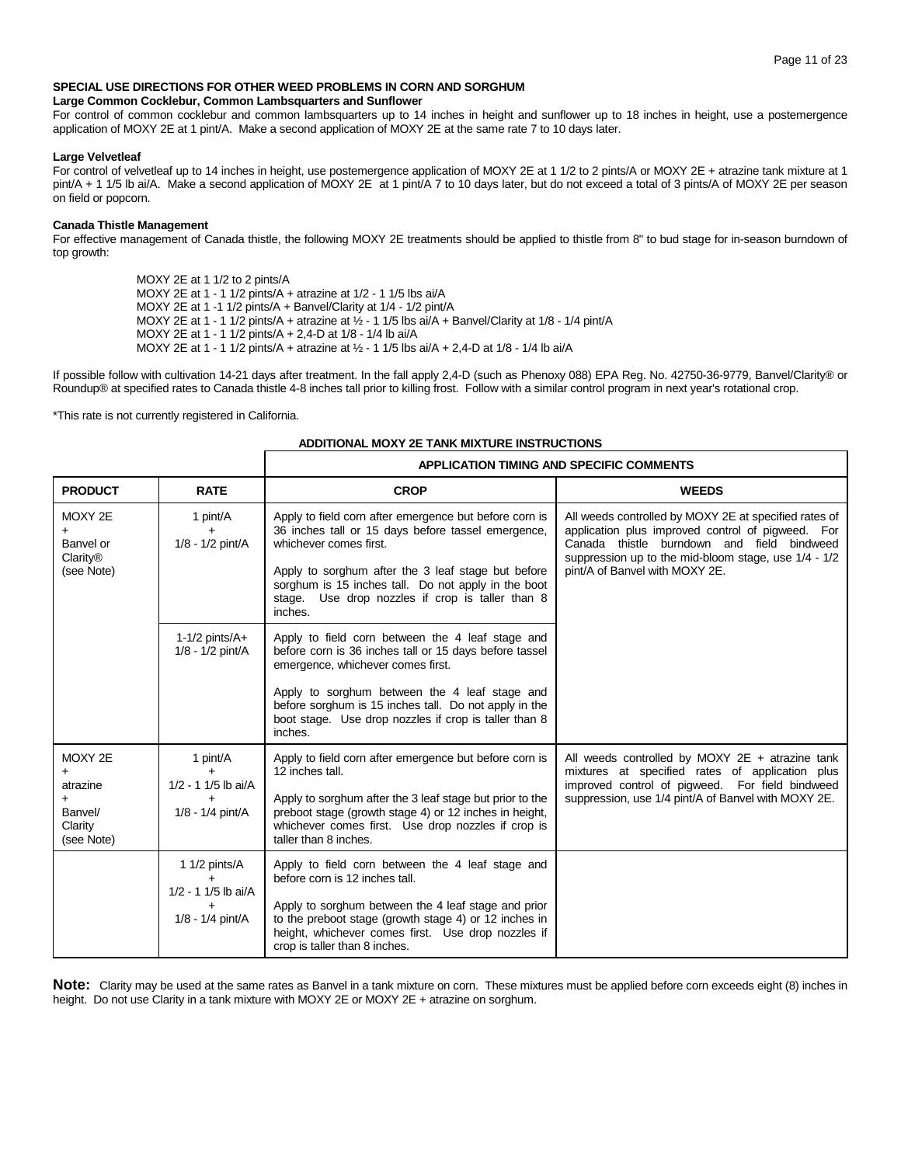## **SPECIAL USE DIRECTIONS FOR OTHER WEED PROBLEMS IN CORN AND SORGHUM**

#### **Large Common Cocklebur, Common Lambsquarters and Sunflower**

For control of common cocklebur and common lambsquarters up to 14 inches in height and sunflower up to 18 inches in height, use a postemergence application of MOXY 2E at 1 pint/A. Make a second application of MOXY 2E at the same rate 7 to 10 days later.

#### **Large Velvetleaf**

For control of velvetleaf up to 14 inches in height, use postemergence application of MOXY 2E at 1 1/2 to 2 pints/A or MOXY 2E + atrazine tank mixture at 1 pint/A + 1 1/5 lb ai/A. Make a second application of MOXY 2E at 1 pint/A 7 to 10 days later, but do not exceed a total of 3 pints/A of MOXY 2E per season on field or popcorn.

## **Canada Thistle Management**

For effective management of Canada thistle, the following MOXY 2E treatments should be applied to thistle from 8" to bud stage for in-season burndown of top growth:

> MOXY 2E at 1 1/2 to 2 pints/A MOXY 2E at 1 - 1 1/2 pints/A + atrazine at 1/2 - 1 1/5 lbs ai/A MOXY 2E at 1 -1 1/2 pints/A + Banvel/Clarity at 1/4 - 1/2 pint/A MOXY 2E at 1 - 1 1/2 pints/A + atrazine at ½ - 1 1/5 lbs ai/A + Banvel/Clarity at 1/8 - 1/4 pint/A MOXY 2E at 1 - 1 1/2 pints/A + 2,4-D at 1/8 - 1/4 lb ai/A MOXY 2E at 1 - 1 1/2 pints/A + atrazine at ½ - 1 1/5 lbs ai/A + 2,4-D at 1/8 - 1/4 lb ai/A

If possible follow with cultivation 14-21 days after treatment. In the fall apply 2,4-D (such as Phenoxy 088) EPA Reg. No. 42750-36-9779, Banvel/Clarity® or Roundup® at specified rates to Canada thistle 4-8 inches tall prior to killing frost. Follow with a similar control program in next year's rotational crop.

\*This rate is not currently registered in California.

## **ADDITIONAL MOXY 2E TANK MIXTURE INSTRUCTIONS**

|                                                                      |                                                            | <b>APPLICATION TIMING AND SPECIFIC COMMENTS</b>                                                                                                                                                                                                                                                                               |                                                                                                                                                                                                                                                    |  |  |  |
|----------------------------------------------------------------------|------------------------------------------------------------|-------------------------------------------------------------------------------------------------------------------------------------------------------------------------------------------------------------------------------------------------------------------------------------------------------------------------------|----------------------------------------------------------------------------------------------------------------------------------------------------------------------------------------------------------------------------------------------------|--|--|--|
| <b>PRODUCT</b>                                                       | <b>RATE</b>                                                | <b>CROP</b>                                                                                                                                                                                                                                                                                                                   | <b>WEEDS</b>                                                                                                                                                                                                                                       |  |  |  |
| MOXY 2E<br>Banvel or<br>Clarity <sup>®</sup><br>(see Note)           | 1 pint/A<br>$+$<br>$1/8 - 1/2$ pint/A                      | Apply to field corn after emergence but before corn is<br>36 inches tall or 15 days before tassel emergence,<br>whichever comes first.<br>Apply to sorghum after the 3 leaf stage but before<br>sorghum is 15 inches tall. Do not apply in the boot<br>stage. Use drop nozzles if crop is taller than 8<br>inches.            | All weeds controlled by MOXY 2E at specified rates of<br>application plus improved control of pigweed. For<br>Canada thistle burndown and field bindweed<br>suppression up to the mid-bloom stage, use 1/4 - 1/2<br>pint/A of Banvel with MOXY 2E. |  |  |  |
|                                                                      | $1-1/2$ pints/ $A+$<br>$1/8 - 1/2$ pint/A                  | Apply to field corn between the 4 leaf stage and<br>before corn is 36 inches tall or 15 days before tassel<br>emergence, whichever comes first.<br>Apply to sorghum between the 4 leaf stage and<br>before sorghum is 15 inches tall. Do not apply in the<br>boot stage. Use drop nozzles if crop is taller than 8<br>inches. |                                                                                                                                                                                                                                                    |  |  |  |
| MOXY 2E<br>$\ddot{}$<br>atrazine<br>Banvel/<br>Clarity<br>(see Note) | 1 pint/A<br>$+$<br>1/2 - 1 1/5 lb ai/A<br>1/8 - 1/4 pint/A | Apply to field corn after emergence but before corn is<br>12 inches tall.<br>Apply to sorghum after the 3 leaf stage but prior to the<br>preboot stage (growth stage 4) or 12 inches in height,<br>whichever comes first. Use drop nozzles if crop is<br>taller than 8 inches.                                                | All weeds controlled by MOXY $2E + \pi$ atrazine tank<br>mixtures at specified rates of application plus<br>improved control of pigweed. For field bindweed<br>suppression, use 1/4 pint/A of Banvel with MOXY 2E.                                 |  |  |  |
|                                                                      | 1 1/2 pints/A<br>1/2 - 1 1/5 lb ai/A<br>1/8 - 1/4 pint/A   | Apply to field corn between the 4 leaf stage and<br>before corn is 12 inches tall.<br>Apply to sorghum between the 4 leaf stage and prior<br>to the preboot stage (growth stage 4) or 12 inches in<br>height, whichever comes first. Use drop nozzles if<br>crop is taller than 8 inches.                                     |                                                                                                                                                                                                                                                    |  |  |  |

**Note:** Clarity may be used at the same rates as Banvel in a tank mixture on corn. These mixtures must be applied before corn exceeds eight (8) inches in height. Do not use Clarity in a tank mixture with MOXY 2E or MOXY 2E + atrazine on sorghum.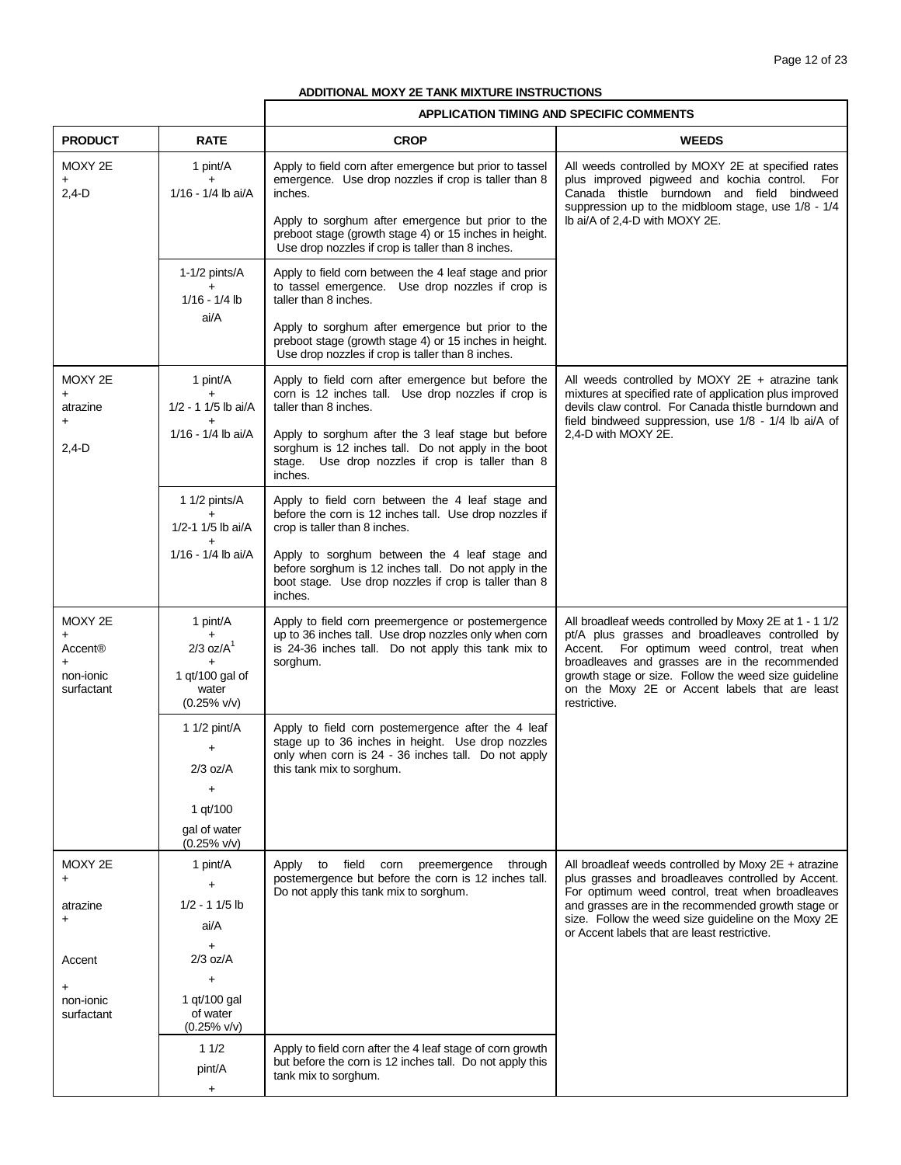٦

## **ADDITIONAL MOXY 2E TANK MIXTURE INSTRUCTIONS**

 $\overline{1}$ 

|                                               |                                            | APPLICATION TIMING AND SPECIFIC COMMENTS                                                                                                                                                    |                                                                                                                                                                             |
|-----------------------------------------------|--------------------------------------------|---------------------------------------------------------------------------------------------------------------------------------------------------------------------------------------------|-----------------------------------------------------------------------------------------------------------------------------------------------------------------------------|
| <b>PRODUCT</b>                                | <b>RATE</b>                                | <b>CROP</b>                                                                                                                                                                                 | <b>WEEDS</b>                                                                                                                                                                |
| MOXY 2E<br>$2,4-D$                            | 1 pint/A<br>$+$<br>1/16 - 1/4 lb ai/A      | Apply to field corn after emergence but prior to tassel<br>emergence. Use drop nozzles if crop is taller than 8<br>inches.                                                                  | All weeds controlled by MOXY 2E at specified rates<br>plus improved pigweed and kochia control. For<br>Canada thistle burndown and field bindweed                           |
|                                               |                                            | Apply to sorghum after emergence but prior to the<br>preboot stage (growth stage 4) or 15 inches in height.<br>Use drop nozzles if crop is taller than 8 inches.                            | suppression up to the midbloom stage, use 1/8 - 1/4<br>lb ai/A of 2,4-D with MOXY 2E.                                                                                       |
|                                               | 1-1/2 pints/A<br>$1/16 - 1/4$ lb           | Apply to field corn between the 4 leaf stage and prior<br>to tassel emergence. Use drop nozzles if crop is<br>taller than 8 inches.                                                         |                                                                                                                                                                             |
|                                               | ai/A                                       | Apply to sorghum after emergence but prior to the<br>preboot stage (growth stage 4) or 15 inches in height.<br>Use drop nozzles if crop is taller than 8 inches.                            |                                                                                                                                                                             |
| MOXY 2E<br>$\ddot{}$<br>atrazine              | 1 pint/A<br>+<br>1/2 - 1 1/5 lb ai/A       | Apply to field corn after emergence but before the<br>corn is 12 inches tall. Use drop nozzles if crop is<br>taller than 8 inches.                                                          | All weeds controlled by MOXY $2E + \text{atrazine tank}$<br>mixtures at specified rate of application plus improved<br>devils claw control. For Canada thistle burndown and |
| $\ddot{}$<br>$2,4-D$                          | 1/16 - 1/4 lb ai/A                         | Apply to sorghum after the 3 leaf stage but before<br>sorghum is 12 inches tall. Do not apply in the boot<br>stage. Use drop nozzles if crop is taller than 8<br>inches.                    | field bindweed suppression, use 1/8 - 1/4 lb ai/A of<br>2,4-D with MOXY 2E.                                                                                                 |
|                                               | 1 1/2 pints/A<br>$+$<br>1/2-1 1/5 lb ai/A  | Apply to field corn between the 4 leaf stage and<br>before the corn is 12 inches tall. Use drop nozzles if<br>crop is taller than 8 inches.                                                 |                                                                                                                                                                             |
|                                               | 1/16 - 1/4 lb ai/A                         | Apply to sorghum between the 4 leaf stage and<br>before sorghum is 12 inches tall. Do not apply in the<br>boot stage. Use drop nozzles if crop is taller than 8<br>inches.                  |                                                                                                                                                                             |
| MOXY 2E                                       | 1 pint/A                                   | Apply to field corn preemergence or postemergence                                                                                                                                           | All broadleaf weeds controlled by Moxy 2E at 1 - 1 1/2                                                                                                                      |
| $\ddot{}$<br>Accent <sup>®</sup><br>$\ddot{}$ | $2/3$ oz/ $A1$                             | up to 36 inches tall. Use drop nozzles only when corn<br>is 24-36 inches tall. Do not apply this tank mix to<br>sorghum.                                                                    | pt/A plus grasses and broadleaves controlled by<br>Accent. For optimum weed control, treat when<br>broadleaves and grasses are in the recommended                           |
| non-ionic<br>surfactant                       | 1 qt/100 gal of<br>water<br>$(0.25\%$ v/v) |                                                                                                                                                                                             | growth stage or size. Follow the weed size guideline<br>on the Moxy 2E or Accent labels that are least<br>restrictive.                                                      |
|                                               | 1 $1/2$ pint/A<br>$\ddot{}$<br>$2/3$ oz/A  | Apply to field corn postemergence after the 4 leaf<br>stage up to 36 inches in height. Use drop nozzles<br>only when corn is 24 - 36 inches tall. Do not apply<br>this tank mix to sorghum. |                                                                                                                                                                             |
|                                               | $\ddot{}$                                  |                                                                                                                                                                                             |                                                                                                                                                                             |
|                                               | 1 qt/100<br>gal of water                   |                                                                                                                                                                                             |                                                                                                                                                                             |
| MOXY 2E                                       | $(0.25\%$ v/v)<br>1 pint/A                 | Apply<br>field<br>through                                                                                                                                                                   | All broadleaf weeds controlled by Moxy $2E + \text{atrazine}$                                                                                                               |
| $\ddot{}$                                     | $\ddot{}$                                  | to<br>corn<br>preemergence<br>postemergence but before the corn is 12 inches tall.<br>Do not apply this tank mix to sorghum.                                                                | plus grasses and broadleaves controlled by Accent.<br>For optimum weed control, treat when broadleaves                                                                      |
| atrazine<br>$\ddot{}$                         | $1/2 - 11/5$ lb                            |                                                                                                                                                                                             | and grasses are in the recommended growth stage or<br>size. Follow the weed size guideline on the Moxy 2E                                                                   |
|                                               | ai/A<br>$\ddot{}$                          |                                                                                                                                                                                             | or Accent labels that are least restrictive.                                                                                                                                |
| Accent                                        | $2/3$ oz/A                                 |                                                                                                                                                                                             |                                                                                                                                                                             |
| +<br>non-ionic                                | $\ddot{}$<br>1 gt/100 gal                  |                                                                                                                                                                                             |                                                                                                                                                                             |
| surfactant                                    | of water<br>$(0.25\%$ v/v)                 |                                                                                                                                                                                             |                                                                                                                                                                             |
|                                               | 11/2<br>pint/A                             | Apply to field corn after the 4 leaf stage of corn growth<br>but before the corn is 12 inches tall. Do not apply this<br>tank mix to sorghum.                                               |                                                                                                                                                                             |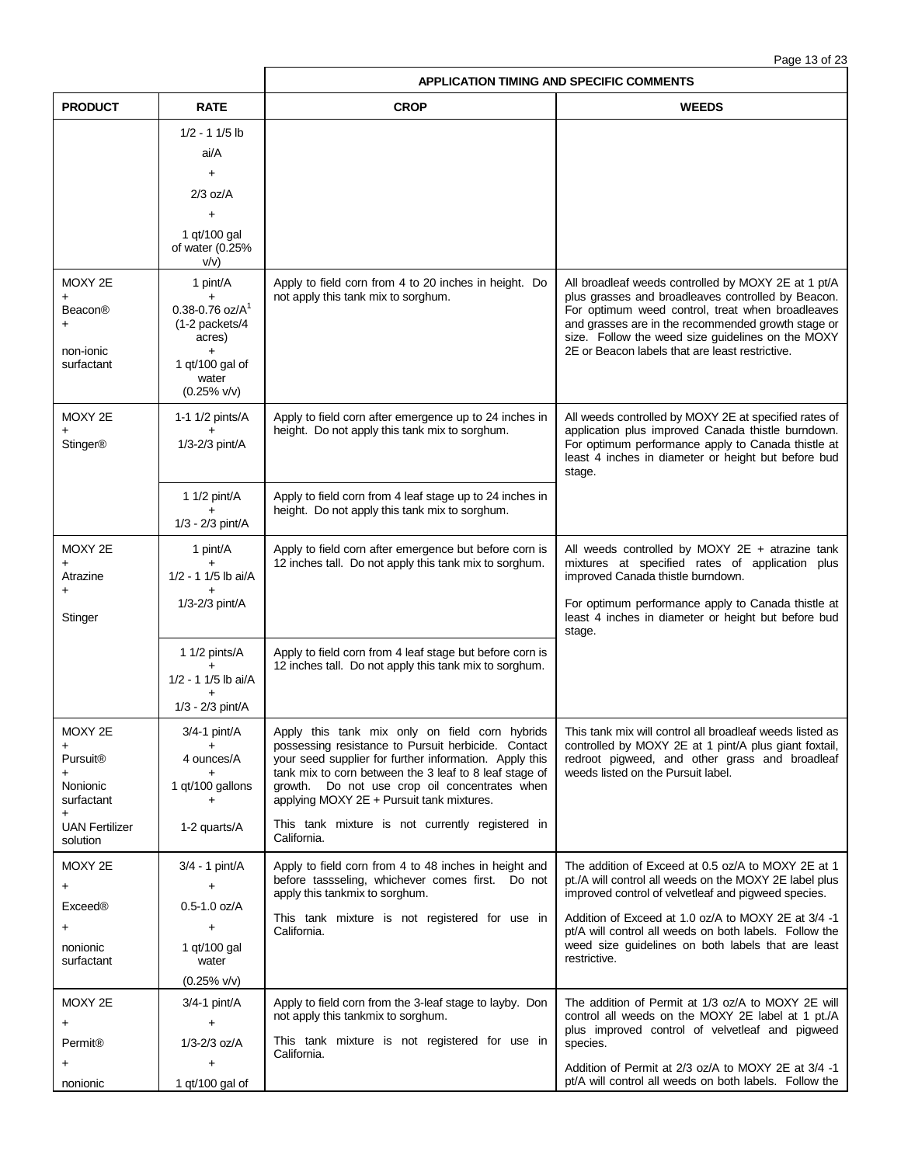| Page 13 of 23 |  |  |
|---------------|--|--|
|               |  |  |

|                                     |                                                             | <b>APPLICATION TIMING AND SPECIFIC COMMENTS</b>                                                                  |                                                                                                                                                                           |
|-------------------------------------|-------------------------------------------------------------|------------------------------------------------------------------------------------------------------------------|---------------------------------------------------------------------------------------------------------------------------------------------------------------------------|
| <b>PRODUCT</b>                      | <b>RATE</b>                                                 | <b>CROP</b>                                                                                                      | <b>WEEDS</b>                                                                                                                                                              |
|                                     | $1/2 - 11/5$ lb                                             |                                                                                                                  |                                                                                                                                                                           |
|                                     | ai/A                                                        |                                                                                                                  |                                                                                                                                                                           |
|                                     | $+$                                                         |                                                                                                                  |                                                                                                                                                                           |
|                                     | $2/3$ oz/A                                                  |                                                                                                                  |                                                                                                                                                                           |
|                                     | $\ddot{}$<br>1 gt/100 gal                                   |                                                                                                                  |                                                                                                                                                                           |
|                                     | of water (0.25%<br>V/V)                                     |                                                                                                                  |                                                                                                                                                                           |
| MOXY 2E                             | 1 pint/A                                                    | Apply to field corn from 4 to 20 inches in height. Do<br>not apply this tank mix to sorghum.                     | All broadleaf weeds controlled by MOXY 2E at 1 pt/A<br>plus grasses and broadleaves controlled by Beacon.                                                                 |
| <b>Beacon®</b>                      | $0.38 - 0.76$ oz/A <sup>1</sup><br>(1-2 packets/4<br>acres) |                                                                                                                  | For optimum weed control, treat when broadleaves<br>and grasses are in the recommended growth stage or<br>size. Follow the weed size guidelines on the MOXY               |
| non-ionic<br>surfactant             | $\ddot{}$<br>1 qt/100 gal of<br>water<br>$(0.25\%$ v/v)     |                                                                                                                  | 2E or Beacon labels that are least restrictive.                                                                                                                           |
| MOXY 2E                             | 1-1 1/2 pints/A                                             | Apply to field corn after emergence up to 24 inches in                                                           | All weeds controlled by MOXY 2E at specified rates of                                                                                                                     |
| <b>Stinger®</b>                     | $+$<br>1/3-2/3 pint/A                                       | height. Do not apply this tank mix to sorghum.                                                                   | application plus improved Canada thistle burndown.<br>For optimum performance apply to Canada thistle at<br>least 4 inches in diameter or height but before bud<br>stage. |
|                                     | 1 1/2 pint/A                                                | Apply to field corn from 4 leaf stage up to 24 inches in                                                         |                                                                                                                                                                           |
|                                     | 1/3 - 2/3 pint/A                                            | height. Do not apply this tank mix to sorghum.                                                                   |                                                                                                                                                                           |
| MOXY 2E                             | 1 pint/A                                                    | Apply to field corn after emergence but before corn is                                                           | All weeds controlled by MOXY $2E + \text{atrazine tank}$                                                                                                                  |
| Atrazine                            | $\ddot{}$<br>1/2 - 1 1/5 lb ai/A                            | 12 inches tall. Do not apply this tank mix to sorghum.                                                           | mixtures at specified rates of application plus<br>improved Canada thistle burndown.                                                                                      |
| Stinger                             | 1/3-2/3 pint/A                                              |                                                                                                                  | For optimum performance apply to Canada thistle at<br>least 4 inches in diameter or height but before bud<br>stage.                                                       |
|                                     | 1 1/2 pints/A                                               | Apply to field corn from 4 leaf stage but before corn is                                                         |                                                                                                                                                                           |
|                                     | 1/2 - 1 1/5 lb ai/A                                         | 12 inches tall. Do not apply this tank mix to sorghum.                                                           |                                                                                                                                                                           |
|                                     | 1/3 - 2/3 pint/A                                            |                                                                                                                  |                                                                                                                                                                           |
| MOXY 2E                             | $3/4-1$ pint/A                                              | Apply this tank mix only on field corn hybrids                                                                   | This tank mix will control all broadleaf weeds listed as                                                                                                                  |
| $\ddot{}$                           |                                                             | possessing resistance to Pursuit herbicide. Contact                                                              | controlled by MOXY 2E at 1 pint/A plus giant foxtail,                                                                                                                     |
| Pursuit <sup>®</sup><br>+           | 4 ounces/A                                                  | your seed supplier for further information. Apply this<br>tank mix to corn between the 3 leaf to 8 leaf stage of | redroot pigweed, and other grass and broadleaf<br>weeds listed on the Pursuit label.                                                                                      |
| Nonionic<br>surfactant<br>$\ddot{}$ | 1 qt/100 gallons<br>+                                       | Do not use crop oil concentrates when<br>growth.<br>applying MOXY 2E + Pursuit tank mixtures.                    |                                                                                                                                                                           |
| <b>UAN Fertilizer</b><br>solution   | 1-2 quarts/A                                                | This tank mixture is not currently registered in<br>California.                                                  |                                                                                                                                                                           |
| MOXY 2E                             | $3/4 - 1$ pint/A                                            | Apply to field corn from 4 to 48 inches in height and                                                            | The addition of Exceed at 0.5 oz/A to MOXY 2E at 1                                                                                                                        |
| +                                   | +                                                           | before tassseling, whichever comes first. Do not<br>apply this tankmix to sorghum.                               | pt./A will control all weeds on the MOXY 2E label plus<br>improved control of velvetleaf and pigweed species.                                                             |
| <b>Exceed®</b>                      | $0.5 - 1.0$ oz/A                                            | This tank mixture is not registered for use in                                                                   | Addition of Exceed at 1.0 oz/A to MOXY 2E at 3/4 -1                                                                                                                       |
| +<br>nonionic                       | $\ddot{}$<br>1 qt/100 gal                                   | California.                                                                                                      | pt/A will control all weeds on both labels. Follow the<br>weed size guidelines on both labels that are least<br>restrictive.                                              |
| surfactant                          | water<br>$(0.25\%$ v/v)                                     |                                                                                                                  |                                                                                                                                                                           |
| MOXY 2E                             | $3/4 - 1$ pint/A                                            | Apply to field corn from the 3-leaf stage to layby. Don                                                          | The addition of Permit at 1/3 oz/A to MOXY 2E will                                                                                                                        |
| +                                   | $\ddot{}$                                                   | not apply this tankmix to sorghum.                                                                               | control all weeds on the MOXY 2E label at 1 pt./A                                                                                                                         |
| Permit <sup>®</sup>                 | $1/3 - 2/3$ oz/A                                            | This tank mixture is not registered for use in<br>California.                                                    | plus improved control of velvetleaf and pigweed<br>species.                                                                                                               |
|                                     |                                                             |                                                                                                                  | Addition of Permit at 2/3 oz/A to MOXY 2E at 3/4 -1                                                                                                                       |
| nonionic                            | 1 qt/100 gal of                                             |                                                                                                                  | pt/A will control all weeds on both labels. Follow the                                                                                                                    |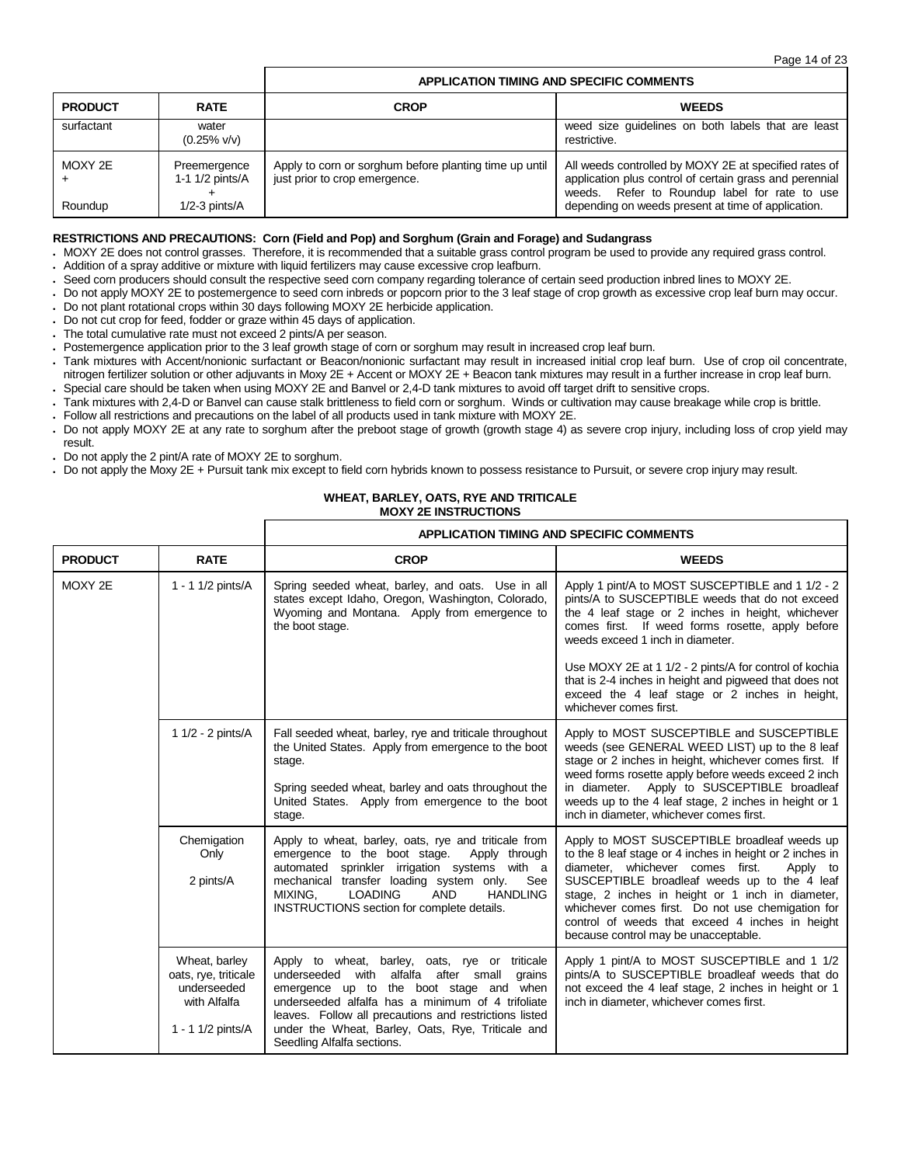## **APPLICATION TIMING AND SPECIFIC COMMENTS**

| <b>PRODUCT</b> | <b>RATE</b>                     | CROP                                                                                    | <b>WEEDS</b>                                                                                                                                                      |
|----------------|---------------------------------|-----------------------------------------------------------------------------------------|-------------------------------------------------------------------------------------------------------------------------------------------------------------------|
| surfactant     | water<br>$(0.25\%$ v/v)         |                                                                                         | weed size guidelines on both labels that are least<br>restrictive.                                                                                                |
| MOXY 2E        | Preemergence<br>1-1 1/2 pints/A | Apply to corn or sorghum before planting time up until<br>just prior to crop emergence. | All weeds controlled by MOXY 2E at specified rates of<br>application plus control of certain grass and perennial<br>weeds. Refer to Roundup label for rate to use |
| Roundup        | $1/2 - 3$ pints/ $A$            |                                                                                         | depending on weeds present at time of application.                                                                                                                |

## **RESTRICTIONS AND PRECAUTIONS: Corn (Field and Pop) and Sorghum (Grain and Forage) and Sudangrass**

 MOXY 2E does not control grasses. Therefore, it is recommended that a suitable grass control program be used to provide any required grass control. Addition of a spray additive or mixture with liquid fertilizers may cause excessive crop leafburn.

- Seed corn producers should consult the respective seed corn company regarding tolerance of certain seed production inbred lines to MOXY 2E.
- Do not apply MOXY 2E to postemergence to seed corn inbreds or popcorn prior to the 3 leaf stage of crop growth as excessive crop leaf burn may occur.
- Do not plant rotational crops within 30 days following MOXY 2E herbicide application.
- Do not cut crop for feed, fodder or graze within 45 days of application.
- The total cumulative rate must not exceed 2 pints/A per season.
- Postemergence application prior to the 3 leaf growth stage of corn or sorghum may result in increased crop leaf burn.
- Tank mixtures with Accent/nonionic surfactant or Beacon/nonionic surfactant may result in increased initial crop leaf burn. Use of crop oil concentrate, nitrogen fertilizer solution or other adjuvants in Moxy 2E + Accent or MOXY 2E + Beacon tank mixtures may result in a further increase in crop leaf burn.
- Special care should be taken when using MOXY 2E and Banvel or 2,4-D tank mixtures to avoid off target drift to sensitive crops.
- Tank mixtures with 2,4-D or Banvel can cause stalk brittleness to field corn or sorghum. Winds or cultivation may cause breakage while crop is brittle.
- Follow all restrictions and precautions on the label of all products used in tank mixture with MOXY 2E.
- Do not apply MOXY 2E at any rate to sorghum after the preboot stage of growth (growth stage 4) as severe crop injury, including loss of crop yield may result.
- Do not apply the 2 pint/A rate of MOXY 2E to sorghum.
- Do not apply the Moxy 2E + Pursuit tank mix except to field corn hybrids known to possess resistance to Pursuit, or severe crop injury may result.

## **WHEAT, BARLEY, OATS, RYE AND TRITICALE MOXY 2E INSTRUCTIONS**

|                |                                                                                           | <b>APPLICATION TIMING AND SPECIFIC COMMENTS</b>                                                                                                                                                                                                                                                                                                  |                                                                                                                                                                                                                                                                                                                                                                                                              |
|----------------|-------------------------------------------------------------------------------------------|--------------------------------------------------------------------------------------------------------------------------------------------------------------------------------------------------------------------------------------------------------------------------------------------------------------------------------------------------|--------------------------------------------------------------------------------------------------------------------------------------------------------------------------------------------------------------------------------------------------------------------------------------------------------------------------------------------------------------------------------------------------------------|
| <b>PRODUCT</b> | <b>RATE</b>                                                                               | <b>CROP</b>                                                                                                                                                                                                                                                                                                                                      | <b>WEEDS</b>                                                                                                                                                                                                                                                                                                                                                                                                 |
| MOXY 2E        | 1 - 1 1/2 pints/A                                                                         | Spring seeded wheat, barley, and oats. Use in all<br>states except Idaho, Oregon, Washington, Colorado,<br>Wyoming and Montana. Apply from emergence to<br>the boot stage.                                                                                                                                                                       | Apply 1 pint/A to MOST SUSCEPTIBLE and 1 1/2 - 2<br>pints/A to SUSCEPTIBLE weeds that do not exceed<br>the 4 leaf stage or 2 inches in height, whichever<br>comes first. If weed forms rosette, apply before<br>weeds exceed 1 inch in diameter.                                                                                                                                                             |
|                |                                                                                           |                                                                                                                                                                                                                                                                                                                                                  | Use MOXY 2E at 1 1/2 - 2 pints/A for control of kochia<br>that is 2-4 inches in height and pigweed that does not<br>exceed the 4 leaf stage or 2 inches in height,<br>whichever comes first.                                                                                                                                                                                                                 |
|                | 1 1/2 - 2 pints/A                                                                         | Fall seeded wheat, barley, rye and triticale throughout<br>the United States. Apply from emergence to the boot<br>stage.<br>Spring seeded wheat, barley and oats throughout the<br>United States. Apply from emergence to the boot<br>stage.                                                                                                     | Apply to MOST SUSCEPTIBLE and SUSCEPTIBLE<br>weeds (see GENERAL WEED LIST) up to the 8 leaf<br>stage or 2 inches in height, whichever comes first. If<br>weed forms rosette apply before weeds exceed 2 inch<br>in diameter.<br>Apply to SUSCEPTIBLE broadleaf<br>weeds up to the 4 leaf stage, 2 inches in height or 1<br>inch in diameter, whichever comes first.                                          |
|                | Chemigation<br>Only<br>2 pints/A                                                          | Apply to wheat, barley, oats, rye and triticale from<br>emergence to the boot stage.<br>Apply through<br>automated sprinkler irrigation systems with a<br>mechanical transfer loading system only.<br>See<br>MIXING.<br><b>LOADING</b><br><b>AND</b><br><b>HANDLING</b><br>INSTRUCTIONS section for complete details.                            | Apply to MOST SUSCEPTIBLE broadleaf weeds up<br>to the 8 leaf stage or 4 inches in height or 2 inches in<br>diameter, whichever comes first.<br>Apply to<br>SUSCEPTIBLE broadleaf weeds up to the 4 leaf<br>stage, 2 inches in height or 1 inch in diameter,<br>whichever comes first. Do not use chemigation for<br>control of weeds that exceed 4 inches in height<br>because control may be unacceptable. |
|                | Wheat, barley<br>oats, rye, triticale<br>underseeded<br>with Alfalfa<br>1 - 1 1/2 pints/A | Apply to wheat, barley, oats, rye or triticale<br>alfalfa after small<br>underseeded with<br>grains<br>emergence up to the boot stage and when<br>underseeded alfalfa has a minimum of 4 trifoliate<br>leaves. Follow all precautions and restrictions listed<br>under the Wheat, Barley, Oats, Rye, Triticale and<br>Seedling Alfalfa sections. | Apply 1 pint/A to MOST SUSCEPTIBLE and 1 1/2<br>pints/A to SUSCEPTIBLE broadleaf weeds that do<br>not exceed the 4 leaf stage, 2 inches in height or 1<br>inch in diameter, whichever comes first.                                                                                                                                                                                                           |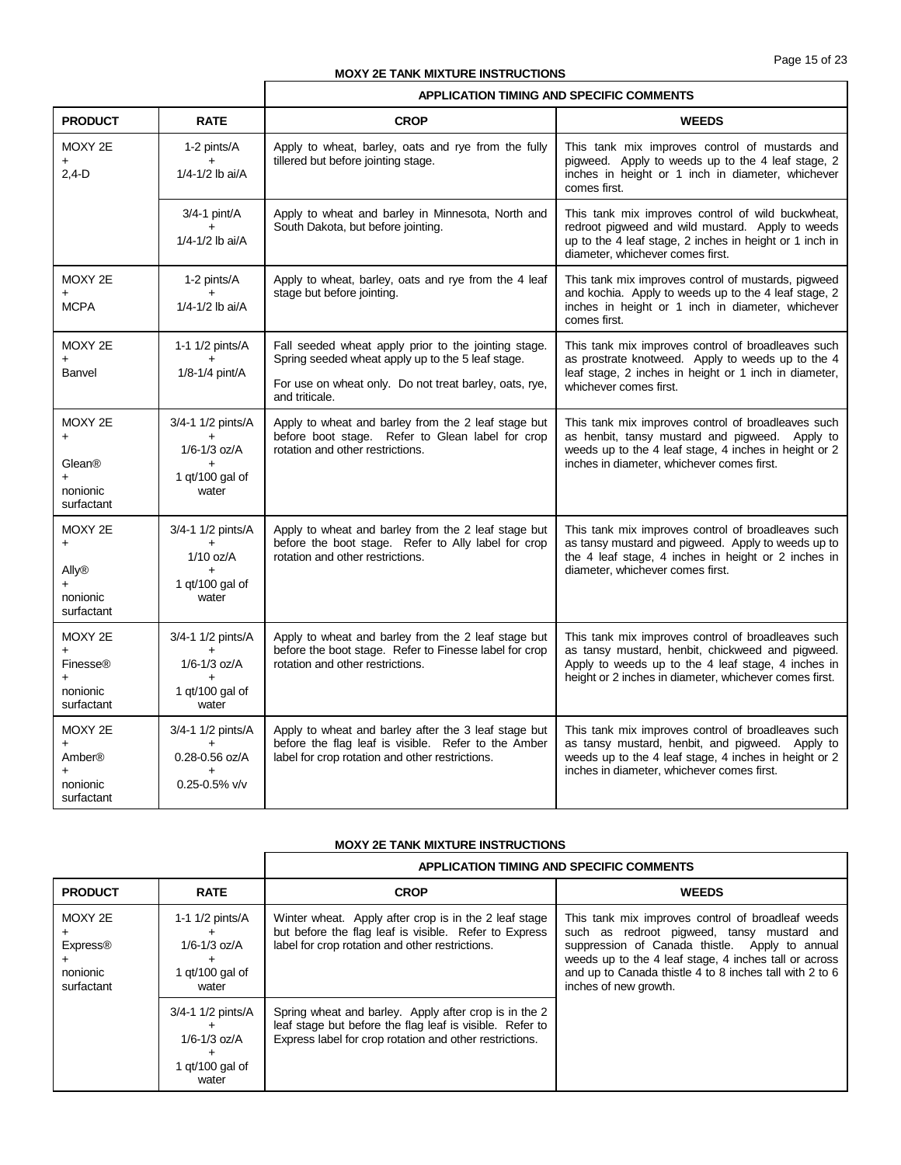## **MOXY 2E TANK MIXTURE INSTRUCTIONS**

|                                                                       |                                                                                          | <b>APPLICATION TIMING AND SPECIFIC COMMENTS</b>                                                                                                                                       |                                                                                                                                                                                                                        |
|-----------------------------------------------------------------------|------------------------------------------------------------------------------------------|---------------------------------------------------------------------------------------------------------------------------------------------------------------------------------------|------------------------------------------------------------------------------------------------------------------------------------------------------------------------------------------------------------------------|
| <b>PRODUCT</b>                                                        | <b>RATE</b>                                                                              | <b>CROP</b>                                                                                                                                                                           | <b>WEEDS</b>                                                                                                                                                                                                           |
| MOXY 2E<br>$2,4-D$                                                    | 1-2 pints/A<br>1/4-1/2 lb ai/A                                                           | Apply to wheat, barley, oats and rye from the fully<br>tillered but before jointing stage.                                                                                            | This tank mix improves control of mustards and<br>pigweed. Apply to weeds up to the 4 leaf stage, 2<br>inches in height or 1 inch in diameter, whichever<br>comes first.                                               |
|                                                                       | $3/4 - 1$ pint/A<br>$+$<br>1/4-1/2 lb ai/A                                               | Apply to wheat and barley in Minnesota, North and<br>South Dakota, but before jointing.                                                                                               | This tank mix improves control of wild buckwheat,<br>redroot pigweed and wild mustard. Apply to weeds<br>up to the 4 leaf stage, 2 inches in height or 1 inch in<br>diameter, whichever comes first.                   |
| MOXY 2E<br><b>MCPA</b>                                                | 1-2 pints/A<br>$\ddot{}$<br>1/4-1/2 lb ai/A                                              | Apply to wheat, barley, oats and rye from the 4 leaf<br>stage but before jointing.                                                                                                    | This tank mix improves control of mustards, pigweed<br>and kochia. Apply to weeds up to the 4 leaf stage, 2<br>inches in height or 1 inch in diameter, whichever<br>comes first.                                       |
| MOXY 2E<br>Banvel                                                     | 1-1 1/2 pints/A<br>$+$<br>1/8-1/4 pint/A                                                 | Fall seeded wheat apply prior to the jointing stage.<br>Spring seeded wheat apply up to the 5 leaf stage.<br>For use on wheat only. Do not treat barley, oats, rye,<br>and triticale. | This tank mix improves control of broadleaves such<br>as prostrate knotweed. Apply to weeds up to the 4<br>leaf stage, 2 inches in height or 1 inch in diameter,<br>whichever comes first.                             |
| MOXY 2E<br>$\ddot{}$<br>Glean®<br>$\ddot{}$<br>nonionic<br>surfactant | 3/4-1 1/2 pints/A<br>$+$<br>$1/6 - 1/3$ oz/A<br>1 qt/100 gal of<br>water                 | Apply to wheat and barley from the 2 leaf stage but<br>before boot stage. Refer to Glean label for crop<br>rotation and other restrictions.                                           | This tank mix improves control of broadleaves such<br>as henbit, tansy mustard and pigweed. Apply to<br>weeds up to the 4 leaf stage, 4 inches in height or 2<br>inches in diameter, whichever comes first.            |
| MOXY 2E<br>$\ddot{}$<br>Ally®<br>nonionic<br>surfactant               | 3/4-1 1/2 pints/A<br>$\ddot{}$<br>$1/10$ oz/A<br>$\ddot{}$<br>1 $qt/100$ gal of<br>water | Apply to wheat and barley from the 2 leaf stage but<br>before the boot stage. Refer to Ally label for crop<br>rotation and other restrictions.                                        | This tank mix improves control of broadleaves such<br>as tansy mustard and pigweed. Apply to weeds up to<br>the 4 leaf stage, 4 inches in height or 2 inches in<br>diameter, whichever comes first.                    |
| MOXY 2E<br><b>Finesse®</b><br>nonionic<br>surfactant                  | 3/4-1 1/2 pints/A<br>$+$<br>$1/6 - 1/3$ oz/A<br>1 gt/100 gal of<br>water                 | Apply to wheat and barley from the 2 leaf stage but<br>before the boot stage. Refer to Finesse label for crop<br>rotation and other restrictions.                                     | This tank mix improves control of broadleaves such<br>as tansy mustard, henbit, chickweed and pigweed.<br>Apply to weeds up to the 4 leaf stage, 4 inches in<br>height or 2 inches in diameter, whichever comes first. |
| MOXY 2E<br>Amber®<br>$\ddot{}$<br>nonionic<br>surfactant              | 3/4-1 1/2 pints/A<br>$+$<br>0.28-0.56 oz/A<br>$0.25 - 0.5\%$ v/v                         | Apply to wheat and barley after the 3 leaf stage but<br>before the flag leaf is visible. Refer to the Amber<br>label for crop rotation and other restrictions.                        | This tank mix improves control of broadleaves such<br>as tansy mustard, henbit, and pigweed. Apply to<br>weeds up to the 4 leaf stage, 4 inches in height or 2<br>inches in diameter, whichever comes first.           |

## **MOXY 2E TANK MIXTURE INSTRUCTIONS**

|                                                      |                                                                     | APPLICATION TIMING AND SPECIFIC COMMENTS                                                                                                                                     |                                                                                                                                                                                                                                                                                                |  |
|------------------------------------------------------|---------------------------------------------------------------------|------------------------------------------------------------------------------------------------------------------------------------------------------------------------------|------------------------------------------------------------------------------------------------------------------------------------------------------------------------------------------------------------------------------------------------------------------------------------------------|--|
| <b>PRODUCT</b>                                       | <b>RATE</b>                                                         | <b>CROP</b>                                                                                                                                                                  | <b>WEEDS</b>                                                                                                                                                                                                                                                                                   |  |
| MOXY 2E<br><b>Express®</b><br>nonionic<br>surfactant | 1-1 1/2 pints/A<br>$1/6 - 1/3$ oz/A<br>1 $qt/100$ gal of<br>water   | Winter wheat. Apply after crop is in the 2 leaf stage<br>but before the flag leaf is visible. Refer to Express<br>label for crop rotation and other restrictions.            | This tank mix improves control of broadleaf weeds<br>such as redroot pigweed, tansy mustard and<br>suppression of Canada thistle. Apply to annual<br>weeds up to the 4 leaf stage, 4 inches tall or across<br>and up to Canada thistle 4 to 8 inches tall with 2 to 6<br>inches of new growth. |  |
|                                                      | 3/4-1 1/2 pints/A<br>$1/6 - 1/3$ oz/A<br>1 $qt/100$ gal of<br>water | Spring wheat and barley. Apply after crop is in the 2<br>leaf stage but before the flag leaf is visible. Refer to<br>Express label for crop rotation and other restrictions. |                                                                                                                                                                                                                                                                                                |  |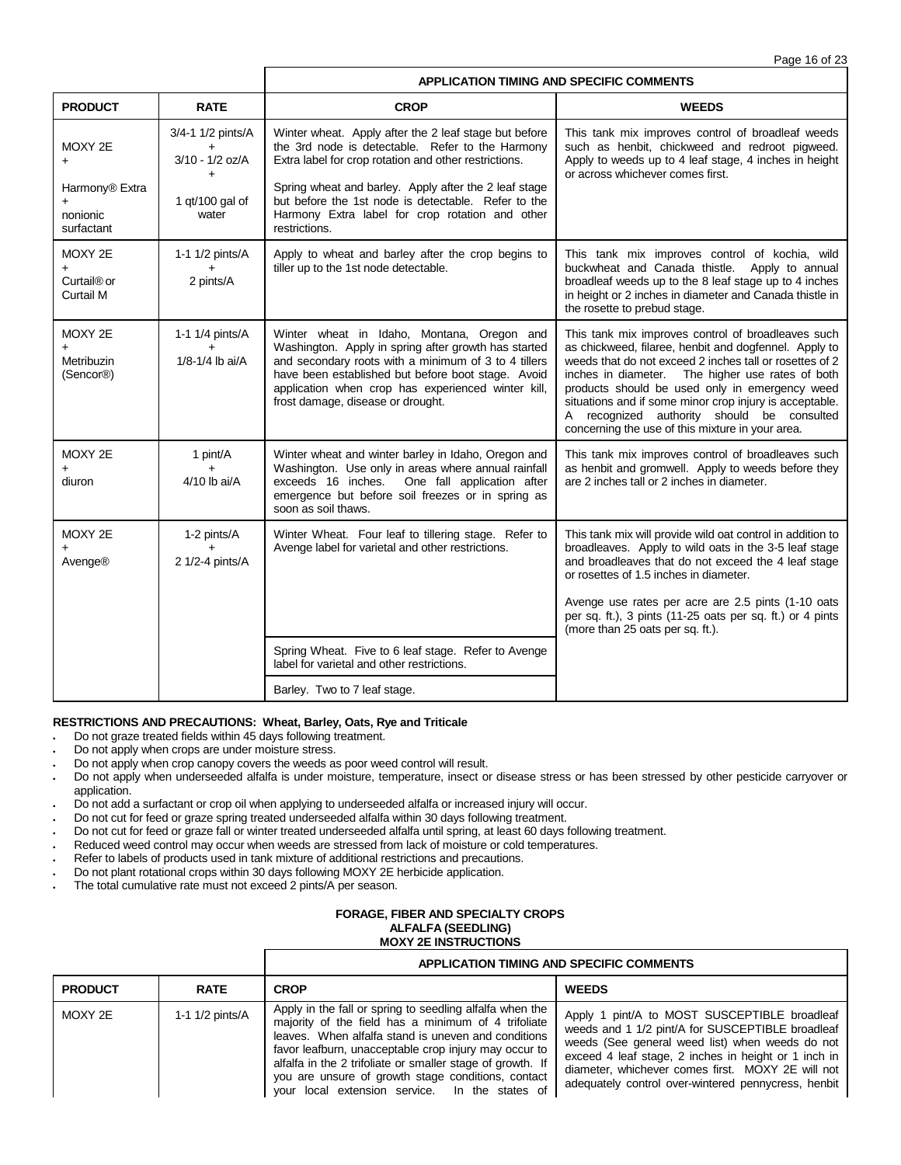|                                                        |                                                          |                                                                                                                                                                                                                                                                                                             | <b>APPLICATION TIMING AND SPECIFIC COMMENTS</b>                                                                                                                                                                                                                                                                                                                                                                                           |
|--------------------------------------------------------|----------------------------------------------------------|-------------------------------------------------------------------------------------------------------------------------------------------------------------------------------------------------------------------------------------------------------------------------------------------------------------|-------------------------------------------------------------------------------------------------------------------------------------------------------------------------------------------------------------------------------------------------------------------------------------------------------------------------------------------------------------------------------------------------------------------------------------------|
| <b>PRODUCT</b>                                         | <b>RATE</b>                                              | <b>CROP</b>                                                                                                                                                                                                                                                                                                 | <b>WEEDS</b>                                                                                                                                                                                                                                                                                                                                                                                                                              |
| MOXY 2E<br>$\ddot{}$                                   | 3/4-1 1/2 pints/A<br>$+$<br>3/10 - 1/2 oz/A<br>$\ddot{}$ | Winter wheat. Apply after the 2 leaf stage but before<br>the 3rd node is detectable. Refer to the Harmony<br>Extra label for crop rotation and other restrictions.                                                                                                                                          | This tank mix improves control of broadleaf weeds<br>such as henbit, chickweed and redroot pigweed.<br>Apply to weeds up to 4 leaf stage, 4 inches in height<br>or across whichever comes first.                                                                                                                                                                                                                                          |
| Harmony® Extra<br>$\ddot{}$<br>nonionic<br>surfactant  | 1 qt/100 gal of<br>water                                 | Spring wheat and barley. Apply after the 2 leaf stage<br>but before the 1st node is detectable. Refer to the<br>Harmony Extra label for crop rotation and other<br>restrictions.                                                                                                                            |                                                                                                                                                                                                                                                                                                                                                                                                                                           |
| MOXY 2E<br>$+$<br>Curtail <sup>®</sup> or<br>Curtail M | 1-1 1/2 pints/A<br>2 pints/A                             | Apply to wheat and barley after the crop begins to<br>tiller up to the 1st node detectable.                                                                                                                                                                                                                 | This tank mix improves control of kochia, wild<br>buckwheat and Canada thistle. Apply to annual<br>broadleaf weeds up to the 8 leaf stage up to 4 inches<br>in height or 2 inches in diameter and Canada thistle in<br>the rosette to prebud stage.                                                                                                                                                                                       |
| MOXY 2E<br>Metribuzin<br>(Sencor <sup>®</sup> )        | 1-1 1/4 pints/A<br>$+$<br>1/8-1/4 lb ai/A                | Winter wheat in Idaho, Montana, Oregon and<br>Washington. Apply in spring after growth has started<br>and secondary roots with a minimum of 3 to 4 tillers<br>have been established but before boot stage. Avoid<br>application when crop has experienced winter kill,<br>frost damage, disease or drought. | This tank mix improves control of broadleaves such<br>as chickweed, filaree, henbit and dogfennel. Apply to<br>weeds that do not exceed 2 inches tall or rosettes of 2<br>inches in diameter. The higher use rates of both<br>products should be used only in emergency weed<br>situations and if some minor crop injury is acceptable.<br>A recognized authority should be consulted<br>concerning the use of this mixture in your area. |
| MOXY 2E<br>$\ddot{}$<br>diuron                         | 1 pint/A<br>4/10 lb ai/A                                 | Winter wheat and winter barley in Idaho, Oregon and<br>Washington. Use only in areas where annual rainfall<br>exceeds 16 inches.<br>One fall application after<br>emergence but before soil freezes or in spring as<br>soon as soil thaws.                                                                  | This tank mix improves control of broadleaves such<br>as henbit and gromwell. Apply to weeds before they<br>are 2 inches tall or 2 inches in diameter.                                                                                                                                                                                                                                                                                    |
| MOXY 2E<br>Avenge®                                     | 1-2 pints/A<br>2 1/2-4 pints/A                           | Winter Wheat. Four leaf to tillering stage. Refer to<br>Avenge label for varietal and other restrictions.                                                                                                                                                                                                   | This tank mix will provide wild oat control in addition to<br>broadleaves. Apply to wild oats in the 3-5 leaf stage<br>and broadleaves that do not exceed the 4 leaf stage<br>or rosettes of 1.5 inches in diameter.                                                                                                                                                                                                                      |
|                                                        |                                                          |                                                                                                                                                                                                                                                                                                             | Avenge use rates per acre are 2.5 pints (1-10 oats<br>per sq. ft.), 3 pints (11-25 oats per sq. ft.) or 4 pints<br>(more than 25 oats per sq. ft.).                                                                                                                                                                                                                                                                                       |
|                                                        |                                                          | Spring Wheat. Five to 6 leaf stage. Refer to Avenge<br>label for varietal and other restrictions.                                                                                                                                                                                                           |                                                                                                                                                                                                                                                                                                                                                                                                                                           |
|                                                        |                                                          | Barley. Two to 7 leaf stage.                                                                                                                                                                                                                                                                                |                                                                                                                                                                                                                                                                                                                                                                                                                                           |

## **RESTRICTIONS AND PRECAUTIONS: Wheat, Barley, Oats, Rye and Triticale**

- Do not graze treated fields within 45 days following treatment.
- Do not apply when crops are under moisture stress.
- Do not apply when crop canopy covers the weeds as poor weed control will result.
- Do not apply when underseeded alfalfa is under moisture, temperature, insect or disease stress or has been stressed by other pesticide carryover or application.
- Do not add a surfactant or crop oil when applying to underseeded alfalfa or increased injury will occur.
- Do not cut for feed or graze spring treated underseeded alfalfa within 30 days following treatment.
- Do not cut for feed or graze fall or winter treated underseeded alfalfa until spring, at least 60 days following treatment.
- Reduced weed control may occur when weeds are stressed from lack of moisture or cold temperatures.
- Refer to labels of products used in tank mixture of additional restrictions and precautions.
- Do not plant rotational crops within 30 days following MOXY 2E herbicide application.
- . The total cumulative rate must not exceed 2 pints/A per season.

## **FORAGE, FIBER AND SPECIALTY CROPS ALFALFA (SEEDLING) MOXY 2E INSTRUCTIONS**

## **APPLICATION TIMING AND SPECIFIC COMMENTS**

| <b>PRODUCT</b> | <b>RATE</b>     | <b>CROP</b>                                                                                                                                                                                                                                                                                                                                                                                           | <b>WEEDS</b>                                                                                                                                                                                                                                                                                                            |
|----------------|-----------------|-------------------------------------------------------------------------------------------------------------------------------------------------------------------------------------------------------------------------------------------------------------------------------------------------------------------------------------------------------------------------------------------------------|-------------------------------------------------------------------------------------------------------------------------------------------------------------------------------------------------------------------------------------------------------------------------------------------------------------------------|
| MOXY 2E        | 1-1 1/2 pints/A | Apply in the fall or spring to seedling alfalfa when the<br>majority of the field has a minimum of 4 trifoliate<br>leaves. When alfalfa stand is uneven and conditions<br>favor leafburn, unacceptable crop injury may occur to<br>alfalfa in the 2 trifoliate or smaller stage of growth. If<br>you are unsure of growth stage conditions, contact<br>your local extension service. In the states of | Apply 1 pint/A to MOST SUSCEPTIBLE broadleaf<br>weeds and 1 1/2 pint/A for SUSCEPTIBLE broadleaf<br>weeds (See general weed list) when weeds do not<br>exceed 4 leaf stage, 2 inches in height or 1 inch in<br>diameter, whichever comes first. MOXY 2E will not<br>adequately control over-wintered pennycress, henbit |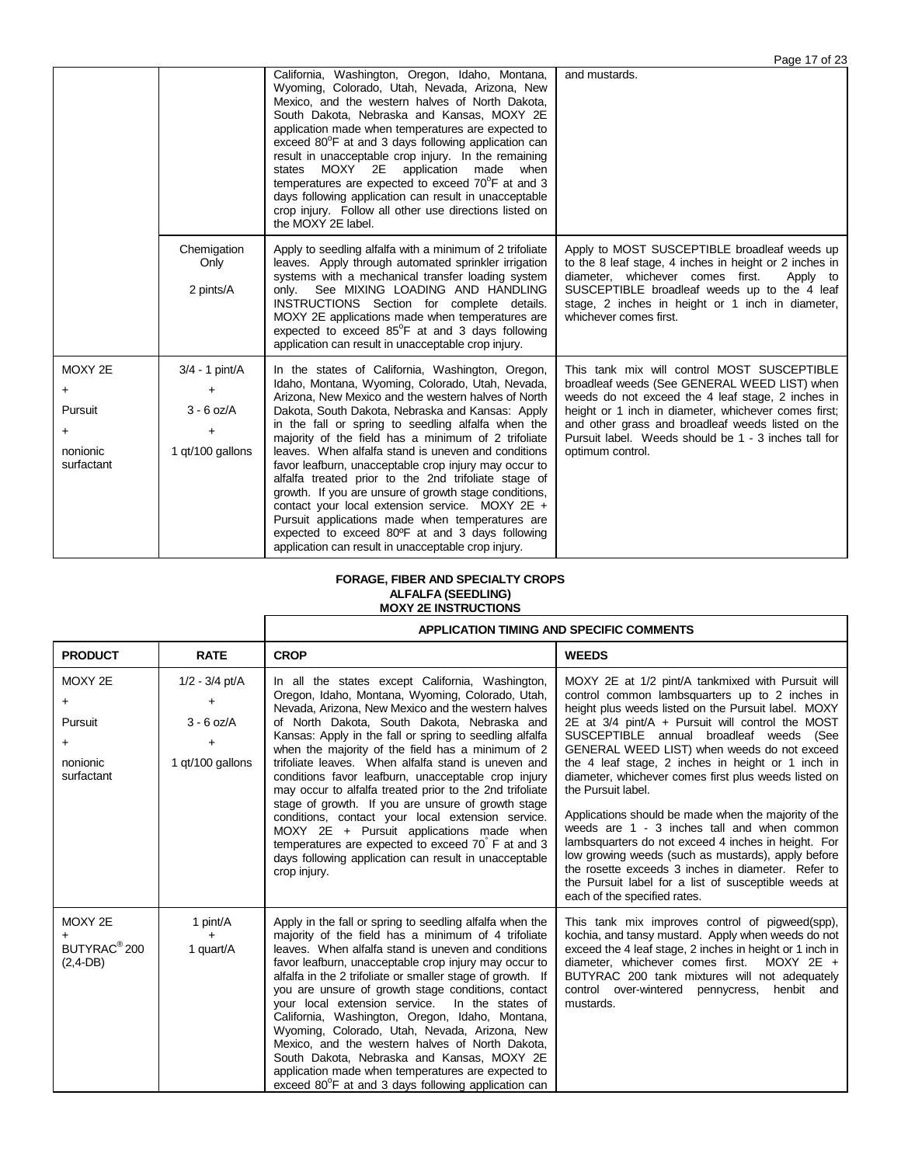|                                                                |                                                         |                                                                                                                                                                                                                                                                                                                                                                                                                                                                                                                                                                                                                                                                                                                                                                                 | Page 17 of 23                                                                                                                                                                                                                                                                                                                             |
|----------------------------------------------------------------|---------------------------------------------------------|---------------------------------------------------------------------------------------------------------------------------------------------------------------------------------------------------------------------------------------------------------------------------------------------------------------------------------------------------------------------------------------------------------------------------------------------------------------------------------------------------------------------------------------------------------------------------------------------------------------------------------------------------------------------------------------------------------------------------------------------------------------------------------|-------------------------------------------------------------------------------------------------------------------------------------------------------------------------------------------------------------------------------------------------------------------------------------------------------------------------------------------|
|                                                                |                                                         | California, Washington, Oregon, Idaho, Montana,<br>Wyoming, Colorado, Utah, Nevada, Arizona, New<br>Mexico, and the western halves of North Dakota,<br>South Dakota, Nebraska and Kansas, MOXY 2E<br>application made when temperatures are expected to<br>exceed 80 <sup>°</sup> F at and 3 days following application can<br>result in unacceptable crop injury. In the remaining<br>states MOXY 2E<br>application made<br>when<br>temperatures are expected to exceed 70°F at and 3<br>days following application can result in unacceptable<br>crop injury. Follow all other use directions listed on<br>the MOXY 2E label.                                                                                                                                                 | and mustards.                                                                                                                                                                                                                                                                                                                             |
|                                                                | Chemigation<br>Only<br>2 pints/A                        | Apply to seedling alfalfa with a minimum of 2 trifoliate<br>leaves. Apply through automated sprinkler irrigation<br>systems with a mechanical transfer loading system<br>only. See MIXING LOADING AND HANDLING<br><b>INSTRUCTIONS</b> Section for complete details.<br>MOXY 2E applications made when temperatures are<br>expected to exceed 85°F at and 3 days following<br>application can result in unacceptable crop injury.                                                                                                                                                                                                                                                                                                                                                | Apply to MOST SUSCEPTIBLE broadleaf weeds up<br>to the 8 leaf stage, 4 inches in height or 2 inches in<br>diameter, whichever comes first.<br>Apply to<br>SUSCEPTIBLE broadleaf weeds up to the 4 leaf<br>stage, 2 inches in height or 1 inch in diameter,<br>whichever comes first.                                                      |
| MOXY 2E<br>+<br>Pursuit<br>$\ddot{}$<br>nonionic<br>surfactant | 3/4 - 1 pint/A<br>+<br>$3 - 6$ oz/A<br>1 gt/100 gallons | In the states of California, Washington, Oregon,<br>Idaho, Montana, Wyoming, Colorado, Utah, Nevada,<br>Arizona, New Mexico and the western halves of North<br>Dakota, South Dakota, Nebraska and Kansas: Apply<br>in the fall or spring to seedling alfalfa when the<br>majority of the field has a minimum of 2 trifoliate<br>leaves. When alfalfa stand is uneven and conditions<br>favor leafburn, unacceptable crop injury may occur to<br>alfalfa treated prior to the 2nd trifoliate stage of<br>growth. If you are unsure of growth stage conditions,<br>contact your local extension service. MOXY $2E +$<br>Pursuit applications made when temperatures are<br>expected to exceed 80°F at and 3 days following<br>application can result in unacceptable crop injury. | This tank mix will control MOST SUSCEPTIBLE<br>broadleaf weeds (See GENERAL WEED LIST) when<br>weeds do not exceed the 4 leaf stage, 2 inches in<br>height or 1 inch in diameter, whichever comes first;<br>and other grass and broadleaf weeds listed on the<br>Pursuit label. Weeds should be 1 - 3 inches tall for<br>optimum control. |

## **FORAGE, FIBER AND SPECIALTY CROPS ALFALFA (SEEDLING)**

## **MOXY 2E INSTRUCTIONS**

|                                                                        |                                                                        | <b>APPLICATION TIMING AND SPECIFIC COMMENTS</b>                                                                                                                                                                                                                                                                                                                                                                                                                                                                                                                                                                                                                                                                                                                                          |                                                                                                                                                                                                                                                                                                                                                                                                                                                                                                                                                                                                                                                                                                                                                                                                                   |  |
|------------------------------------------------------------------------|------------------------------------------------------------------------|------------------------------------------------------------------------------------------------------------------------------------------------------------------------------------------------------------------------------------------------------------------------------------------------------------------------------------------------------------------------------------------------------------------------------------------------------------------------------------------------------------------------------------------------------------------------------------------------------------------------------------------------------------------------------------------------------------------------------------------------------------------------------------------|-------------------------------------------------------------------------------------------------------------------------------------------------------------------------------------------------------------------------------------------------------------------------------------------------------------------------------------------------------------------------------------------------------------------------------------------------------------------------------------------------------------------------------------------------------------------------------------------------------------------------------------------------------------------------------------------------------------------------------------------------------------------------------------------------------------------|--|
| <b>PRODUCT</b>                                                         | <b>RATE</b>                                                            | <b>CROP</b>                                                                                                                                                                                                                                                                                                                                                                                                                                                                                                                                                                                                                                                                                                                                                                              | <b>WEEDS</b>                                                                                                                                                                                                                                                                                                                                                                                                                                                                                                                                                                                                                                                                                                                                                                                                      |  |
| MOXY 2E<br>$\ddot{}$<br>Pursuit<br>$\ddot{}$<br>nonionic<br>surfactant | $1/2 - 3/4$ pt/A<br>÷<br>$3 - 6$ oz/A<br>$\ddot{}$<br>1 qt/100 gallons | In all the states except California, Washington,<br>Oregon, Idaho, Montana, Wyoming, Colorado, Utah,<br>Nevada, Arizona, New Mexico and the western halves<br>of North Dakota, South Dakota, Nebraska and<br>Kansas: Apply in the fall or spring to seedling alfalfa<br>when the majority of the field has a minimum of 2<br>trifoliate leaves. When alfalfa stand is uneven and<br>conditions favor leafburn, unacceptable crop injury<br>may occur to alfalfa treated prior to the 2nd trifoliate<br>stage of growth. If you are unsure of growth stage<br>conditions, contact your local extension service.<br>MOXY 2E + Pursuit applications made when<br>temperatures are expected to exceed 70 F at and 3<br>days following application can result in unacceptable<br>crop injury. | MOXY 2E at 1/2 pint/A tankmixed with Pursuit will<br>control common lambsquarters up to 2 inches in<br>height plus weeds listed on the Pursuit label. MOXY<br>$2E$ at $3/4$ pint/A + Pursuit will control the MOST<br>SUSCEPTIBLE annual broadleaf weeds (See<br>GENERAL WEED LIST) when weeds do not exceed<br>the 4 leaf stage, 2 inches in height or 1 inch in<br>diameter, whichever comes first plus weeds listed on<br>the Pursuit label.<br>Applications should be made when the majority of the<br>weeds are 1 - 3 inches tall and when common<br>lambsquarters do not exceed 4 inches in height. For<br>low growing weeds (such as mustards), apply before<br>the rosette exceeds 3 inches in diameter. Refer to<br>the Pursuit label for a list of susceptible weeds at<br>each of the specified rates. |  |
| MOXY 2E<br>BUTYRAC <sup>®</sup> 200<br>$(2,4-DB)$                      | 1 pint/A<br>1 quart/A                                                  | Apply in the fall or spring to seedling alfalfa when the<br>majority of the field has a minimum of 4 trifoliate<br>leaves. When alfalfa stand is uneven and conditions<br>favor leafburn, unacceptable crop injury may occur to<br>alfalfa in the 2 trifoliate or smaller stage of growth. If<br>you are unsure of growth stage conditions, contact<br>your local extension service.<br>In the states of<br>California, Washington, Oregon, Idaho, Montana,<br>Wyoming, Colorado, Utah, Nevada, Arizona, New<br>Mexico, and the western halves of North Dakota,<br>South Dakota, Nebraska and Kansas, MOXY 2E<br>application made when temperatures are expected to<br>exceed 80 <sup>°</sup> F at and 3 days following application can                                                  | This tank mix improves control of pigweed(spp),<br>kochia, and tansy mustard. Apply when weeds do not<br>exceed the 4 leaf stage, 2 inches in height or 1 inch in<br>diameter, whichever comes first.<br>$MOXY 2E +$<br>BUTYRAC 200 tank mixtures will not adequately<br>control over-wintered pennycress,<br>henbit and<br>mustards.                                                                                                                                                                                                                                                                                                                                                                                                                                                                             |  |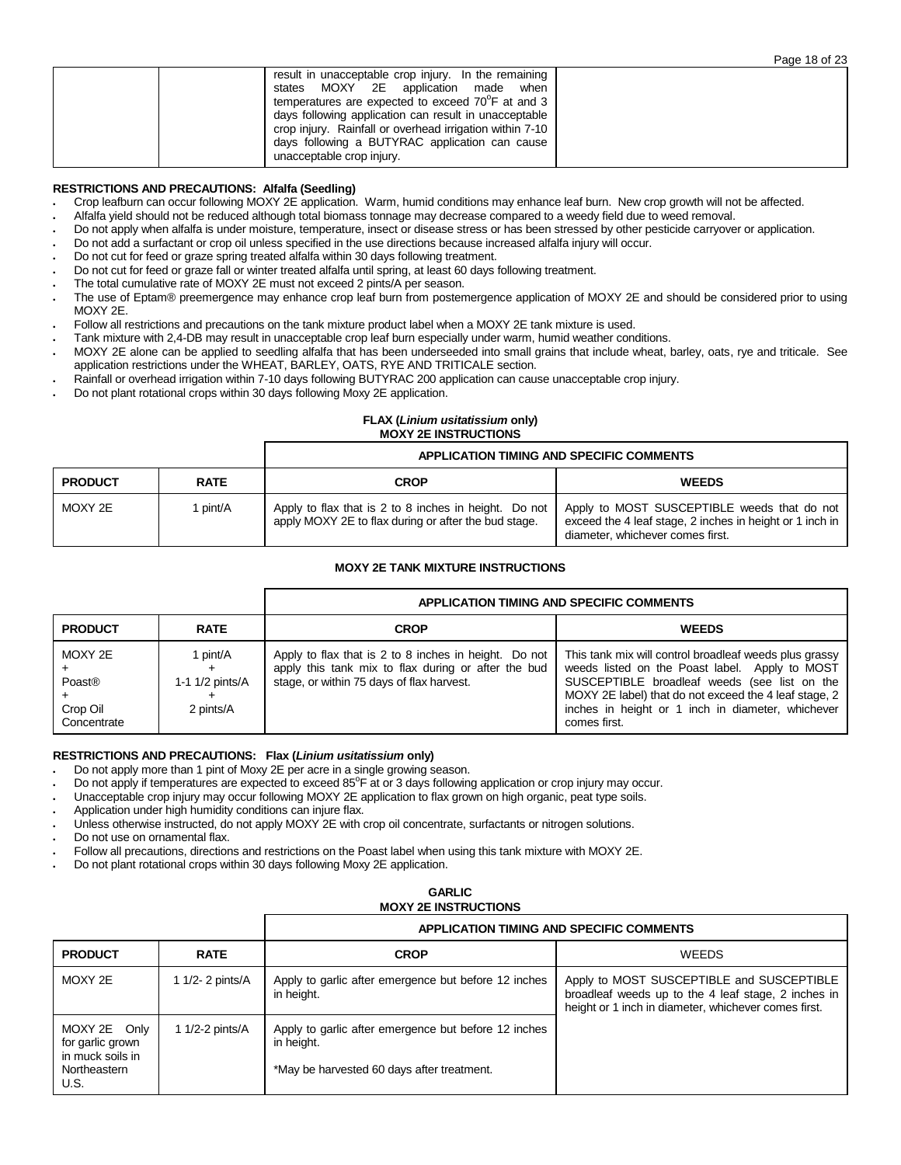|                                                                                                                                                                                                                                                                                                                                                                    | Page 18 of 23 |
|--------------------------------------------------------------------------------------------------------------------------------------------------------------------------------------------------------------------------------------------------------------------------------------------------------------------------------------------------------------------|---------------|
| result in unacceptable crop injury. In the remaining<br>states MOXY 2E application made when<br>temperatures are expected to exceed 70 <sup>o</sup> F at and 3<br>days following application can result in unacceptable<br>crop injury. Rainfall or overhead irrigation within 7-10<br>days following a BUTYRAC application can cause<br>unacceptable crop injury. |               |

## **RESTRICTIONS AND PRECAUTIONS: Alfalfa (Seedling)**

- Crop leafburn can occur following MOXY 2E application. Warm, humid conditions may enhance leaf burn. New crop growth will not be affected.
- Alfalfa yield should not be reduced although total biomass tonnage may decrease compared to a weedy field due to weed removal.
- Do not apply when alfalfa is under moisture, temperature, insect or disease stress or has been stressed by other pesticide carryover or application.
- Do not add a surfactant or crop oil unless specified in the use directions because increased alfalfa injury will occur.
- Do not cut for feed or graze spring treated alfalfa within 30 days following treatment.
- Do not cut for feed or graze fall or winter treated alfalfa until spring, at least 60 days following treatment.
- The total cumulative rate of MOXY 2E must not exceed 2 pints/A per season.
- The use of Eptam® preemergence may enhance crop leaf burn from postemergence application of MOXY 2E and should be considered prior to using MOXY 2E.
- Follow all restrictions and precautions on the tank mixture product label when a MOXY 2E tank mixture is used.
- Tank mixture with 2,4-DB may result in unacceptable crop leaf burn especially under warm, humid weather conditions.
- MOXY 2E alone can be applied to seedling alfalfa that has been underseeded into small grains that include wheat, barley, oats, rye and triticale. See application restrictions under the WHEAT, BARLEY, OATS, RYE AND TRITICALE section.
- Rainfall or overhead irrigation within 7-10 days following BUTYRAC 200 application can cause unacceptable crop injury.
- Do not plant rotational crops within 30 days following Moxy 2E application.

## **FLAX (***Linium usitatissium* **only) MOXY 2E INSTRUCTIONS**

## **APPLICATION TIMING AND SPECIFIC COMMENTS**

| <b>PRODUCT</b> | <b>RATE</b> | CROP                                                                                                          | <b>WEEDS</b>                                                                                                                                |
|----------------|-------------|---------------------------------------------------------------------------------------------------------------|---------------------------------------------------------------------------------------------------------------------------------------------|
| MOXY 2E        | pint/A      | Apply to flax that is 2 to 8 inches in height. Do not<br>apply MOXY 2E to flax during or after the bud stage. | Apply to MOST SUSCEPTIBLE weeds that do not<br>exceed the 4 leaf stage, 2 inches in height or 1 inch in<br>diameter, whichever comes first. |

## **MOXY 2E TANK MIXTURE INSTRUCTIONS**

|                                              |                                          | APPLICATION TIMING AND SPECIFIC COMMENTS                                                                                                                  |                                                                                                                                                                                                                                                                                        |
|----------------------------------------------|------------------------------------------|-----------------------------------------------------------------------------------------------------------------------------------------------------------|----------------------------------------------------------------------------------------------------------------------------------------------------------------------------------------------------------------------------------------------------------------------------------------|
| <b>PRODUCT</b>                               | <b>RATE</b>                              | <b>CROP</b>                                                                                                                                               | <b>WEEDS</b>                                                                                                                                                                                                                                                                           |
| MOXY 2E<br>Poast®<br>Crop Oil<br>Concentrate | l pint/A<br>1-1 1/2 pints/A<br>2 pints/A | Apply to flax that is 2 to 8 inches in height. Do not<br>apply this tank mix to flax during or after the bud<br>stage, or within 75 days of flax harvest. | This tank mix will control broadleaf weeds plus grassy<br>weeds listed on the Poast label. Apply to MOST<br>SUSCEPTIBLE broadleaf weeds (see list on the<br>MOXY 2E label) that do not exceed the 4 leaf stage, 2<br>inches in height or 1 inch in diameter, whichever<br>comes first. |

## **RESTRICTIONS AND PRECAUTIONS: Flax (***Linium usitatissium* **only)**

Do not apply more than 1 pint of Moxy 2E per acre in a single growing season.

Do not apply if temperatures are expected to exceed 85°F at or 3 days following application or crop injury may occur.

Unacceptable crop injury may occur following MOXY 2E application to flax grown on high organic, peat type soils.

Application under high humidity conditions can injure flax.

Unless otherwise instructed, do not apply MOXY 2E with crop oil concentrate, surfactants or nitrogen solutions.

Do not use on ornamental flax.

 $\cup$ 

Follow all precautions, directions and restrictions on the Poast label when using this tank mixture with MOXY 2E.

Do not plant rotational crops within 30 days following Moxy 2E application.

|                                                                              |                  | <b>MOXY 2E INSTRUCTIONS</b>                                                                                      |                                                                                                                                                          |
|------------------------------------------------------------------------------|------------------|------------------------------------------------------------------------------------------------------------------|----------------------------------------------------------------------------------------------------------------------------------------------------------|
|                                                                              |                  |                                                                                                                  | APPLICATION TIMING AND SPECIFIC COMMENTS                                                                                                                 |
| PRODUCT                                                                      | <b>RATE</b>      | <b>CROP</b>                                                                                                      | <b>WEEDS</b>                                                                                                                                             |
| MOXY 2E                                                                      | 1 1/2- 2 pints/A | Apply to garlic after emergence but before 12 inches<br>in height.                                               | Apply to MOST SUSCEPTIBLE and SUSCEPTIBLE<br>broadleaf weeds up to the 4 leaf stage, 2 inches in<br>height or 1 inch in diameter, whichever comes first. |
| MOXY 2E Only<br>for garlic grown<br>in muck soils in<br>Northeastern<br>U.S. | 1 1/2-2 pints/A  | Apply to garlic after emergence but before 12 inches<br>in height.<br>*May be harvested 60 days after treatment. |                                                                                                                                                          |

**GARLIC**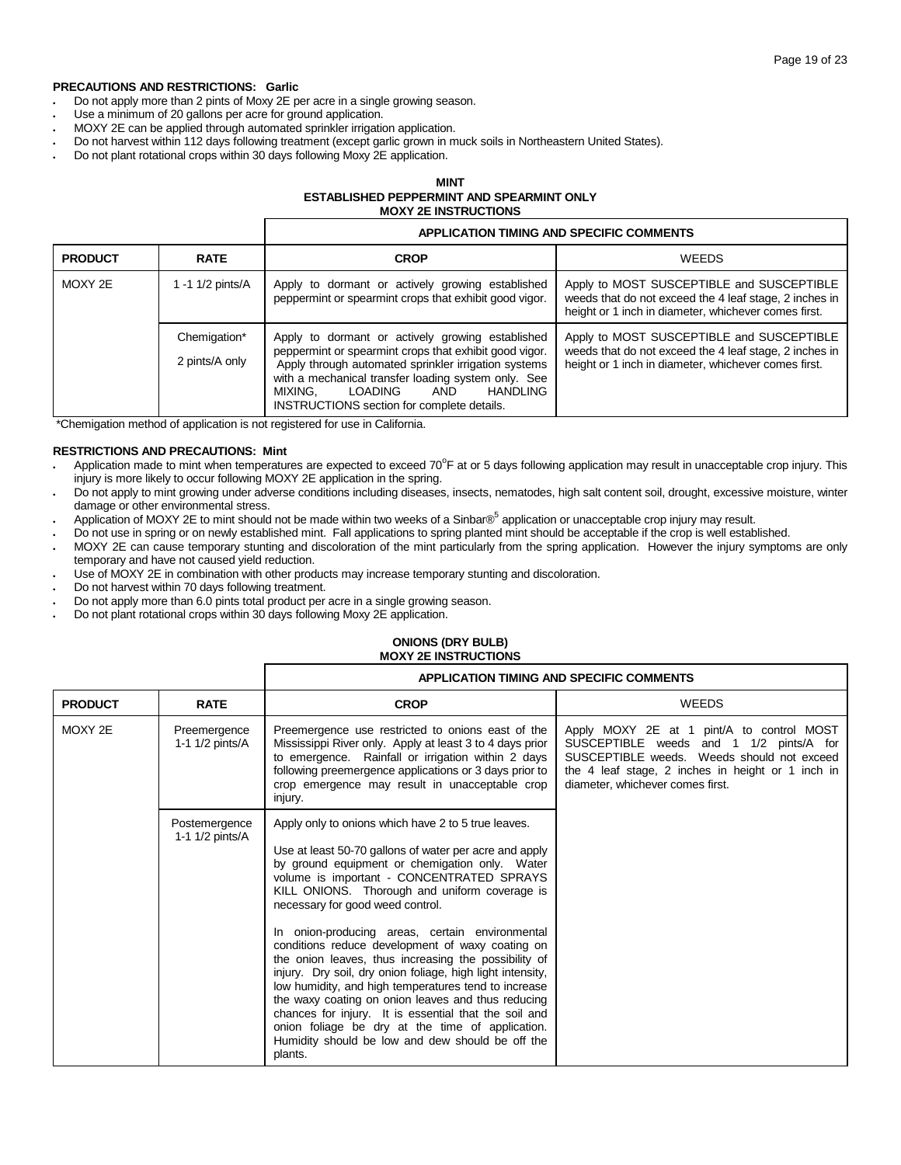## **PRECAUTIONS AND RESTRICTIONS: Garlic**

Do not apply more than 2 pints of Moxy 2E per acre in a single growing season.

Г

- Use a minimum of 20 gallons per acre for ground application.
- MOXY 2E can be applied through automated sprinkler irrigation application.
- Do not harvest within 112 days following treatment (except garlic grown in muck soils in Northeastern United States).
- Do not plant rotational crops within 30 days following Moxy 2E application.

## **MINT ESTABLISHED PEPPERMINT AND SPEARMINT ONLY MOXY 2E INSTRUCTIONS**

|                |                                | <b>APPLICATION TIMING AND SPECIFIC COMMENTS</b>                                                                                                                                                                                                                                                                         |                                                                                                                                                             |
|----------------|--------------------------------|-------------------------------------------------------------------------------------------------------------------------------------------------------------------------------------------------------------------------------------------------------------------------------------------------------------------------|-------------------------------------------------------------------------------------------------------------------------------------------------------------|
| <b>PRODUCT</b> | <b>RATE</b>                    | <b>CROP</b>                                                                                                                                                                                                                                                                                                             | <b>WEEDS</b>                                                                                                                                                |
| MOXY 2E        | -1 1/2 pints/A                 | Apply to dormant or actively growing established<br>peppermint or spearmint crops that exhibit good vigor.                                                                                                                                                                                                              | Apply to MOST SUSCEPTIBLE and SUSCEPTIBLE<br>weeds that do not exceed the 4 leaf stage, 2 inches in<br>height or 1 inch in diameter, whichever comes first. |
|                | Chemigation*<br>2 pints/A only | Apply to dormant or actively growing established<br>peppermint or spearmint crops that exhibit good vigor.<br>Apply through automated sprinkler irrigation systems<br>with a mechanical transfer loading system only. See<br>HANDLING<br><b>LOADING</b><br>AND<br>MIXING.<br>INSTRUCTIONS section for complete details. | Apply to MOST SUSCEPTIBLE and SUSCEPTIBLE<br>weeds that do not exceed the 4 leaf stage, 2 inches in<br>height or 1 inch in diameter, whichever comes first. |

\*Chemigation method of application is not registered for use in California.

## **RESTRICTIONS AND PRECAUTIONS: Mint**

- Application made to mint when temperatures are expected to exceed 70 $\mathrm{°F}$  at or 5 days following application may result in unacceptable crop injury. This injury is more likely to occur following MOXY 2E application in the spring.
- Do not apply to mint growing under adverse conditions including diseases, insects, nematodes, high salt content soil, drought, excessive moisture, winter damage or other environmental stress.
- Application of MOXY 2E to mint should not be made within two weeks of a Sinbar®<sup>5</sup> application or unacceptable crop injury may result.
- Do not use in spring or on newly established mint. Fall applications to spring planted mint should be acceptable if the crop is well established.
- MOXY 2E can cause temporary stunting and discoloration of the mint particularly from the spring application. However the injury symptoms are only temporary and have not caused yield reduction.
- Use of MOXY 2E in combination with other products may increase temporary stunting and discoloration.
- Do not harvest within 70 days following treatment.
- Do not apply more than 6.0 pints total product per acre in a single growing season.

г

Do not plant rotational crops within 30 days following Moxy 2E application.

#### **ONIONS (DRY BULB) MOXY 2E INSTRUCTIONS**

|                |                                  |                                                                                                                                                                                                                                                                                                                                                                                                                                                                                                                     | <b>APPLICATION TIMING AND SPECIFIC COMMENTS</b>                                                                                                                                                                             |
|----------------|----------------------------------|---------------------------------------------------------------------------------------------------------------------------------------------------------------------------------------------------------------------------------------------------------------------------------------------------------------------------------------------------------------------------------------------------------------------------------------------------------------------------------------------------------------------|-----------------------------------------------------------------------------------------------------------------------------------------------------------------------------------------------------------------------------|
| <b>PRODUCT</b> | <b>RATE</b>                      | <b>CROP</b>                                                                                                                                                                                                                                                                                                                                                                                                                                                                                                         | <b>WEEDS</b>                                                                                                                                                                                                                |
| MOXY 2E        | Preemergence<br>1-1 1/2 pints/A  | Preemergence use restricted to onions east of the<br>Mississippi River only. Apply at least 3 to 4 days prior<br>to emergence. Rainfall or irrigation within 2 days<br>following preemergence applications or 3 days prior to<br>crop emergence may result in unacceptable crop<br>injury.                                                                                                                                                                                                                          | Apply MOXY 2E at 1 pint/A to control MOST<br>SUSCEPTIBLE weeds and 1 1/2 pints/A for<br>SUSCEPTIBLE weeds. Weeds should not exceed<br>the 4 leaf stage, 2 inches in height or 1 inch in<br>diameter, whichever comes first. |
|                | Postemergence<br>1-1 1/2 pints/A | Apply only to onions which have 2 to 5 true leaves.<br>Use at least 50-70 gallons of water per acre and apply<br>by ground equipment or chemigation only. Water<br>volume is important - CONCENTRATED SPRAYS<br>KILL ONIONS. Thorough and uniform coverage is<br>necessary for good weed control.                                                                                                                                                                                                                   |                                                                                                                                                                                                                             |
|                |                                  | In onion-producing areas, certain environmental<br>conditions reduce development of waxy coating on<br>the onion leaves, thus increasing the possibility of<br>injury. Dry soil, dry onion foliage, high light intensity,<br>low humidity, and high temperatures tend to increase<br>the waxy coating on onion leaves and thus reducing<br>chances for injury. It is essential that the soil and<br>onion foliage be dry at the time of application.<br>Humidity should be low and dew should be off the<br>plants. |                                                                                                                                                                                                                             |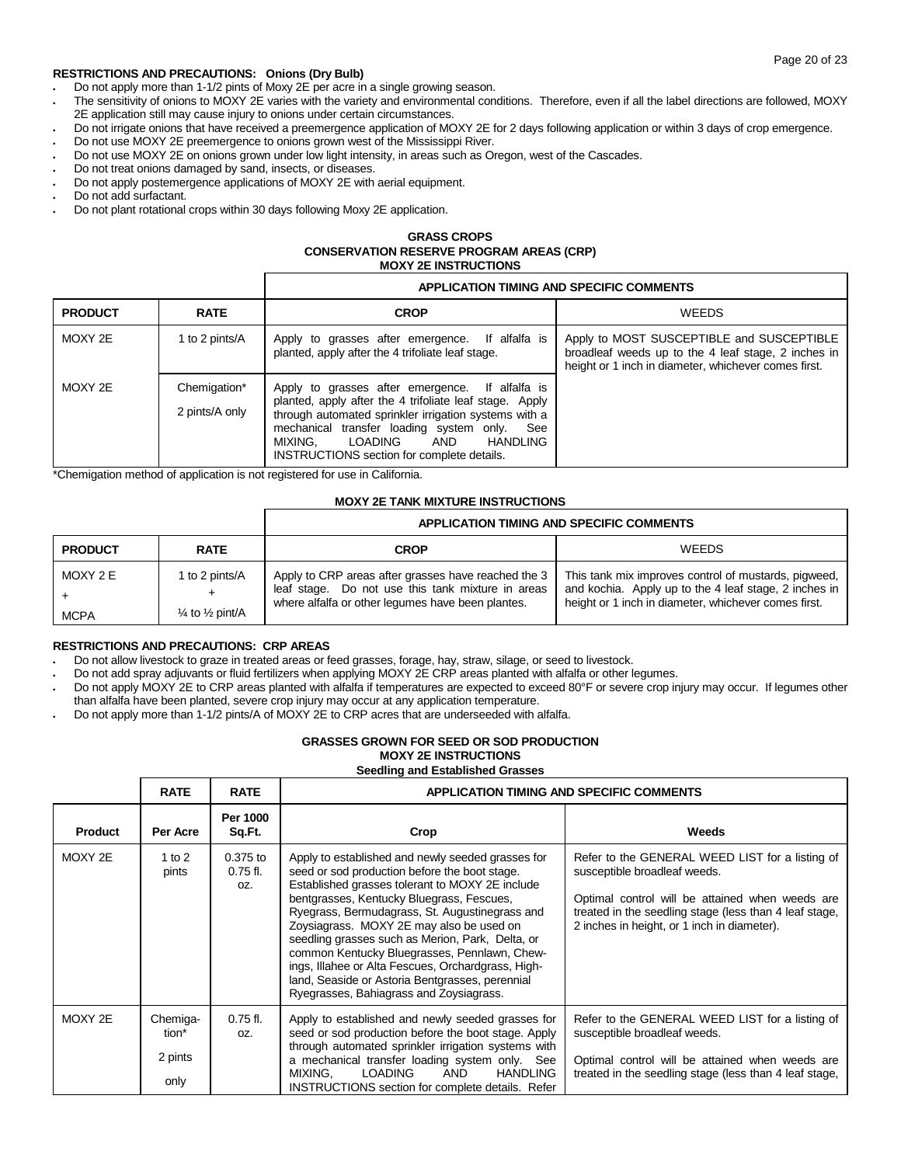## **RESTRICTIONS AND PRECAUTIONS: Onions (Dry Bulb)**

- Do not apply more than 1-1/2 pints of Moxy 2E per acre in a single growing season.
- The sensitivity of onions to MOXY 2E varies with the variety and environmental conditions. Therefore, even if all the label directions are followed, MOXY 2E application still may cause injury to onions under certain circumstances.
- Do not irrigate onions that have received a preemergence application of MOXY 2E for 2 days following application or within 3 days of crop emergence.
- Do not use MOXY 2E preemergence to onions grown west of the Mississippi River.
- Do not use MOXY 2E on onions grown under low light intensity, in areas such as Oregon, west of the Cascades.
- Do not treat onions damaged by sand, insects, or diseases.
- Do not apply postemergence applications of MOXY 2E with aerial equipment.
- Do not add surfactant.
- Do not plant rotational crops within 30 days following Moxy 2E application.

## **GRASS CROPS CONSERVATION RESERVE PROGRAM AREAS (CRP) MOXY 2E INSTRUCTIONS**

## **APPLICATION TIMING AND SPECIFIC COMMENTS**

| <b>PRODUCT</b> | <b>RATE</b>                    | <b>CROP</b>                                                                                                                                                                                                                                                                                                   | <b>WEEDS</b>                                                                                                                                             |
|----------------|--------------------------------|---------------------------------------------------------------------------------------------------------------------------------------------------------------------------------------------------------------------------------------------------------------------------------------------------------------|----------------------------------------------------------------------------------------------------------------------------------------------------------|
| MOXY 2E        | 1 to 2 pints/A                 | Apply to grasses after emergence. If alfalfa is<br>planted, apply after the 4 trifoliate leaf stage.                                                                                                                                                                                                          | Apply to MOST SUSCEPTIBLE and SUSCEPTIBLE<br>broadleaf weeds up to the 4 leaf stage, 2 inches in<br>height or 1 inch in diameter, whichever comes first. |
| MOXY 2E        | Chemigation*<br>2 pints/A only | Apply to grasses after emergence. If alfalfa is<br>planted, apply after the 4 trifoliate leaf stage. Apply<br>through automated sprinkler irrigation systems with a<br>mechanical transfer loading system only.<br>See<br>LOADING<br>AND<br>HANDLING<br>MIXING.<br>INSTRUCTIONS section for complete details. |                                                                                                                                                          |

\*Chemigation method of application is not registered for use in California.

## **MOXY 2E TANK MIXTURE INSTRUCTIONS**

|                         |                                                         |                                                                                                                                                               | APPLICATION TIMING AND SPECIFIC COMMENTS                                                                                                                              |
|-------------------------|---------------------------------------------------------|---------------------------------------------------------------------------------------------------------------------------------------------------------------|-----------------------------------------------------------------------------------------------------------------------------------------------------------------------|
| <b>PRODUCT</b>          | <b>RATE</b>                                             | <b>CROP</b>                                                                                                                                                   | <b>WEEDS</b>                                                                                                                                                          |
| MOXY 2 E<br><b>MCPA</b> | 1 to 2 pints/A<br>$\frac{1}{4}$ to $\frac{1}{2}$ pint/A | Apply to CRP areas after grasses have reached the 3<br>leaf stage. Do not use this tank mixture in areas<br>where alfalfa or other lequmes have been plantes. | This tank mix improves control of mustards, pigweed,<br>and kochia. Apply up to the 4 leaf stage, 2 inches in<br>height or 1 inch in diameter, whichever comes first. |

## **RESTRICTIONS AND PRECAUTIONS: CRP AREAS**

Do not allow livestock to graze in treated areas or feed grasses, forage, hay, straw, silage, or seed to livestock.

- Do not add spray adjuvants or fluid fertilizers when applying MOXY 2E CRP areas planted with alfalfa or other legumes.
- Do not apply MOXY 2E to CRP areas planted with alfalfa if temperatures are expected to exceed 80°F or severe crop injury may occur. If legumes other than alfalfa have been planted, severe crop injury may occur at any application temperature.
- Do not apply more than 1-1/2 pints/A of MOXY 2E to CRP acres that are underseeded with alfalfa.

## **GRASSES GROWN FOR SEED OR SOD PRODUCTION MOXY 2E INSTRUCTIONS Seedling and Established Grasses**

|                | <b>RATE</b>                          | <b>RATE</b>                     | <b>APPLICATION TIMING AND SPECIFIC COMMENTS</b>                                                                                                                                                                                                                                                                                                                                                                                                                                                                                                          |                                                                                                                                                                                                                                             |
|----------------|--------------------------------------|---------------------------------|----------------------------------------------------------------------------------------------------------------------------------------------------------------------------------------------------------------------------------------------------------------------------------------------------------------------------------------------------------------------------------------------------------------------------------------------------------------------------------------------------------------------------------------------------------|---------------------------------------------------------------------------------------------------------------------------------------------------------------------------------------------------------------------------------------------|
| <b>Product</b> | Per Acre                             | Per 1000<br>Sq.Ft.              | Crop                                                                                                                                                                                                                                                                                                                                                                                                                                                                                                                                                     | Weeds                                                                                                                                                                                                                                       |
| MOXY 2E        | 1 to 2<br>pints                      | $0.375$ to<br>$0.75$ fl.<br>OZ. | Apply to established and newly seeded grasses for<br>seed or sod production before the boot stage.<br>Established grasses tolerant to MOXY 2E include<br>bentgrasses, Kentucky Bluegrass, Fescues,<br>Ryegrass, Bermudagrass, St. Augustinegrass and<br>Zoysiagrass. MOXY 2E may also be used on<br>seedling grasses such as Merion, Park, Delta, or<br>common Kentucky Bluegrasses, Pennlawn, Chew-<br>ings, Illahee or Alta Fescues, Orchardgrass, High-<br>land, Seaside or Astoria Bentgrasses, perennial<br>Ryegrasses, Bahiagrass and Zoysiagrass. | Refer to the GENERAL WEED LIST for a listing of<br>susceptible broadleaf weeds.<br>Optimal control will be attained when weeds are<br>treated in the seedling stage (less than 4 leaf stage,<br>2 inches in height, or 1 inch in diameter). |
| MOXY 2E        | Chemiga-<br>tion*<br>2 pints<br>only | $0.75$ fl.<br>OZ.               | Apply to established and newly seeded grasses for<br>seed or sod production before the boot stage. Apply<br>through automated sprinkler irrigation systems with<br>a mechanical transfer loading system only. See<br><b>LOADING</b><br>AND<br>MIXING.<br><b>HANDLING</b><br>INSTRUCTIONS section for complete details. Refer                                                                                                                                                                                                                             | Refer to the GENERAL WEED LIST for a listing of<br>susceptible broadleaf weeds.<br>Optimal control will be attained when weeds are<br>treated in the seedling stage (less than 4 leaf stage,                                                |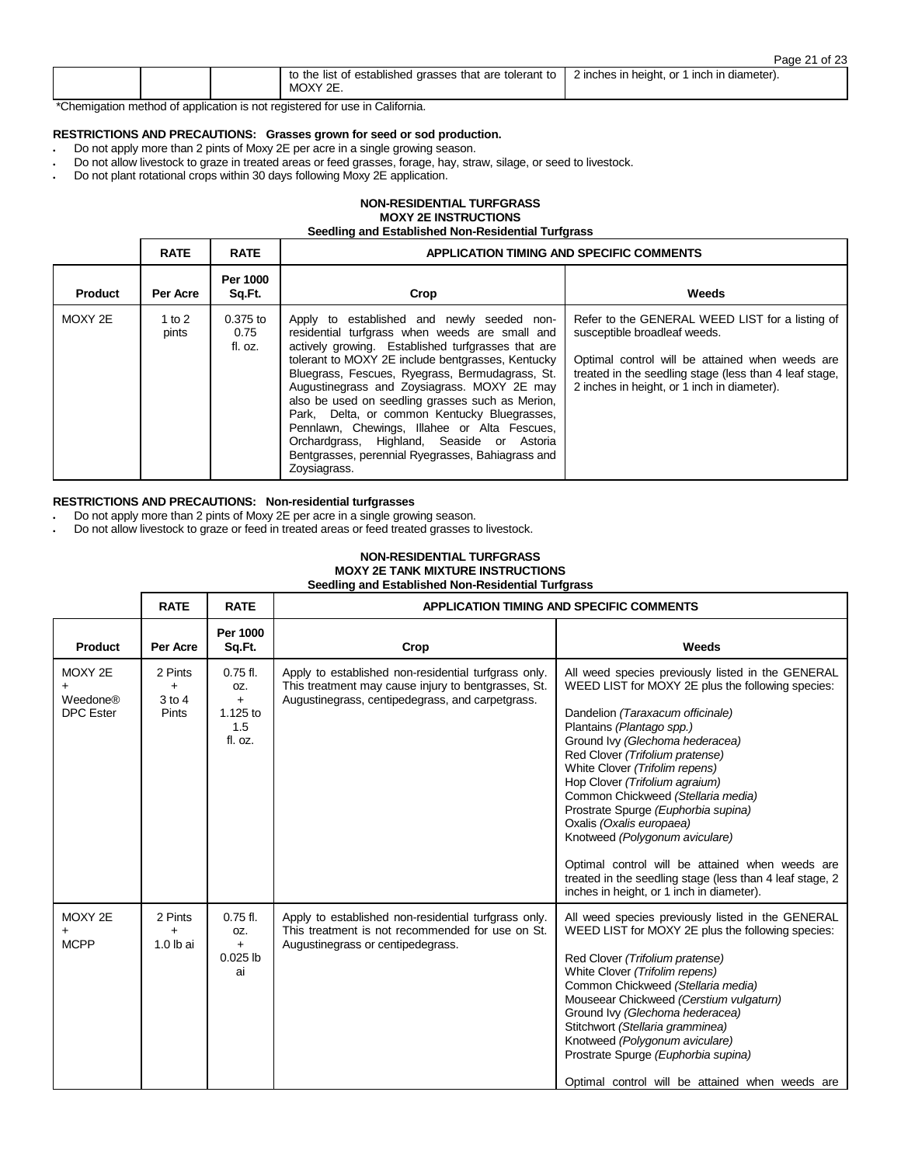| to the<br>t of established grasses that are tolerant to<br>lıst<br>MOXY 2E. | 2 inches in height, or 1 inch in diameter). |
|-----------------------------------------------------------------------------|---------------------------------------------|
|                                                                             |                                             |

\*Chemigation method of application is not registered for use in California.

## **RESTRICTIONS AND PRECAUTIONS: Grasses grown for seed or sod production.**

- Do not apply more than 2 pints of Moxy 2E per acre in a single growing season.
- Do not allow livestock to graze in treated areas or feed grasses, forage, hay, straw, silage, or seed to livestock.
- Do not plant rotational crops within 30 days following Moxy 2E application.

## **NON-RESIDENTIAL TURFGRASS MOXY 2E INSTRUCTIONS**

**Seedling and Established Non-Residential Turfgrass**

|                | <b>RATE</b>       | <b>RATE</b>                   | <b>APPLICATION TIMING AND SPECIFIC COMMENTS</b>                                                                                                                                                                                                                                                                                                                                                                                                                                                                                                                                  |                                                                                                                                                                                                                                             |
|----------------|-------------------|-------------------------------|----------------------------------------------------------------------------------------------------------------------------------------------------------------------------------------------------------------------------------------------------------------------------------------------------------------------------------------------------------------------------------------------------------------------------------------------------------------------------------------------------------------------------------------------------------------------------------|---------------------------------------------------------------------------------------------------------------------------------------------------------------------------------------------------------------------------------------------|
| <b>Product</b> | Per Acre          | Per 1000<br>Sq.Ft.            | Crop                                                                                                                                                                                                                                                                                                                                                                                                                                                                                                                                                                             | Weeds                                                                                                                                                                                                                                       |
| MOXY 2E        | 1 to $2$<br>pints | $0.375$ to<br>0.75<br>fl. oz. | Apply to established and newly seeded non-<br>residential turfgrass when weeds are small and<br>actively growing. Established turfgrasses that are<br>tolerant to MOXY 2E include bentgrasses, Kentucky<br>Bluegrass, Fescues, Ryegrass, Bermudagrass, St.<br>Augustinegrass and Zoysiagrass. MOXY 2E may<br>also be used on seedling grasses such as Merion.<br>Park, Delta, or common Kentucky Bluegrasses,<br>Pennlawn, Chewings, Illahee or Alta Fescues,<br>Orchardgrass, Highland, Seaside or Astoria<br>Bentgrasses, perennial Ryegrasses, Bahiagrass and<br>Zoysiagrass. | Refer to the GENERAL WEED LIST for a listing of<br>susceptible broadleaf weeds.<br>Optimal control will be attained when weeds are<br>treated in the seedling stage (less than 4 leaf stage,<br>2 inches in height, or 1 inch in diameter). |

## **RESTRICTIONS AND PRECAUTIONS: Non-residential turfgrasses**

Do not apply more than 2 pints of Moxy 2E per acre in a single growing season.

. Do not allow livestock to graze or feed in treated areas or feed treated grasses to livestock.

## **NON-RESIDENTIAL TURFGRASS MOXY 2E TANK MIXTURE INSTRUCTIONS Seedling and Established Non-Residential Turfgrass**

|                                         | <b>RATE</b>                           | <b>RATE</b>                                            | <b>APPLICATION TIMING AND SPECIFIC COMMENTS</b>                                                                                                                 |                                                                                                                                                                                                                                                                                                                                                                                                                                                                                                                                                                                                                          |
|-----------------------------------------|---------------------------------------|--------------------------------------------------------|-----------------------------------------------------------------------------------------------------------------------------------------------------------------|--------------------------------------------------------------------------------------------------------------------------------------------------------------------------------------------------------------------------------------------------------------------------------------------------------------------------------------------------------------------------------------------------------------------------------------------------------------------------------------------------------------------------------------------------------------------------------------------------------------------------|
| <b>Product</b>                          | Per Acre                              | Per 1000<br>Sq.Ft.                                     | Crop                                                                                                                                                            | Weeds                                                                                                                                                                                                                                                                                                                                                                                                                                                                                                                                                                                                                    |
| MOXY 2E<br>Weedone®<br><b>DPC</b> Ester | 2 Pints<br>$+$<br>$3$ to $4$<br>Pints | $0.75$ fl.<br>OZ.<br>$+$<br>1.125 to<br>1.5<br>fl. oz. | Apply to established non-residential turfgrass only.<br>This treatment may cause injury to bentgrasses, St.<br>Augustinegrass, centipedegrass, and carpetgrass. | All weed species previously listed in the GENERAL<br>WEED LIST for MOXY 2E plus the following species:<br>Dandelion (Taraxacum officinale)<br>Plantains (Plantago spp.)<br>Ground Ivy (Glechoma hederacea)<br>Red Clover (Trifolium pratense)<br>White Clover (Trifolim repens)<br>Hop Clover (Trifolium agraium)<br>Common Chickweed (Stellaria media)<br>Prostrate Spurge (Euphorbia supina)<br>Oxalis (Oxalis europaea)<br>Knotweed (Polygonum aviculare)<br>Optimal control will be attained when weeds are<br>treated in the seedling stage (less than 4 leaf stage, 2<br>inches in height, or 1 inch in diameter). |
| MOXY 2E<br><b>MCPP</b>                  | 2 Pints<br>$\ddot{}$<br>$1.0$ lb ai   | $0.75$ fl.<br>OZ.<br>$+$<br>$0.025$ lb<br>ai           | Apply to established non-residential turfgrass only.<br>This treatment is not recommended for use on St.<br>Augustinegrass or centipedegrass.                   | All weed species previously listed in the GENERAL<br>WEED LIST for MOXY 2E plus the following species:<br>Red Clover (Trifolium pratense)<br>White Clover (Trifolim repens)<br>Common Chickweed (Stellaria media)<br>Mouseear Chickweed (Cerstium vulgaturn)<br>Ground Ivy (Glechoma hederacea)<br>Stitchwort (Stellaria gramminea)<br>Knotweed (Polygonum aviculare)<br>Prostrate Spurge (Euphorbia supina)<br>Optimal control will be attained when weeds are                                                                                                                                                          |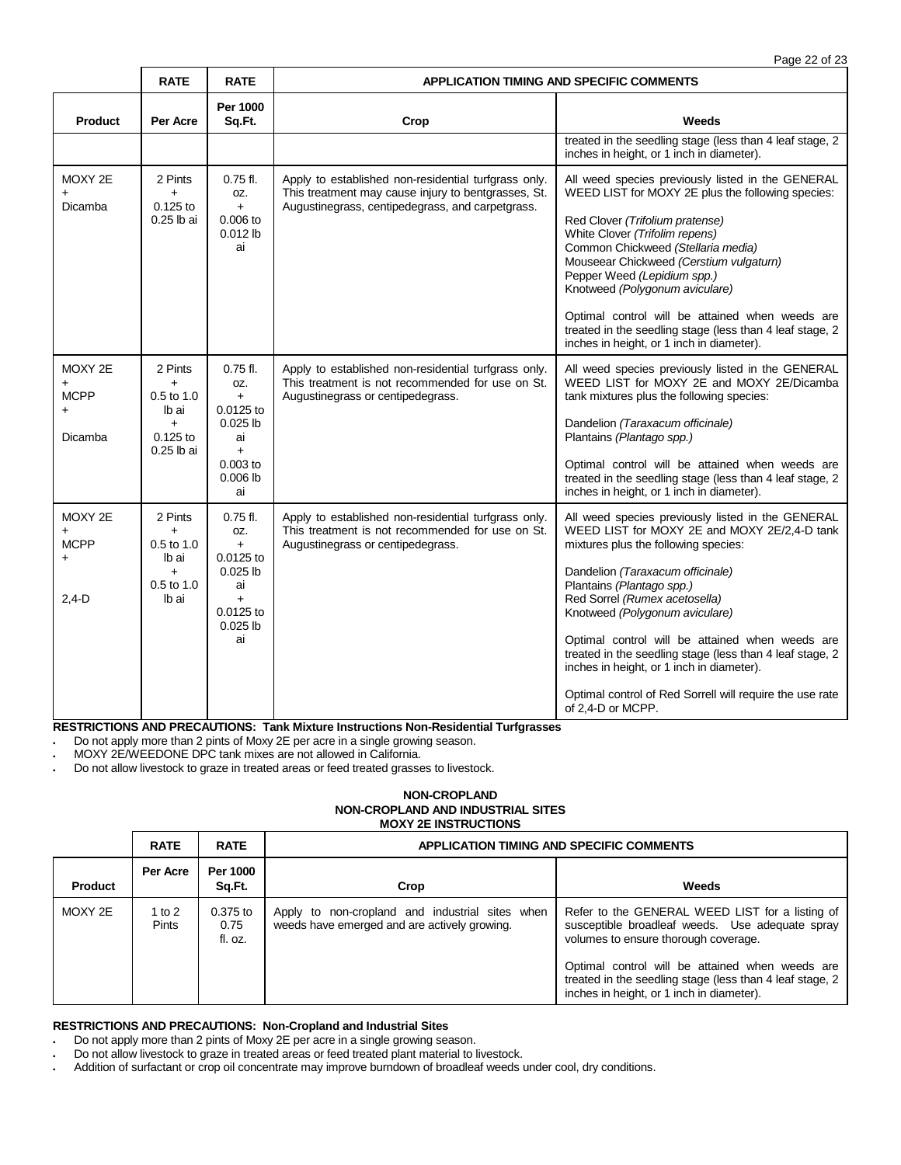|                                                             | <b>RATE</b>                                                                       | <b>RATE</b>                                                                                           | APPLICATION TIMING AND SPECIFIC COMMENTS                                                                                                                        |                                                                                                                                                                                                                                                                                                                                                                                                                                                                                                                            |  |
|-------------------------------------------------------------|-----------------------------------------------------------------------------------|-------------------------------------------------------------------------------------------------------|-----------------------------------------------------------------------------------------------------------------------------------------------------------------|----------------------------------------------------------------------------------------------------------------------------------------------------------------------------------------------------------------------------------------------------------------------------------------------------------------------------------------------------------------------------------------------------------------------------------------------------------------------------------------------------------------------------|--|
| <b>Product</b>                                              | Per Acre                                                                          | Per 1000<br>Sq.Ft.                                                                                    | Crop                                                                                                                                                            | Weeds                                                                                                                                                                                                                                                                                                                                                                                                                                                                                                                      |  |
|                                                             |                                                                                   |                                                                                                       |                                                                                                                                                                 | treated in the seedling stage (less than 4 leaf stage, 2<br>inches in height, or 1 inch in diameter).                                                                                                                                                                                                                                                                                                                                                                                                                      |  |
| MOXY 2E<br>$\ddot{}$<br>Dicamba                             | 2 Pints<br>$\ddot{}$<br>$0.125$ to<br>0.25 lb ai                                  | $0.75$ fl.<br>OZ.<br>$+$<br>$0.006$ to<br>$0.012$ lb<br>ai                                            | Apply to established non-residential turfgrass only.<br>This treatment may cause injury to bentgrasses, St.<br>Augustinegrass, centipedegrass, and carpetgrass. | All weed species previously listed in the GENERAL<br>WEED LIST for MOXY 2E plus the following species:<br>Red Clover (Trifolium pratense)<br>White Clover (Trifolim repens)<br>Common Chickweed (Stellaria media)<br>Mouseear Chickweed (Cerstium vulgaturn)<br>Pepper Weed (Lepidium spp.)<br>Knotweed (Polygonum aviculare)<br>Optimal control will be attained when weeds are<br>treated in the seedling stage (less than 4 leaf stage, 2<br>inches in height, or 1 inch in diameter).                                  |  |
| MOXY 2E<br>$\ddot{}$<br><b>MCPP</b><br>$\ddot{}$<br>Dicamba | 2 Pints<br>$\ddot{}$<br>$0.5$ to 1.0<br>lb ai<br>$+$<br>$0.125$ to<br>0.25 lb ai  | $0.75$ fl.<br>OZ.<br>$+$<br>0.0125 to<br>$0.025$ lb<br>ai<br>$+$<br>$0.003$ to<br>$0.006$ lb<br>ai    | Apply to established non-residential turfgrass only.<br>This treatment is not recommended for use on St.<br>Augustinegrass or centipedegrass.                   | All weed species previously listed in the GENERAL<br>WEED LIST for MOXY 2E and MOXY 2E/Dicamba<br>tank mixtures plus the following species:<br>Dandelion (Taraxacum officinale)<br>Plantains (Plantago spp.)<br>Optimal control will be attained when weeds are<br>treated in the seedling stage (less than 4 leaf stage, 2<br>inches in height, or 1 inch in diameter).                                                                                                                                                   |  |
| MOXY 2E<br>$+$<br><b>MCPP</b><br>$+$<br>$2,4-D$             | 2 Pints<br>$\ddot{}$<br>$0.5$ to 1.0<br>lb ai<br>$\ddot{}$<br>0.5 to 1.0<br>lb ai | $0.75$ fl.<br>OZ.<br>$+$<br>0.0125 to<br>$0.025$ lb<br>ai<br>$\ddot{}$<br>0.0125 to<br>0.025 lb<br>ai | Apply to established non-residential turfgrass only.<br>This treatment is not recommended for use on St.<br>Augustinegrass or centipedegrass.                   | All weed species previously listed in the GENERAL<br>WEED LIST for MOXY 2E and MOXY 2E/2,4-D tank<br>mixtures plus the following species:<br>Dandelion (Taraxacum officinale)<br>Plantains (Plantago spp.)<br>Red Sorrel (Rumex acetosella)<br>Knotweed (Polygonum aviculare)<br>Optimal control will be attained when weeds are<br>treated in the seedling stage (less than 4 leaf stage, 2<br>inches in height, or 1 inch in diameter).<br>Optimal control of Red Sorrell will require the use rate<br>of 2,4-D or MCPP. |  |

**RESTRICTIONS AND PRECAUTIONS: Tank Mixture Instructions Non-Residential Turfgrasses**

Do not apply more than 2 pints of Moxy 2E per acre in a single growing season.

MOXY 2E/WEEDONE DPC tank mixes are not allowed in California.

Do not allow livestock to graze in treated areas or feed treated grasses to livestock.

## **NON-CROPLAND NON-CROPLAND AND INDUSTRIAL SITES MOXY 2E INSTRUCTIONS**

|         | <b>RATE</b>              | <b>RATE</b>                 | APPLICATION TIMING AND SPECIFIC COMMENTS                                                        |                                                                                                                                                                                                                                                                                                        |  |
|---------|--------------------------|-----------------------------|-------------------------------------------------------------------------------------------------|--------------------------------------------------------------------------------------------------------------------------------------------------------------------------------------------------------------------------------------------------------------------------------------------------------|--|
| Product | Per Acre                 | Per 1000<br>Sq.Ft.          | Crop                                                                                            | Weeds                                                                                                                                                                                                                                                                                                  |  |
| MOXY 2E | 1 to $2$<br><b>Pints</b> | 0.375 to<br>0.75<br>fl. oz. | Apply to non-cropland and industrial sites when<br>weeds have emerged and are actively growing. | Refer to the GENERAL WEED LIST for a listing of<br>susceptible broadleaf weeds. Use adequate spray<br>volumes to ensure thorough coverage.<br>Optimal control will be attained when weeds are<br>treated in the seedling stage (less than 4 leaf stage, 2<br>inches in height, or 1 inch in diameter). |  |

## **RESTRICTIONS AND PRECAUTIONS: Non-Cropland and Industrial Sites**

Do not apply more than 2 pints of Moxy 2E per acre in a single growing season.

Do not allow livestock to graze in treated areas or feed treated plant material to livestock.

Addition of surfactant or crop oil concentrate may improve burndown of broadleaf weeds under cool, dry conditions.